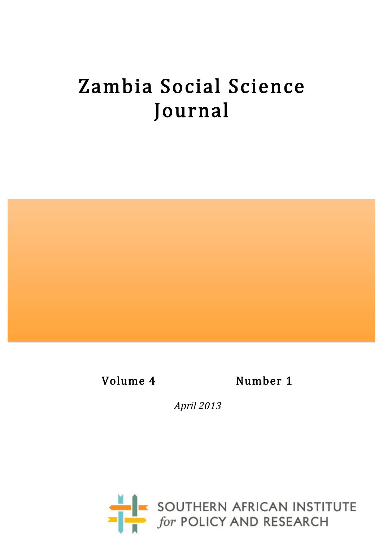# Zambia Social Science Journal



April 2013

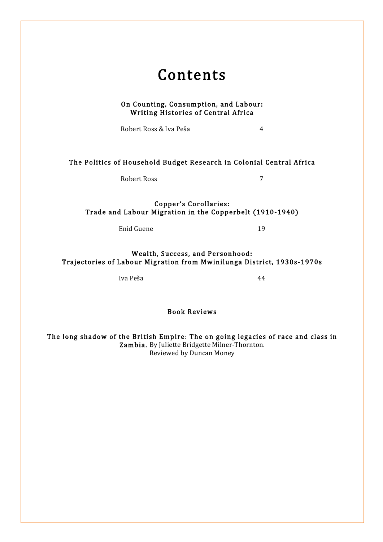## Contents

On Counting, Consumption, and Labour: Writing Histories of Central Africa

Robert Ross & Iva Peša 4

#### The Politics of Household Budget Research in Colonial Central Africa

Robert Ross 7

#### Copper's Corollaries: Trade and Labour Migration in the Copperbelt (1910-1940)

Enid Guene 19

#### Wealth, Success, and Personhood: Trajectories of Labour Migration from Mwinilunga District, 1930s-1970s

Iva Peša 44

Book Reviews

The long shadow of the British Empire: The on going legacies of race and class in Zambia. By Juliette Bridgette Milner-Thornton. Reviewed by Duncan Money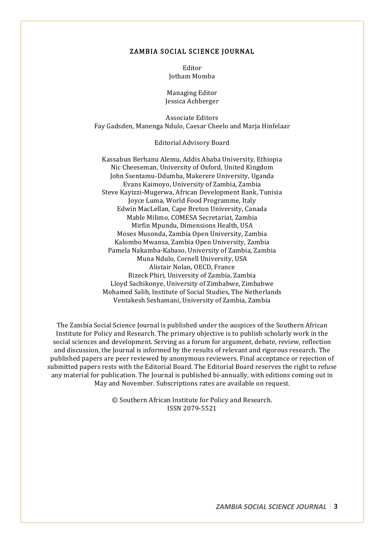#### ZAMBIA SOCIAL SCIENCE JOURNAL

Editor Jotham Momba

Managing Editor Jessica Achberger

Associate Editors Fay Gadsden, Manenga Ndulo, Caesar Cheelo and Marja Hinfelaar

#### Editorial Advisory Board

Kassahun Berhanu Alemu, Addis Ababa University, Ethiopia Nic Cheeseman, University of Oxford, United Kingdom John Ssentamu-Ddumba, Makerere University, Uganda Evans Kaimoyo, University of Zambia, Zambia Steve Kayizzi-Mugerwa, African Development Bank, Tunisia Joyce Luma, World Food Programme, Italy Edwin MacLellan, Cape Breton University, Canada Mable Milimo, COMESA Secretariat, Zambia Mirfin Mpundu, Dimensions Health, USA Moses Musonda, Zambia Open University, Zambia Kalombo Mwansa, Zambia Open University, Zambia Pamela Nakamba-Kabaso, University of Zambia, Zambia Muna Ndulo, Cornell University, USA Alistair Nolan, OECD, France Bizeck Phiri, University of Zambia, Zambia Lloyd Sachikonye, University of Zimbabwe, Zimbabwe Mohamed Salih, Institute of Social Studies, The Netherlands Ventakesh Seshamani, University of Zambia, Zambia

The Zambia Social Science Journal is published under the auspices of the Southern African Institute for Policy and Research. The primary objective is to publish scholarly work in the social sciences and development. Serving as a forum for argument, debate, review, reflection and discussion, the Journal is informed by the results of relevant and rigorous research. The published papers are peer reviewed by anonymous reviewers. Final acceptance or rejection of submitted papers rests with the Editorial Board. The Editorial Board reserves the right to refuse any material for publication. The Journal is published bi-annually, with editions coming out in May and November. Subscriptions rates are available on request.

> © Southern African Institute for Policy and Research. ISSN 2079-5521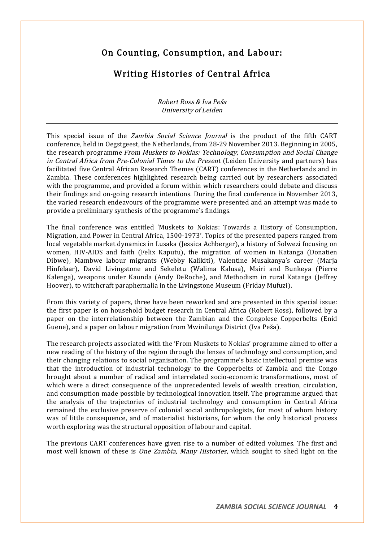## On Counting, Consumption, and Labour:

## Writing Histories of Central Africa

Robert Ross & Iva Peša University of Leiden

This special issue of the Zambia Social Science Journal is the product of the fifth CART conference, held in Oegstgeest, the Netherlands, from 28-29 November 2013. Beginning in 2005, the research programme From Muskets to Nokias: Technology, Consumption and Social Change in Central Africa from Pre-Colonial Times to the Present (Leiden University and partners) has facilitated five Central African Research Themes (CART) conferences in the Netherlands and in Zambia. These conferences highlighted research being carried out by researchers associated with the programme, and provided a forum within which researchers could debate and discuss their findings and on-going research intentions. During the final conference in November 2013, the varied research endeavours of the programme were presented and an attempt was made to provide a preliminary synthesis of the programme's findings.

The final conference was entitled 'Muskets to Nokias: Towards a History of Consumption, Migration, and Power in Central Africa, 1500-1973'. Topics of the presented papers ranged from local vegetable market dynamics in Lusaka (Jessica Achberger), a history of Solwezi focusing on women, HIV-AIDS and faith (Felix Kaputu), the migration of women in Katanga (Donatien Dibwe), Mambwe labour migrants (Webby Kalikiti), Valentine Musakanya's career (Marja Hinfelaar), David Livingstone and Sekeletu (Walima Kalusa), Msiri and Bunkeya (Pierre Kalenga), weapons under Kaunda (Andy DeRoche), and Methodism in rural Katanga (Jeffrey Hoover), to witchcraft paraphernalia in the Livingstone Museum (Friday Mufuzi).

From this variety of papers, three have been reworked and are presented in this special issue: the first paper is on household budget research in Central Africa (Robert Ross), followed by a paper on the interrelationship between the Zambian and the Congolese Copperbelts (Enid Guene), and a paper on labour migration from Mwinilunga District (Iva Peša).

The research projects associated with the 'From Muskets to Nokias' programme aimed to offer a new reading of the history of the region through the lenses of technology and consumption, and their changing relations to social organisation. The programme's basic intellectual premise was that the introduction of industrial technology to the Copperbelts of Zambia and the Congo brought about a number of radical and interrelated socio-economic transformations, most of which were a direct consequence of the unprecedented levels of wealth creation, circulation, and consumption made possible by technological innovation itself. The programme argued that the analysis of the trajectories of industrial technology and consumption in Central Africa remained the exclusive preserve of colonial social anthropologists, for most of whom history was of little consequence, and of materialist historians, for whom the only historical process worth exploring was the structural opposition of labour and capital.

The previous CART conferences have given rise to a number of edited volumes. The first and most well known of these is One Zambia, Many Histories, which sought to shed light on the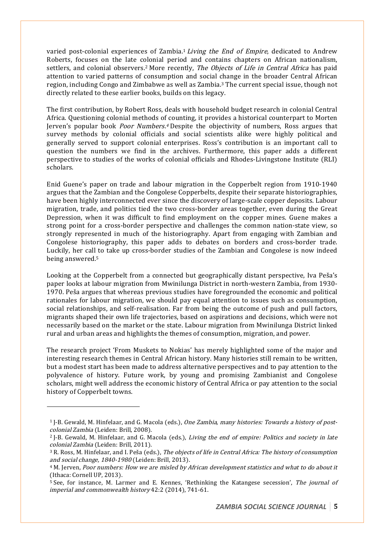varied post-colonial experiences of Zambia.<sup>1</sup> Living the End of Empire, dedicated to Andrew Roberts, focuses on the late colonial period and contains chapters on African nationalism, settlers, and colonial observers.<sup>2</sup> More recently, *The Objects of Life in Central Africa* has paid attention to varied patterns of consumption and social change in the broader Central African region, including Congo and Zimbabwe as well as Zambia.3 The current special issue, though not directly related to these earlier books, builds on this legacy.

The first contribution, by Robert Ross, deals with household budget research in colonial Central Africa. Questioning colonial methods of counting, it provides a historical counterpart to Morten Jerven's popular book Poor Numbers.4 Despite the objectivity of numbers, Ross argues that survey methods by colonial officials and social scientists alike were highly political and generally served to support colonial enterprises. Ross's contribution is an important call to question the numbers we find in the archives. Furthermore, this paper adds a different perspective to studies of the works of colonial officials and Rhodes-Livingstone Institute (RLI) scholars.

Enid Guene's paper on trade and labour migration in the Copperbelt region from 1910-1940 argues that the Zambian and the Congolese Copperbelts, despite their separate historiographies, have been highly interconnected ever since the discovery of large-scale copper deposits. Labour migration, trade, and politics tied the two cross-border areas together, even during the Great Depression, when it was difficult to find employment on the copper mines. Guene makes a strong point for a cross-border perspective and challenges the common nation-state view, so strongly represented in much of the historiography. Apart from engaging with Zambian and Congolese historiography, this paper adds to debates on borders and cross-border trade. Luckily, her call to take up cross-border studies of the Zambian and Congolese is now indeed being answered.5

Looking at the Copperbelt from a connected but geographically distant perspective, Iva Peša's paper looks at labour migration from Mwinilunga District in north-western Zambia, from 1930- 1970. Peša argues that whereas previous studies have foregrounded the economic and political rationales for labour migration, we should pay equal attention to issues such as consumption, social relationships, and self-realisation. Far from being the outcome of push and pull factors, migrants shaped their own life trajectories, based on aspirations and decisions, which were not necessarily based on the market or the state. Labour migration from Mwinilunga District linked rural and urban areas and highlights the themes of consumption, migration, and power.

The research project 'From Muskets to Nokias' has merely highlighted some of the major and interesting research themes in Central African history. Many histories still remain to be written, but a modest start has been made to address alternative perspectives and to pay attention to the polyvalence of history. Future work, by young and promising Zambianist and Congolese scholars, might well address the economic history of Central Africa or pay attention to the social history of Copperbelt towns.

<sup>&</sup>lt;sup>1</sup> J-B. Gewald, M. Hinfelaar, and G. Macola (eds.), One Zambia, many histories: Towards a history of postcolonial Zambia (Leiden: Brill, 2008).<br><sup>2</sup> J-B. Gewald, M. Hinfelaar, and G. Macola (eds.), *Living the end of empire: Politics and society in late* 

colonial Zambia (Leiden: Brill, 2011).<br><sup>3</sup> R. Ross, M. Hinfelaar, and I. Peša (eds.), *The objects of life in Central Africa: The history of consumption* 

and social change, 1840-1980 (Leiden: Brill, 2013).<br><sup>4</sup> M. Jerven, Poor numbers: How we are misled by African development statistics and what to do about it

<sup>(</sup>Ithaca: Cornell UP, 2013).

<sup>5</sup> See, for instance, M. Larmer and E. Kennes, 'Rethinking the Katangese secession', The journal of imperial and commonwealth history 42:2 (2014), 741-61.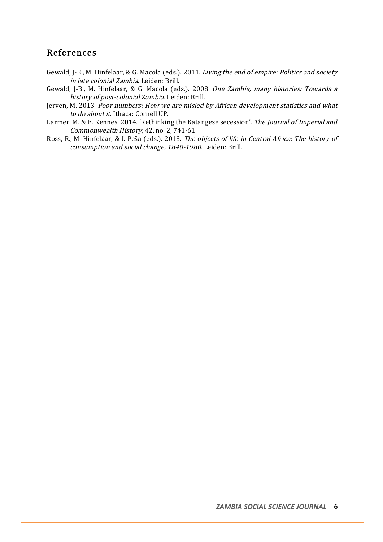## References

- Gewald, J-B., M. Hinfelaar, & G. Macola (eds.). 2011. Living the end of empire: Politics and society in late colonial Zambia. Leiden: Brill.
- Gewald, J-B., M. Hinfelaar, & G. Macola (eds.). 2008. One Zambia, many histories: Towards a history of post-colonial Zambia. Leiden: Brill.
- Jerven, M. 2013. Poor numbers: How we are misled by African development statistics and what to do about it. Ithaca: Cornell UP.
- Larmer, M. & E. Kennes. 2014. 'Rethinking the Katangese secession'. The Journal of Imperial and Commonwealth History, 42, no. 2, 741-61.
- Ross, R., M. Hinfelaar, & I. Peša (eds.). 2013. The objects of life in Central Africa: The history of consumption and social change, 1840-1980. Leiden: Brill.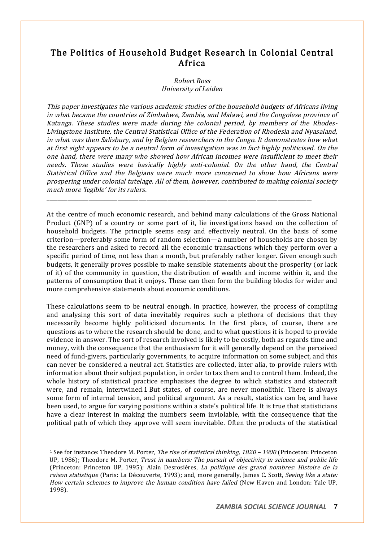## The Politics of Household Budget Research in Colonial Central Africa

Robert Ross University of Leiden

This paper investigates the various academic studies of the household budgets of Africans living in what became the countries of Zimbabwe, Zambia, and Malawi, and the Congolese province of Katanga. These studies were made during the colonial period, by members of the Rhodes-Livingstone Institute, the Central Statistical Office of the Federation of Rhodesia and Nyasaland, in what was then Salisbury, and by Belgian researchers in the Congo. It demonstrates how what at first sight appears to be a neutral form of investigation was in fact highly politicised. On the one hand, there were many who showed how African incomes were insufficient to meet their needs. These studies were basically highly anti-colonial. On the other hand, the Central Statistical Office and the Belgians were much more concerned to show how Africans were prospering under colonial tutelage. All of them, however, contributed to making colonial society much more 'legible' for its rulers.

\_\_\_\_\_\_\_\_\_\_\_\_\_\_\_\_\_\_\_\_\_\_\_\_\_\_\_\_\_\_\_\_\_\_\_\_\_\_\_\_\_\_\_\_\_\_\_\_\_\_\_\_\_\_\_\_\_\_\_\_\_\_\_\_\_\_\_\_\_\_\_\_\_\_\_\_\_\_\_\_\_\_\_\_\_\_\_\_\_\_\_\_\_\_\_\_\_\_\_\_\_

At the centre of much economic research, and behind many calculations of the Gross National Product (GNP) of a country or some part of it, lie investigations based on the collection of household budgets. The principle seems easy and effectively neutral. On the basis of some criterion—preferably some form of random selection—a number of households are chosen by the researchers and asked to record all the economic transactions which they perform over a specific period of time, not less than a month, but preferably rather longer. Given enough such budgets, it generally proves possible to make sensible statements about the prosperity (or lack of it) of the community in question, the distribution of wealth and income within it, and the patterns of consumption that it enjoys. These can then form the building blocks for wider and more comprehensive statements about economic conditions.

These calculations seem to be neutral enough. In practice, however, the process of compiling and analysing this sort of data inevitably requires such a plethora of decisions that they necessarily become highly politicised documents. In the first place, of course, there are questions as to where the research should be done, and to what questions it is hoped to provide evidence in answer. The sort of research involved is likely to be costly, both as regards time and money, with the consequence that the enthusiasm for it will generally depend on the perceived need of fund-givers, particularly governments, to acquire information on some subject, and this can never be considered a neutral act. Statistics are collected, inter alia, to provide rulers with information about their subject population, in order to tax them and to control them. Indeed, the whole history of statistical practice emphasises the degree to which statistics and statecraft were, and remain, intertwined.1 But states, of course, are never monolithic. There is always some form of internal tension, and political argument. As a result, statistics can be, and have been used, to argue for varying positions within a state's political life. It is true that statisticians have a clear interest in making the numbers seem inviolable, with the consequence that the political path of which they approve will seem inevitable. Often the products of the statistical

<sup>&</sup>lt;sup>1</sup> See for instance: Theodore M. Porter, *The rise of statistical thinking, 1820 - 1900* (Princeton: Princeton UP, 1986); Theodore M. Porter, Trust in numbers: The pursuit of objectivity in science and public life (Princeton: Princeton UP, 1995); Alain Desrosières, La politique des grand nombres: Histoire de la raison statistique (Paris: La Découverte, 1993); and, more generally, James C. Scott, Seeing like a state: How certain schemes to improve the human condition have failed (New Haven and London: Yale UP, 1998).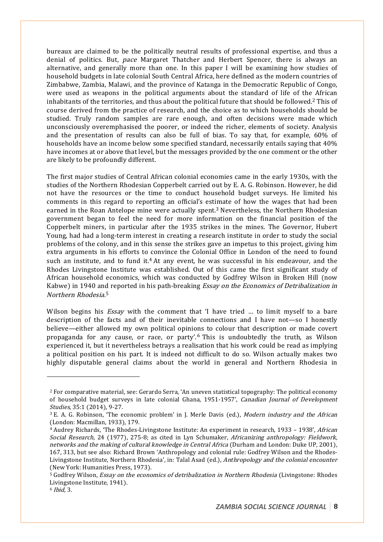bureaux are claimed to be the politically neutral results of professional expertise, and thus a denial of politics. But, pace Margaret Thatcher and Herbert Spencer, there is always an alternative, and generally more than one. In this paper I will be examining how studies of household budgets in late colonial South Central Africa, here defined as the modern countries of Zimbabwe, Zambia, Malawi, and the province of Katanga in the Democratic Republic of Congo, were used as weapons in the political arguments about the standard of life of the African inhabitants of the territories, and thus about the political future that should be followed.<sup>2</sup> This of course derived from the practice of research, and the choice as to which households should be studied. Truly random samples are rare enough, and often decisions were made which unconsciously overemphasised the poorer, or indeed the richer, elements of society. Analysis and the presentation of results can also be full of bias. To say that, for example, 60% of households have an income below some specified standard, necessarily entails saying that 40% have incomes at or above that level, but the messages provided by the one comment or the other are likely to be profoundly different.

The first major studies of Central African colonial economies came in the early 1930s, with the studies of the Northern Rhodesian Copperbelt carried out by E. A. G. Robinson. However, he did not have the resources or the time to conduct household budget surveys. He limited his comments in this regard to reporting an official's estimate of how the wages that had been earned in the Roan Antelope mine were actually spent.<sup>3</sup> Nevertheless, the Northern Rhodesian government began to feel the need for more information on the financial position of the Copperbelt miners, in particular after the 1935 strikes in the mines. The Governor, Hubert Young, had had a long-term interest in creating a research institute in order to study the social problems of the colony, and in this sense the strikes gave an impetus to this project, giving him extra arguments in his efforts to convince the Colonial Office in London of the need to found such an institute, and to fund it.<sup>4</sup> At any event, he was successful in his endeavour, and the Rhodes Livingstone Institute was established. Out of this came the first significant study of African household economics, which was conducted by Godfrey Wilson in Broken Hill (now Kabwe) in 1940 and reported in his path-breaking *Essay on the Economics of Detribalization in* Northern Rhodesia. 5

Wilson begins his *Essay* with the comment that 'I have tried ... to limit myself to a bare description of the facts and of their inevitable connections and I have not—so I honestly believe—either allowed my own political opinions to colour that description or made covert propaganda for any cause, or race, or party'.<sup>6</sup> This is undoubtedly the truth, as Wilson experienced it, but it nevertheless betrays a realisation that his work could be read as implying a political position on his part. It is indeed not difficult to do so. Wilson actually makes two highly disputable general claims about the world in general and Northern Rhodesia in

<sup>2</sup> For comparative material, see: Gerardo Serra, 'An uneven statistical topography: The political economy of household budget surveys in late colonial Ghana, 1951-1957', Canadian Journal of Development Studies, 35:1 (2014), 9-27.

<sup>3</sup> E. A. G. Robinson, 'The economic problem' in J. Merle Davis (ed.), Modern industry and the African (London: Macmillan, 1933), 179.

<sup>4</sup> Audrey Richards, 'The Rhodes-Livingstone Institute: An experiment in research, 1933 – 1938', African Social Research, 24 (1977), 275-8; as cited in Lyn Schumaker, Africanizing anthropology: Fieldwork, networks and the making of cultural knowledge in Central Africa (Durham and London: Duke UP, 2001), 167, 313, but see also: Richard Brown 'Anthropology and colonial rule: Godfrey Wilson and the Rhodes-Livingstone Institute, Northern Rhodesia', in: Talal Asad (ed.), Anthropology and the colonial encounter (New York: Humanities Press, 1973).

<sup>5</sup> Godfrey Wilson, Essay on the economics of detribalization in Northern Rhodesia (Livingstone: Rhodes Livingstone Institute, 1941).

<sup>6</sup> Ibid, 3.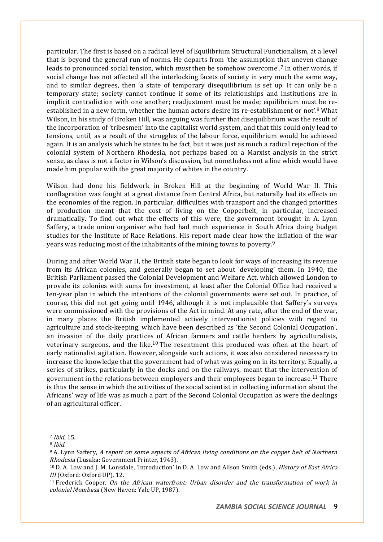particular. The first is based on a radical level of Equilibrium Structural Functionalism, at a level that is beyond the general run of norms. He departs from 'the assumption that uneven change leads to pronounced social tension, which *must* then be somehow overcome'.<sup>7</sup> In other words, if social change has not affected all the interlocking facets of society in very much the same way, and to similar degrees, then 'a state of temporary disequilibrium is set up. It can only be a temporary state; society cannot continue if some of its relationships and institutions are in implicit contradiction with one another; readjustment must be made; equilibrium must be reestablished in a new form, whether the human actors desire its re-establishment or not'.<sup>8</sup> What Wilson, in his study of Broken Hill, was arguing was further that disequilibrium was the result of the incorporation of 'tribesmen' into the capitalist world system, and that this could only lead to tensions, until, as a result of the struggles of the labour force, equilibrium would be achieved again. It is an analysis which he states to be fact, but it was just as much a radical rejection of the colonial system of Northern Rhodesia, not perhaps based on a Marxist analysis in the strict sense, as class is not a factor in Wilson's discussion, but nonetheless not a line which would have made him popular with the great majority of whites in the country.

Wilson had done his fieldwork in Broken Hill at the beginning of World War II. This conflagration was fought at a great distance from Central Africa, but naturally had its effects on the economies of the region. In particular, difficulties with transport and the changed priorities of production meant that the cost of living on the Copperbelt, in particular, increased dramatically. To find out what the effects of this were, the government brought in A. Lynn Saffery, a trade union organiser who had had much experience in South Africa doing budget studies for the Institute of Race Relations. His report made clear how the inflation of the war years was reducing most of the inhabitants of the mining towns to poverty.9

During and after World War II, the British state began to look for ways of increasing its revenue from its African colonies, and generally began to set about 'developing' them. In 1940, the British Parliament passed the Colonial Development and Welfare Act, which allowed London to provide its colonies with sums for investment, at least after the Colonial Office had received a ten-year plan in which the intentions of the colonial governments were set out. In practice, of course, this did not get going until 1946, although it is not implausible that Saffery's surveys were commissioned with the provisions of the Act in mind. At any rate, after the end of the war, in many places the British implemented actively interventionist policies with regard to agriculture and stock-keeping, which have been described as 'the Second Colonial Occupation', an invasion of the daily practices of African farmers and cattle herders by agriculturalists, veterinary surgeons, and the like.<sup>10</sup> The resentment this produced was often at the heart of early nationalist agitation. However, alongside such actions, it was also considered necessary to increase the knowledge that the government had of what was going on in its territory. Equally, a series of strikes, particularly in the docks and on the railways, meant that the intervention of government in the relations between employers and their employees began to increase.11 There is thus the sense in which the activities of the social scientist in collecting information about the Africans' way of life was as much a part of the Second Colonial Occupation as were the dealings of an agricultural officer.

l

<sup>7</sup> Ibid, 15.

<sup>&</sup>lt;sup>8</sup> Ibid.<br><sup>9</sup> A. Lynn Saffery, *A report on some aspects of African living conditions on the copper belt of Northern* Rhodesia (Lusaka: Government Printer, 1943).

<sup>&</sup>lt;sup>10</sup> D. A. Low and J. M. Lonsdale, 'Introduction' in D. A. Low and Alison Smith (eds.), *History of East Africa* III (Oxford: Oxford UP), 12.

<sup>&</sup>lt;sup>11</sup> Frederick Cooper, *On the African waterfront: Urban disorder and the transformation of work in* colonial Mombasa (New Haven: Yale UP, 1987).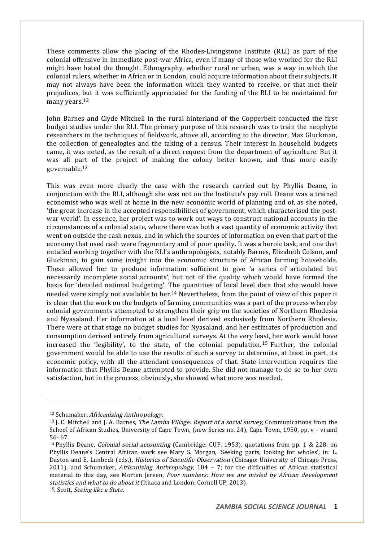These comments allow the placing of the Rhodes-Livingstone Institute (RLI) as part of the colonial offensive in immediate post-war Africa, even if many of those who worked for the RLI might have hated the thought. Ethnography, whether rural or urban, was a way in which the colonial rulers, whether in Africa or in London, could acquire information about their subjects. It may not always have been the information which they wanted to receive, or that met their prejudices, but it was sufficiently appreciated for the funding of the RLI to be maintained for many years.<sup>12</sup>

John Barnes and Clyde Mitchell in the rural hinterland of the Copperbelt conducted the first budget studies under the RLI. The primary purpose of this research was to train the neophyte researchers in the techniques of fieldwork, above all, according to the director, Max Gluckman, the collection of genealogies and the taking of a census. Their interest in household budgets came, it was noted, as the result of a direct request from the department of agriculture. But it was all part of the project of making the colony better known, and thus more easily governable.13

This was even more clearly the case with the research carried out by Phyllis Deane, in conjunction with the RLI, although she was not on the Institute's pay roll. Deane was a trained economist who was well at home in the new economic world of planning and of, as she noted, 'the great increase in the accepted responsibilities of government, which characterised the postwar world'. In essence, her project was to work out ways to construct national accounts in the circumstances of a colonial state, where there was both a vast quantity of economic activity that went on outside the cash nexus, and in which the sources of information on even that part of the economy that used cash were fragmentary and of poor quality. It was a heroic task, and one that entailed working together with the RLI's anthropologists, notably Barnes, Elizabeth Colson, and Gluckman, to gain some insight into the economic structure of African farming households. These allowed her to produce information sufficient to give 'a series of articulated but necessarily incomplete social accounts', but not of the quality which would have formed the basis for 'detailed national budgeting'. The quantities of local level data that she would have needed were simply not available to her.<sup>14</sup> Nevertheless, from the point of view of this paper it is clear that the work on the budgets of farming communities was a part of the process whereby colonial governments attempted to strengthen their grip on the societies of Northern Rhodesia and Nyasaland. Her information at a local level derived exclusively from Northern Rhodesia. There were at that stage no budget studies for Nyasaland, and her estimates of production and consumption derived entirely from agricultural surveys. At the very least, her work would have increased the 'legibility', to the state, of the colonial population.<sup>15</sup> Further, the colonial government would be able to use the results of such a survey to determine, at least in part, its economic policy, with all the attendant consequences of that. State intervention requires the information that Phyllis Deane attempted to provide. She did not manage to do so to her own satisfaction, but in the process, obviously, she showed what more was needed.

<sup>12</sup> Schumaker, Africanizing Anthropology.

<sup>&</sup>lt;sup>13</sup> J. C. Mitchell and J. A. Barnes, *The Lamba Village: Report of a social survey*, Communications from the School of African Studies, University of Cape Town, (new Series no. 24), Cape Town, 1950, pp. v – vi and 56- 67.

<sup>&</sup>lt;sup>14</sup> Phyllis Deane, *Colonial social accounting* (Cambridge: CUP, 1953), quotations from pp. 1 & 228; on Phyllis Deane's Central African work see Mary S. Morgan, 'Seeking parts, looking for wholes', in: L. Daston and E. Lunbeck (eds.), Histories of Scientific Observation (Chicago: University of Chicago Press, 2011), and Schumaker, Africanizing Anthropology,  $104 - 7$ ; for the difficulties of African statistical material to this day, see Morten Jerven, Poor numbers: How we are misled by African development statistics and what to do about it (Ithaca and London: Cornell UP, 2013). 15. Scott, Seeing like a State.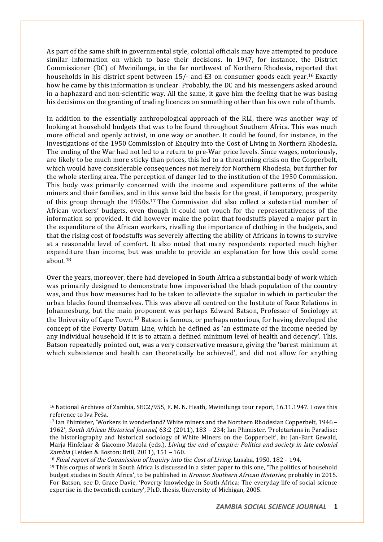As part of the same shift in governmental style, colonial officials may have attempted to produce similar information on which to base their decisions. In 1947, for instance, the District Commissioner (DC) of Mwinilunga, in the far northwest of Northern Rhodesia, reported that households in his district spent between 15/- and £3 on consumer goods each year.<sup>16</sup> Exactly how he came by this information is unclear. Probably, the DC and his messengers asked around in a haphazard and non-scientific way. All the same, it gave him the feeling that he was basing his decisions on the granting of trading licences on something other than his own rule of thumb.

In addition to the essentially anthropological approach of the RLI, there was another way of looking at household budgets that was to be found throughout Southern Africa. This was much more official and openly activist, in one way or another. It could be found, for instance, in the investigations of the 1950 Commission of Enquiry into the Cost of Living in Northern Rhodesia. The ending of the War had not led to a return to pre-War price levels. Since wages, notoriously, are likely to be much more sticky than prices, this led to a threatening crisis on the Copperbelt, which would have considerable consequences not merely for Northern Rhodesia, but further for the whole sterling area. The perception of danger led to the institution of the 1950 Commission. This body was primarily concerned with the income and expenditure patterns of the white miners and their families, and in this sense laid the basis for the great, if temporary, prosperity of this group through the 1950s.17 The Commission did also collect a substantial number of African workers' budgets, even though it could not vouch for the representativeness of the information so provided. It did however make the point that foodstuffs played a major part in the expenditure of the African workers, rivalling the importance of clothing in the budgets, and that the rising cost of foodstuffs was severely affecting the ability of Africans in towns to survive at a reasonable level of comfort. It also noted that many respondents reported much higher expenditure than income, but was unable to provide an explanation for how this could come about.18

Over the years, moreover, there had developed in South Africa a substantial body of work which was primarily designed to demonstrate how impoverished the black population of the country was, and thus how measures had to be taken to alleviate the squalor in which in particular the urban blacks found themselves. This was above all centred on the Institute of Race Relations in Johannesburg, but the main proponent was perhaps Edward Batson, Professor of Sociology at the University of Cape Town.19 Batson is famous, or perhaps notorious, for having developed the concept of the Poverty Datum Line, which he defined as 'an estimate of the income needed by any individual household if it is to attain a defined minimum level of health and decency'. This, Batson repeatedly pointed out, was a very conservative measure, giving the 'barest minimum at which subsistence and health can theoretically be achieved', and did not allow for anything

<sup>16</sup> National Archives of Zambia, SEC2/955, F. M. N. Heath, Mwinilunga tour report, 16.11.1947. I owe this reference to Iva Peša.

<sup>17</sup> Ian Phimister, 'Workers in wonderland? White miners and the Northern Rhodesian Copperbelt, 1946 – 1962', South African Historical Journal, 63:2 (2011), 183 – 234; Ian Phimister, 'Proletarians in Paradise: the historiography and historical sociology of White Miners on the Copperbelt', in: Jan-Bart Gewald, Marja Hinfelaar & Giacomo Macola (eds.), Living the end of empire: Politics and society in late colonial Zambia (Leiden & Boston: Brill, 2011), 151 – 160.

<sup>&</sup>lt;sup>18</sup> Final report of the Commission of Inquiry into the Cost of Living, Lusaka, 1950, 182 – 194.<br><sup>19</sup> This corpus of work in South Africa is discussed in a sister paper to this one, 'The politics of household budget studies in South Africa', to be published in Kronos: Southern African Histories, probably in 2015. For Batson, see D. Grace Davie, 'Poverty knowledge in South Africa: The everyday life of social science expertise in the twentieth century', Ph.D. thesis, University of Michigan, 2005.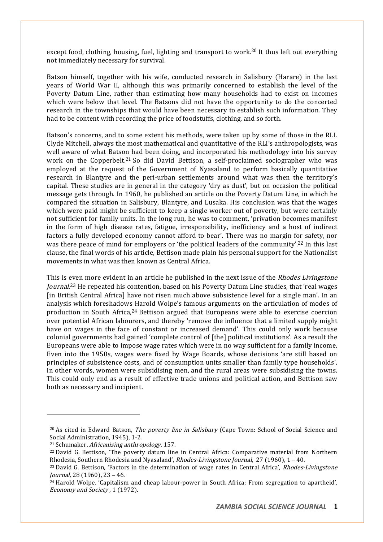except food, clothing, housing, fuel, lighting and transport to work.<sup>20</sup> It thus left out everything not immediately necessary for survival.

Batson himself, together with his wife, conducted research in Salisbury (Harare) in the last years of World War II, although this was primarily concerned to establish the level of the Poverty Datum Line, rather than estimating how many households had to exist on incomes which were below that level. The Batsons did not have the opportunity to do the concerted research in the townships that would have been necessary to establish such information. They had to be content with recording the price of foodstuffs, clothing, and so forth.

Batson's concerns, and to some extent his methods, were taken up by some of those in the RLI. Clyde Mitchell, always the most mathematical and quantitative of the RLI's anthropologists, was well aware of what Batson had been doing, and incorporated his methodology into his survey work on the Copperbelt.<sup>21</sup> So did David Bettison, a self-proclaimed sociographer who was employed at the request of the Government of Nyasaland to perform basically quantitative research in Blantyre and the peri-urban settlements around what was then the territory's capital. These studies are in general in the category 'dry as dust', but on occasion the political message gets through. In 1960, he published an article on the Poverty Datum Line, in which he compared the situation in Salisbury, Blantyre, and Lusaka. His conclusion was that the wages which were paid might be sufficient to keep a single worker out of poverty, but were certainly not sufficient for family units. In the long run, he was to comment, 'privation becomes manifest in the form of high disease rates, fatigue, irresponsibility, inefficiency and a host of indirect factors a fully developed economy cannot afford to bear'. There was no margin for safety, nor was there peace of mind for employers or 'the political leaders of the community'.<sup>22</sup> In this last clause, the final words of his article, Bettison made plain his personal support for the Nationalist movements in what was then known as Central Africa.

This is even more evident in an article he published in the next issue of the *Rhodes Livingstone* Journal.<sup>23</sup> He repeated his contention, based on his Poverty Datum Line studies, that 'real wages [in British Central Africa] have not risen much above subsistence level for a single man'. In an analysis which foreshadows Harold Wolpe's famous arguments on the articulation of modes of production in South Africa,  $24$  Bettison argued that Europeans were able to exercise coercion over potential African labourers, and thereby 'remove the influence that a limited supply might have on wages in the face of constant or increased demand'. This could only work because colonial governments had gained 'complete control of [the] political institutions'. As a result the Europeans were able to impose wage rates which were in no way sufficient for a family income. Even into the 1950s, wages were fixed by Wage Boards, whose decisions 'are still based on principles of subsistence costs, and of consumption units smaller than family type households'. In other words, women were subsidising men, and the rural areas were subsidising the towns. This could only end as a result of effective trade unions and political action, and Bettison saw both as necessary and incipient.

<sup>&</sup>lt;sup>20</sup> As cited in Edward Batson, *The poverty line in Salisbury* (Cape Town: School of Social Science and Social Administration, 1945), 1-2.

<sup>21</sup> Schumaker, Africanising anthropology, 157.

<sup>22</sup> David G. Bettison, 'The poverty datum line in Central Africa: Comparative material from Northern Rhodesia, Southern Rhodesia and Nyasaland', Rhodes-Livingstone Journal, 27 (1960), 1 – 40.

<sup>&</sup>lt;sup>23</sup> David G. Bettison, 'Factors in the determination of wage rates in Central Africa', Rhodes-Livingstone Journal, 28 (1960), 23 – 46.

 $24$  Harold Wolpe, 'Capitalism and cheap labour-power in South Africa: From segregation to apartheid', Economy and Society , 1 (1972).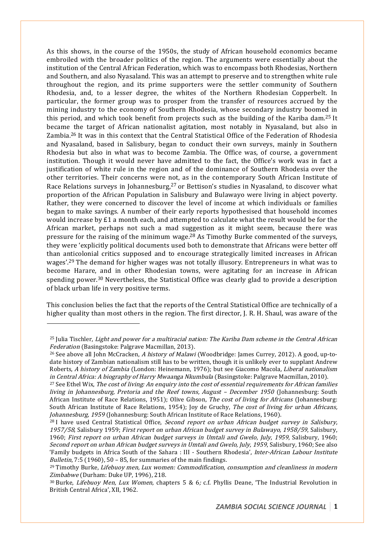As this shows, in the course of the 1950s, the study of African household economics became embroiled with the broader politics of the region. The arguments were essentially about the institution of the Central African Federation, which was to encompass both Rhodesias, Northern and Southern, and also Nyasaland. This was an attempt to preserve and to strengthen white rule throughout the region, and its prime supporters were the settler community of Southern Rhodesia, and, to a lesser degree, the whites of the Northern Rhodesian Copperbelt. In particular, the former group was to prosper from the transfer of resources accrued by the mining industry to the economy of Southern Rhodesia, whose secondary industry boomed in this period, and which took benefit from projects such as the building of the Kariba dam.<sup>25</sup> It became the target of African nationalist agitation, most notably in Nyasaland, but also in Zambia.26 It was in this context that the Central Statistical Office of the Federation of Rhodesia and Nyasaland, based in Salisbury, began to conduct their own surveys, mainly in Southern Rhodesia but also in what was to become Zambia. The Office was, of course, a government institution. Though it would never have admitted to the fact, the Office's work was in fact a justification of white rule in the region and of the dominance of Southern Rhodesia over the other territories. Their concerns were not, as in the contemporary South African Institute of Race Relations surveys in Johannesburg, $27$  or Bettison's studies in Nyasaland, to discover what proportion of the African Population in Salisbury and Bulawayo were living in abject poverty. Rather, they were concerned to discover the level of income at which individuals or families began to make savings. A number of their early reports hypothesised that household incomes would increase by  $E1$  a month each, and attempted to calculate what the result would be for the African market, perhaps not such a mad suggestion as it might seem, because there was pressure for the raising of the minimum wage.28 As Timothy Burke commented of the surveys, they were 'explicitly political documents used both to demonstrate that Africans were better off than anticolonial critics supposed and to encourage strategically limited increases in African wages'.29 The demand for higher wages was not totally illusory. Entrepreneurs in what was to become Harare, and in other Rhodesian towns, were agitating for an increase in African spending power.<sup>30</sup> Nevertheless, the Statistical Office was clearly glad to provide a description of black urban life in very positive terms.

This conclusion belies the fact that the reports of the Central Statistical Office are technically of a higher quality than most others in the region. The first director, J. R. H. Shaul, was aware of the

<sup>&</sup>lt;sup>25</sup> Julia Tischler, *Light and power for a multiracial nation: The Kariba Dam scheme in the Central African* Federation (Basingstoke: Palgrave Macmillan, 2013).

<sup>&</sup>lt;sup>26</sup> See above all John McCracken, A history of Malawi (Woodbridge: James Currey, 2012). A good, up-todate history of Zambian nationalism still has to be written, though it is unlikely ever to supplant Andrew Roberts, A history of Zambia (London: Heinemann, 1976); but see Giacomo Macola, Liberal nationalism in Central Africa: A biography of Harry Mwaanga Nkumbula (Basingstoke: Palgrave Macmillan, 2010).

<sup>&</sup>lt;sup>27</sup> See Ethel Wix, *The cost of living: An enquiry into the cost of essential requirements for African families* living in Johannesburg, Pretoria and the Reef towns, August – December 1950 (Johannesburg: South African Institute of Race Relations, 1951); Olive Gibson, *The cost of living for Africans* (Johannesburg: South African Institute of Race Relations, 1954); Joy de Gruchy, The cost of living for urban Africans, Johannesburg, 1959 (Johannesburg: South African Institute of Race Relations, 1960).

<sup>&</sup>lt;sup>28</sup> I have used Central Statistical Office, Second report on urban African budget survey in Salisbury, 1957/58, Salisbury 1959; First report on urban African budget survey in Bulawayo, 1958/59, Salisbury, 1960; First report on urban African budget surveys in Umtali and Gwelo, July, <sup>1959</sup>, Salisbury, 1960; Second report on urban African budget surveys in Umtali and Gwelo, July, <sup>1959</sup>, Salisbury, 1960; See also 'Family budgets in Africa South of the Sahara : III - Southern Rhodesia', Inter-African Labour Institute Bulletin,  $7:5$  (1960),  $50 - 85$ , for summaries of the main findings.

 $29$  Timothy Burke, Lifebuoy men, Lux women: Commodification, consumption and cleanliness in modern Zimbabwe (Durham: Duke UP, 1996), 218.

<sup>&</sup>lt;sup>30</sup> Burke, *Lifebuoy Men, Lux Women,* chapters 5 & 6; c.f. Phyllis Deane, 'The Industrial Revolution in British Central Africa', XII, 1962.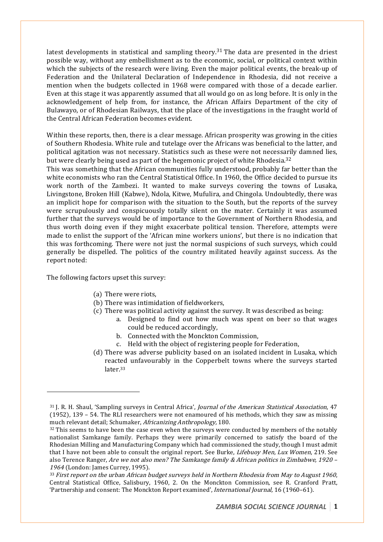latest developments in statistical and sampling theory.<sup>31</sup> The data are presented in the driest possible way, without any embellishment as to the economic, social, or political context within which the subjects of the research were living. Even the major political events, the break-up of Federation and the Unilateral Declaration of Independence in Rhodesia, did not receive a mention when the budgets collected in 1968 were compared with those of a decade earlier. Even at this stage it was apparently assumed that all would go on as long before. It is only in the acknowledgement of help from, for instance, the African Affairs Department of the city of Bulawayo, or of Rhodesian Railways, that the place of the investigations in the fraught world of the Central African Federation becomes evident.

Within these reports, then, there is a clear message. African prosperity was growing in the cities of Southern Rhodesia. White rule and tutelage over the Africans was beneficial to the latter, and political agitation was not necessary. Statistics such as these were not necessarily damned lies, but were clearly being used as part of the hegemonic project of white Rhodesia.<sup>32</sup>

This was something that the African communities fully understood, probably far better than the white economists who ran the Central Statistical Office. In 1960, the Office decided to pursue its work north of the Zambezi. It wanted to make surveys covering the towns of Lusaka, Livingstone, Broken Hill (Kabwe), Ndola, Kitwe, Mufulira, and Chingola. Undoubtedly, there was an implicit hope for comparison with the situation to the South, but the reports of the survey were scrupulously and conspicuously totally silent on the mater. Certainly it was assumed further that the surveys would be of importance to the Government of Northern Rhodesia, and thus worth doing even if they might exacerbate political tension. Therefore, attempts were made to enlist the support of the 'African mine workers unions', but there is no indication that this was forthcoming. There were not just the normal suspicions of such surveys, which could generally be dispelled. The politics of the country militated heavily against success. As the report noted:

The following factors upset this survey:

- (a) There were riots,
- (b) There was intimidation of fieldworkers,
- (c) There was political activity against the survey. It was described as being:
	- a. Designed to find out how much was spent on beer so that wages could be reduced accordingly,
	- b. Connected with the Monckton Commission,
	- c. Held with the object of registering people for Federation,
- (d) There was adverse publicity based on an isolated incident in Lusaka, which reacted unfavourably in the Copperbelt towns where the surveys started later.33

<sup>31</sup> J. R. H. Shaul, 'Sampling surveys in Central Africa', Journal of the American Statistical Association, 47 (1952), 139 – 54. The RLI researchers were not enamoured of his methods, which they saw as missing much relevant detail; Schumaker, Africanizing Anthropology, 180.

<sup>&</sup>lt;sup>32</sup> This seems to have been the case even when the surveys were conducted by members of the notably nationalist Samkange family. Perhaps they were primarily concerned to satisfy the board of the Rhodesian Milling and Manufacturing Company which had commissioned the study, though I must admit that I have not been able to consult the original report. See Burke, Lifebuoy Men, Lux Women, 219. See also Terence Ranger, Are we not also men? The Samkange family & African politics in Zimbabwe, 1920 – <sup>1964</sup> (London: James Currey, 1995).

<sup>&</sup>lt;sup>33</sup> First report on the urban African budget surveys held in Northern Rhodesia from May to August 1960, Central Statistical Office, Salisbury, 1960, 2. On the Monckton Commission, see R. Cranford Pratt, 'Partnership and consent: The Monckton Report examined', International Journal, 16 (1960–61).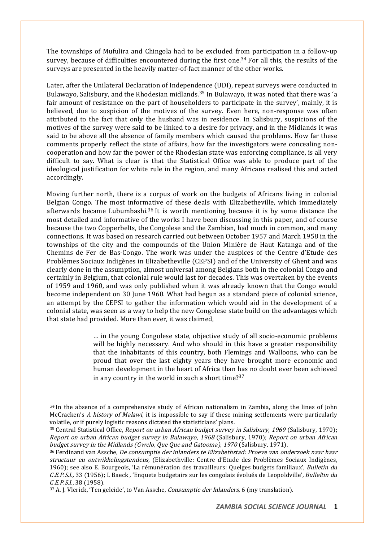The townships of Mufulira and Chingola had to be excluded from participation in a follow-up survey, because of difficulties encountered during the first one.<sup>34</sup> For all this, the results of the surveys are presented in the heavily matter-of-fact manner of the other works.

Later, after the Unilateral Declaration of Independence (UDI), repeat surveys were conducted in Bulawayo, Salisbury, and the Rhodesian midlands.<sup>35</sup> In Bulawayo, it was noted that there was 'a fair amount of resistance on the part of householders to participate in the survey', mainly, it is believed, due to suspicion of the motives of the survey. Even here, non-response was often attributed to the fact that only the husband was in residence. In Salisbury, suspicions of the motives of the survey were said to be linked to a desire for privacy, and in the Midlands it was said to be above all the absence of family members which caused the problems. How far these comments properly reflect the state of affairs, how far the investigators were concealing noncooperation and how far the power of the Rhodesian state was enforcing compliance, is all very difficult to say. What is clear is that the Statistical Office was able to produce part of the ideological justification for white rule in the region, and many Africans realised this and acted accordingly.

Moving further north, there is a corpus of work on the budgets of Africans living in colonial Belgian Congo. The most informative of these deals with Elizabetheville, which immediately afterwards became Lubumbashi.36 It is worth mentioning because it is by some distance the most detailed and informative of the works I have been discussing in this paper, and of course because the two Copperbelts, the Congolese and the Zambian, had much in common, and many connections. It was based on research carried out between October 1957 and March 1958 in the townships of the city and the compounds of the Union Minière de Haut Katanga and of the Chemins de Fer de Bas-Congo. The work was under the auspices of the Centre d'Etude des Problèmes Sociaux Indigènes in Elizabetheville (CEPSI) and of the University of Ghent and was clearly done in the assumption, almost universal among Belgians both in the colonial Congo and certainly in Belgium, that colonial rule would last for decades. This was overtaken by the events of 1959 and 1960, and was only published when it was already known that the Congo would become independent on 30 June 1960. What had begun as a standard piece of colonial science, an attempt by the CEPSI to gather the information which would aid in the development of a colonial state, was seen as a way to help the new Congolese state build on the advantages which that state had provided. More than ever, it was claimed,

> … in the young Congolese state, objective study of all socio-economic problems will be highly necessary. And who should in this have a greater responsibility that the inhabitants of this country, both Flemings and Walloons, who can be proud that over the last eighty years they have brought more economic and human development in the heart of Africa than has no doubt ever been achieved in any country in the world in such a short time? $37$

 $34$  In the absence of a comprehensive study of African nationalism in Zambia, along the lines of John McCracken's A history of Malawi, it is impossible to say if these mining settlements were particularly volatile, or if purely logistic reasons dictated the statisticians' plans.<br><sup>35</sup> Central Statistical Office, *Report on urban African budget survey in Salisbury, 1969* (Salisbury, 1970);

Report on urban African budget survey in Bulawayo, <sup>1968</sup> (Salisbury, 1970); Report on urban African budget survey in the Midlands (Gwelo, Que Que and Gatooma), 1970 (Salisbury, 1971).

<sup>36</sup> Ferdinand van Assche, De consumptie der inlanders te Elizabethstad: Proeve van onderzoek naar haar structuur en ontwikkelingstendens, (Elizabethville: Centre d'Etude des Problèmes Sociaux Indigènes, 1960); see also E. Bourgeois, 'La rémunération des travailleurs: Quelges budgets familiaux', Bulletin du C.E.P.S.I., 33 (1956); L Baeck , 'Enquete budgetairs sur les congolais évolués de Leopoldville', Bulleltin du C.E.P.S.I., 38 (1958).

<sup>37</sup> A. J. Vlerick, 'Ten geleide', to Van Assche, Consumptie der Inlanders, 6 (my translation).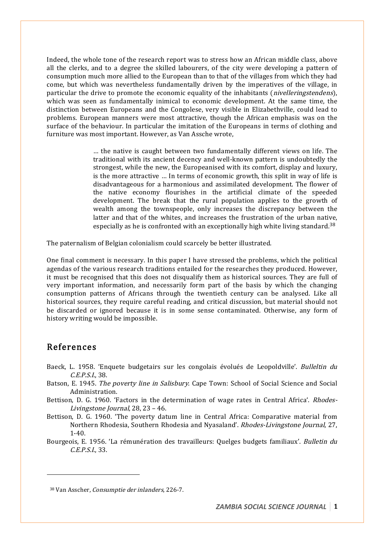Indeed, the whole tone of the research report was to stress how an African middle class, above all the clerks, and to a degree the skilled labourers, of the city were developing a pattern of consumption much more allied to the European than to that of the villages from which they had come, but which was nevertheless fundamentally driven by the imperatives of the village, in particular the drive to promote the economic equality of the inhabitants (*nivelleringstendens*), which was seen as fundamentally inimical to economic development. At the same time, the distinction between Europeans and the Congolese, very visible in Elizabethville, could lead to problems. European manners were most attractive, though the African emphasis was on the surface of the behaviour. In particular the imitation of the Europeans in terms of clothing and furniture was most important. However, as Van Assche wrote,

> … the native is caught between two fundamentally different views on life. The traditional with its ancient decency and well-known pattern is undoubtedly the strongest, while the new, the Europeanised with its comfort, display and luxury, is the more attractive … In terms of economic growth, this split in way of life is disadvantageous for a harmonious and assimilated development. The flower of the native economy flourishes in the artificial climate of the speeded development. The break that the rural population applies to the growth of wealth among the townspeople, only increases the discrepancy between the latter and that of the whites, and increases the frustration of the urban native, especially as he is confronted with an exceptionally high white living standard.<sup>38</sup>

The paternalism of Belgian colonialism could scarcely be better illustrated.

One final comment is necessary. In this paper I have stressed the problems, which the political agendas of the various research traditions entailed for the researches they produced. However, it must be recognised that this does not disqualify them as historical sources. They are full of very important information, and necessarily form part of the basis by which the changing consumption patterns of Africans through the twentieth century can be analysed. Like all historical sources, they require careful reading, and critical discussion, but material should not be discarded or ignored because it is in some sense contaminated. Otherwise, any form of history writing would be impossible.

## References

- Baeck, L. 1958. 'Enquete budgetairs sur les congolais évolués de Leopoldville'. Bulleltin du C.E.P.S.I., 38.
- Batson, E. 1945. The poverty line in Salisbury. Cape Town: School of Social Science and Social Administration.
- Bettison, D. G. 1960. 'Factors in the determination of wage rates in Central Africa'. Rhodes-Livingstone Journal, 28, 23 – 46.
- Bettison, D. G. 1960. 'The poverty datum line in Central Africa: Comparative material from Northern Rhodesia, Southern Rhodesia and Nyasaland'. Rhodes-Livingstone Journal, 27, 1-40.
- Bourgeois, E. 1956. 'La rémunération des travailleurs: Quelges budgets familiaux'. Bulletin du C.E.P.S.I., 33.

<sup>38</sup> Van Asscher, Consumptie der inlanders, 226-7.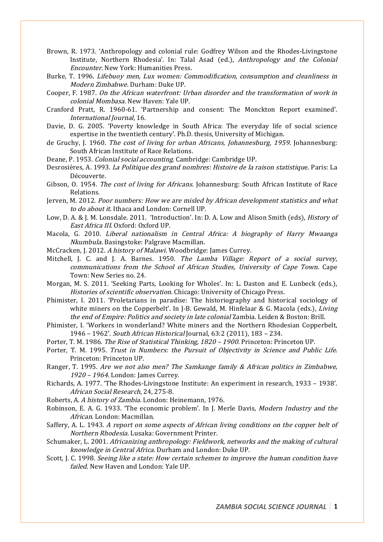- Brown, R. 1973. 'Anthropology and colonial rule: Godfrey Wilson and the Rhodes-Livingstone Institute, Northern Rhodesia'. In: Talal Asad (ed.), Anthropology and the Colonial Encounter. New York: Humanities Press.
- Burke, T. 1996. Lifebuoy men, Lux women: Commodification, consumption and cleanliness in Modern Zimbabwe. Durham: Duke UP.
- Cooper, F. 1987. On the African waterfront: Urban disorder and the transformation of work in colonial Mombasa. New Haven: Yale UP.
- Cranford Pratt, R. 1960-61. 'Partnership and consent: The Monckton Report examined'. International Journal, 16.
- Davie, D. G. 2005. 'Poverty knowledge in South Africa: The everyday life of social science expertise in the twentieth century'. Ph.D. thesis, University of Michigan.
- de Gruchy, J. 1960. The cost of living for urban Africans, Johannesburg, 1959. Johannesburg: South African Institute of Race Relations.
- Deane, P. 1953. Colonial social accounting. Cambridge: Cambridge UP.
- Desrosières, A. 1993. La Politique des grand nombres: Histoire de la raison statistique. Paris: La Découverte.
- Gibson, O. 1954. The cost of living for Africans. Johannesburg: South African Institute of Race Relations.
- Jerven, M. 2012. Poor numbers: How we are misled by African development statistics and what to do about it. Ithaca and London: Cornell UP.
- Low, D. A. & J. M. Lonsdale. 2011. 'Introduction'. In: D. A. Low and Alison Smith (eds), History of East Africa III. Oxford: Oxford UP.
- Macola, G. 2010. Liberal nationalism in Central Africa: A biography of Harry Mwaanga Nkumbula. Basingstoke: Palgrave Macmillan.
- McCracken, J. 2012. A history of Malawi. Woodbridge: James Currey.
- Mitchell, J. C. and J. A. Barnes. 1950. The Lamba Village: Report of a social survey, communications from the School of African Studies, University of Cape Town. Cape Town: New Series no. 24.
- Morgan, M. S. 2011. 'Seeking Parts, Looking for Wholes'. In: L. Daston and E. Lunbeck (eds.), Histories of scientific observation. Chicago: University of Chicago Press.
- Phimister, I. 2011. 'Proletarians in paradise: The historiography and historical sociology of white miners on the Copperbelt'. In J-B. Gewald, M. Hinfelaar & G. Macola (eds.), *Living* the end of Empire: Politics and society in late colonial Zambia. Leiden & Boston: Brill.
- Phimister, I. 'Workers in wonderland? White miners and the Northern Rhodesian Copperbelt, 1946 – 1962'. South African Historical Journal, 63:2 (2011), 183 – 234.
- Porter, T. M. 1986. The Rise of Statistical Thinking, 1820 <sup>1900</sup>. Princeton: Princeton UP.
- Porter, T. M. 1995. Trust in Numbers: the Pursuit of Objectivity in Science and Public Life. Princeton: Princeton UP.
- Ranger, T. 1995. Are we not also men? The Samkange family & African politics in Zimbabwe, 1920 – <sup>1964</sup>. London: James Currey.
- Richards, A. 1977. 'The Rhodes-Livingstone Institute: An experiment in research, 1933 1938'. African Social Research, 24, 275-8.
- Roberts, A. A history of Zambia. London: Heinemann, 1976.
- Robinson, E. A. G. 1933. 'The economic problem'. In J. Merle Davis, Modern Industry and the African. London: Macmillan.
- Saffery, A. L. 1943. A report on some aspects of African living conditions on the copper belt of Northern Rhodesia. Lusaka: Government Printer.
- Schumaker, L. 2001. Africanizing anthropology: Fieldwork, networks and the making of cultural knowledge in Central Africa. Durham and London: Duke UP.
- Scott, J. C. 1998. Seeing like a state: How certain schemes to improve the human condition have failed. New Haven and London: Yale UP.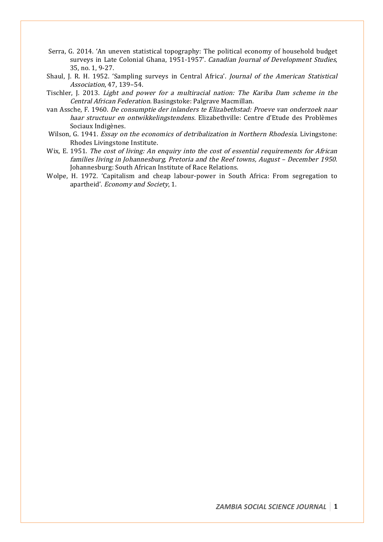- Serra, G. 2014. 'An uneven statistical topography: The political economy of household budget surveys in Late Colonial Ghana, 1951-1957'. Canadian Journal of Development Studies, 35, no. 1, 9-27.
- Shaul, J. R. H. 1952. 'Sampling surveys in Central Africa'. Journal of the American Statistical Association, 47, 139–54.
- Tischler, J. 2013. Light and power for a multiracial nation: The Kariba Dam scheme in the Central African Federation. Basingstoke: Palgrave Macmillan.
- van Assche, F. 1960. De consumptie der inlanders te Elizabethstad: Proeve van onderzoek naar haar structuur en ontwikkelingstendens. Elizabethville: Centre d'Etude des Problèmes Sociaux Indigènes.
- Wilson, G. 1941. Essay on the economics of detribalization in Northern Rhodesia. Livingstone: Rhodes Livingstone Institute.
- Wix, E. 1951. The cost of living: An enquiry into the cost of essential requirements for African families living in Johannesburg, Pretoria and the Reef towns, August – December 1950. Johannesburg: South African Institute of Race Relations.
- Wolpe, H. 1972. 'Capitalism and cheap labour-power in South Africa: From segregation to apartheid'. Economy and Society, 1.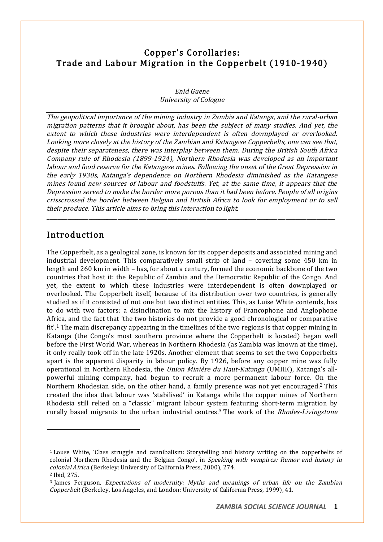## Copper's Corollaries: Trade and Labour Migration in the Copperbelt (1910-1940)

Enid Guene University of Cologne

The geopolitical importance of the mining industry in Zambia and Katanga, and the rural-urban migration patterns that it brought about, has been the subject of many studies. And yet, the extent to which these industries were interdependent is often downplayed or overlooked. Looking more closely at the history of the Zambian and Katangese Copperbelts, one can see that, despite their separateness, there was interplay between them. During the British South Africa Company rule of Rhodesia (1899-1924), Northern Rhodesia was developed as an important labour and food reserve for the Katangese mines. Following the onset of the Great Depression in the early 1930s, Katanga's dependence on Northern Rhodesia diminished as the Katangese mines found new sources of labour and foodstuffs. Yet, at the same time, it appears that the Depression served to make the border more porous than it had been before. People of all origins crisscrossed the border between Belgian and British Africa to look for employment or to sell their produce. This article aims to bring this interaction to light.

\_\_\_\_\_\_\_\_\_\_\_\_\_\_\_\_\_\_\_\_\_\_\_\_\_\_\_\_\_\_\_\_\_\_\_\_\_\_\_\_\_\_\_\_\_\_\_\_\_\_\_\_\_\_\_\_\_\_\_\_\_\_\_\_\_\_\_\_\_\_\_\_\_\_\_\_\_\_\_\_\_\_\_\_\_\_\_\_\_\_\_\_\_\_\_\_\_\_\_\_\_\_\_\_\_\_\_\_\_\_

## Introduction

 $\overline{a}$ 

The Copperbelt, as a geological zone, is known for its copper deposits and associated mining and industrial development. This comparatively small strip of land – covering some 450 km in length and 260 km in width – has, for about a century, formed the economic backbone of the two countries that host it: the Republic of Zambia and the Democratic Republic of the Congo. And yet, the extent to which these industries were interdependent is often downplayed or overlooked. The Copperbelt itself, because of its distribution over two countries, is generally studied as if it consisted of not one but two distinct entities. This, as Luise White contends, has to do with two factors: a disinclination to mix the history of Francophone and Anglophone Africa, and the fact that 'the two histories do not provide a good chronological or comparative fit'.1 The main discrepancy appearing in the timelines of the two regions is that copper mining in Katanga (the Congo's most southern province where the Copperbelt is located) began well before the First World War, whereas in Northern Rhodesia (as Zambia was known at the time), it only really took off in the late 1920s. Another element that seems to set the two Copperbelts apart is the apparent disparity in labour policy. By 1926, before any copper mine was fully operational in Northern Rhodesia, the Union Minière du Haut-Katanga (UMHK), Katanga's allpowerful mining company, had begun to recruit a more permanent labour force. On the Northern Rhodesian side, on the other hand, a family presence was not yet encouraged.<sup>2</sup> This created the idea that labour was 'stabilised' in Katanga while the copper mines of Northern Rhodesia still relied on a "classic" migrant labour system featuring short-term migration by rurally based migrants to the urban industrial centres.<sup>3</sup> The work of the *Rhodes-Livingstone* 

<sup>1</sup> Louse White, 'Class struggle and cannibalism: Storytelling and history writing on the copperbelts of colonial Northern Rhodesia and the Belgian Congo', in Speaking with vampires: Rumor and history in colonial Africa (Berkeley: University of California Press, 2000), 274. <sup>2</sup> Ibid, 275.

<sup>3</sup> James Ferguson, Expectations of modernity: Myths and meanings of urban life on the Zambian Copperbelt (Berkeley, Los Angeles, and London: University of California Press, 1999), 41.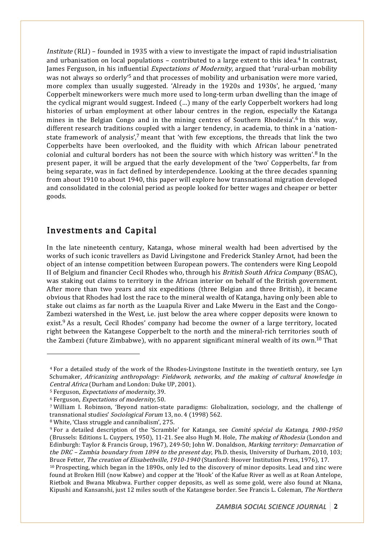Institute (RLI) – founded in 1935 with a view to investigate the impact of rapid industrialisation and urbanisation on local populations  $-$  contributed to a large extent to this idea.<sup>4</sup> In contrast, James Ferguson, in his influential *Expectations of Modernity*, argued that 'rural-urban mobility was not always so orderly'5 and that processes of mobility and urbanisation were more varied, more complex than usually suggested. 'Already in the 1920s and 1930s', he argued, 'many Copperbelt mineworkers were much more used to long-term urban dwelling than the image of the cyclical migrant would suggest. Indeed (…) many of the early Copperbelt workers had long histories of urban employment at other labour centres in the region, especially the Katanga mines in the Belgian Congo and in the mining centres of Southern Rhodesia'.<sup>6</sup> In this way, different research traditions coupled with a larger tendency, in academia, to think in a 'nationstate framework of analysis', $7$  meant that 'with few exceptions, the threads that link the two Copperbelts have been overlooked, and the fluidity with which African labour penetrated colonial and cultural borders has not been the source with which history was written'.8 In the present paper, it will be argued that the early development of the 'two' Copperbelts, far from being separate, was in fact defined by interdependence. Looking at the three decades spanning from about 1910 to about 1940, this paper will explore how transnational migration developed and consolidated in the colonial period as people looked for better wages and cheaper or better goods.

## Investments and Capital

In the late nineteenth century, Katanga, whose mineral wealth had been advertised by the works of such iconic travellers as David Livingstone and Frederick Stanley Arnot, had been the object of an intense competition between European powers. The contenders were King Leopold II of Belgium and financier Cecil Rhodes who, through his British South Africa Company (BSAC), was staking out claims to territory in the African interior on behalf of the British government. After more than two years and six expeditions (three Belgian and three British), it became obvious that Rhodes had lost the race to the mineral wealth of Katanga, having only been able to stake out claims as far north as the Luapula River and Lake Mweru in the East and the Congo-Zambezi watershed in the West, i.e. just below the area where copper deposits were known to exist.<sup>9</sup> As a result, Cecil Rhodes' company had become the owner of a large territory, located right between the Katangese Copperbelt to the north and the mineral-rich territories south of the Zambezi (future Zimbabwe), with no apparent significant mineral wealth of its own.10 That

<sup>4</sup> For a detailed study of the work of the Rhodes-Livingstone Institute in the twentieth century, see Lyn Schumaker, Africanizing anthropology: Fieldwork, networks, and the making of cultural knowledge in Central Africa (Durham and London: Duke UP, 2001).

<sup>5</sup> Ferguson, Expectations of modernity, 39.

<sup>6</sup> Ferguson, Expectations of modernity, 50.

<sup>7</sup> William I. Robinson, 'Beyond nation-state paradigms: Globalization, sociology, and the challenge of transnational studies' Sociological Forum 13, no. 4 (1998) 562.

<sup>8</sup> White, 'Class struggle and cannibalism', 275.

<sup>9</sup> For a detailed description of the 'Scramble' for Katanga, see Comité spécial du Katanga, 1900-1950 (Brussels: Editions L. Cuypers, 1950), 11-21. See also Hugh M. Hole, The making of Rhodesia (London and Edinburgh: Taylor & Francis Group, 1967), 249-50; John W. Donaldson, Marking territory: Demarcation of the DRC – Zambia boundary from 1894 to the present day, Ph.D. thesis, University of Durham, 2010, 103; Bruce Fetter, The creation of Elisabethville, 1910-1940 (Stanford: Hoover Institution Press, 1976), 17.

<sup>10</sup> Prospecting, which began in the 1890s, only led to the discovery of minor deposits. Lead and zinc were found at Broken Hill (now Kabwe) and copper at the 'Hook' of the Kafue River as well as at Roan Antelope, Rietbok and Bwana Mkubwa. Further copper deposits, as well as some gold, were also found at Nkana, Kipushi and Kansanshi, just 12 miles south of the Katangese border. See Francis L. Coleman, The Northern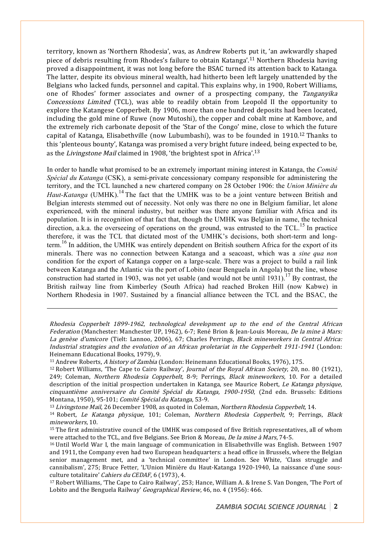territory, known as 'Northern Rhodesia', was, as Andrew Roberts put it, 'an awkwardly shaped piece of debris resulting from Rhodes's failure to obtain Katanga'.11 Northern Rhodesia having proved a disappointment, it was not long before the BSAC turned its attention back to Katanga. The latter, despite its obvious mineral wealth, had hitherto been left largely unattended by the Belgians who lacked funds, personnel and capital. This explains why, in 1900, Robert Williams, one of Rhodes' former associates and owner of a prospecting company, the Tanganyika Concessions Limited (TCL), was able to readily obtain from Leopold II the opportunity to explore the Katangese Copperbelt. By 1906, more than one hundred deposits had been located, including the gold mine of Ruwe (now Mutoshi), the copper and cobalt mine at Kambove, and the extremely rich carbonate deposit of the 'Star of the Congo' mine, close to which the future capital of Katanga, Elisabethville (now Lubumbashi), was to be founded in 1910.<sup>12</sup> Thanks to this 'plenteous bounty', Katanga was promised a very bright future indeed, being expected to be, as the Livingstone Mail claimed in 1908, 'the brightest spot in Africa'.13

In order to handle what promised to be an extremely important mining interest in Katanga, the *Comité Spécial du Katanga* (CSK), a semi-private concessionary company responsible for administering the territory, and the TCL launched a new chartered company on 28 October 1906: the *Union Minière du Haut-Katanga* (UMHK).<sup>14</sup> The fact that the UMHK was to be a joint venture between British and Belgian interests stemmed out of necessity. Not only was there no one in Belgium familiar, let alone experienced, with the mineral industry, but neither was there anyone familiar with Africa and its population. It is in recognition of that fact that, though the UMHK was Belgian in name, the technical direction, a.k.a. the overseeing of operations on the ground, was entrusted to the  $TCL$ <sup>15</sup>. In practice therefore, it was the TCL that dictated most of the UMHK's decisions, both short-term and longterm.<sup>16</sup> In addition, the UMHK was entirely dependent on British southern Africa for the export of its minerals. There was no connection between Katanga and a seacoast, which was a *sine qua non* condition for the export of Katanga copper on a large-scale. There was a project to build a rail link between Katanga and the Atlantic via the port of Lobito (near Benguela in Angola) but the line, whose construction had started in 1903, was not yet usable (and would not be until 1931).<sup>17</sup> By contrast, the British railway line from Kimberley (South Africa) had reached Broken Hill (now Kabwe) in Northern Rhodesia in 1907. Sustained by a financial alliance between the TCL and the BSAC, the

Rhodesia Copperbelt 1899-1962, technological development up to the end of the Central African Federation (Manchester: Manchester UP, 1962), 6-7; René Brion & Jean-Louis Moreau, De la mine à Mars: La genèse d'umicore (Tielt: Lannoo, 2006), 67; Charles Perrings, Black mineworkers in Central Africa: Industrial strategies and the evolution of an African proletariat in the Copperbelt 1911-1941 (London: Heinemann Educational Books, 1979), 9.

<sup>11</sup> Andrew Roberts, A history of Zambia (London: Heinemann Educational Books, 1976), 175.

.

<sup>12</sup> Robert Williams, 'The Cape to Cairo Railway', Journal of the Royal African Society, 20, no. 80 (1921), 249; Coleman, Northern Rhodesia Copperbelt, 8-9; Perrings, Black mineworkers, 10. For a detailed description of the initial prospection undertaken in Katanga, see Maurice Robert, Le Katanga physique, cinquantième anniversaire du Comité Spécial du Katanga, 1900-1950, (2nd edn. Brussels: Editions Montana, 1950), 95-101; Comité Spécial du Katanga, 53-9.

<sup>13</sup> Livingstone Mail, 26 December 1908, as quoted in Coleman, Northern Rhodesia Copperbelt, 14.

<sup>14</sup> Robert, Le Katanga physique, 101; Coleman, Northern Rhodesia Copperbelt, 9; Perrings, Black mineworkers, 10.

<sup>15</sup> The first administrative council of the UMHK was composed of five British representatives, all of whom were attached to the TCL, and five Belgians. See Brion & Moreau, *De la mine à Mars,* 74-5.

<sup>16</sup> Until World War I, the main language of communication in Elisabethville was English. Between 1907 and 1911, the Company even had two European headquarters: a head office in Brussels, where the Belgian senior management met, and a 'technical committee' in London. See White, 'Class struggle and cannibalism', 275; Bruce Fetter, 'L'Union Minière du Haut-Katanga 1920-1940, La naissance d'une sousculture totalitaire' Cahiers du CEDAF, 6 (1973), 4.

<sup>17</sup> Robert Williams, 'The Cape to Cairo Railway', 253; Hance, William A. & Irene S. Van Dongen, 'The Port of Lobito and the Benguela Railway' Geographical Review, 46, no. 4 (1956): 466.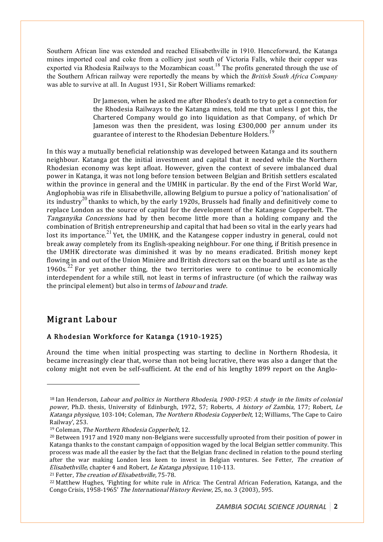Southern African line was extended and reached Elisabethville in 1910. Henceforward, the Katanga mines imported coal and coke from a colliery just south of Victoria Falls, while their copper was exported via Rhodesia Railways to the Mozambican coast.<sup>18</sup> The profits generated through the use of the Southern African railway were reportedly the means by which the *British South Africa Company* was able to survive at all. In August 1931, Sir Robert Williams remarked:

> Dr Jameson, when he asked me after Rhodes's death to try to get a connection for the Rhodesia Railways to the Katanga mines, told me that unless I got this, the Chartered Company would go into liquidation as that Company, of which Dr Jameson was then the president, was losing £300,000 per annum under its guarantee of interest to the Rhodesian Debenture Holders.<sup>19</sup>

In this way a mutually beneficial relationship was developed between Katanga and its southern neighbour. Katanga got the initial investment and capital that it needed while the Northern Rhodesian economy was kept afloat. However, given the context of severe imbalanced dual power in Katanga, it was not long before tension between Belgian and British settlers escalated within the province in general and the UMHK in particular. By the end of the First World War, Anglophobia was rife in Elisabethville, allowing Belgium to pursue a policy of 'nationalisation' of its industry<sup>20</sup> thanks to which, by the early 1920s, Brussels had finally and definitively come to replace London as the source of capital for the development of the Katangese Copperbelt. The Tanganyika Concessions had by then become little more than a holding company and the combination of British entrepreneurship and capital that had been so vital in the early years had lost its importance.<sup>21</sup> Yet, the UMHK, and the Katangese copper industry in general, could not break away completely from its English-speaking neighbour. For one thing, if British presence in the UMHK directorate was diminished it was by no means eradicated. British money kept flowing in and out of the Union Minière and British directors sat on the board until as late as the 1960s.<sup>22</sup> For yet another thing, the two territories were to continue to be economically interdependent for a while still, not least in terms of infrastructure (of which the railway was the principal element) but also in terms of labour and trade.

## Migrant Labour

 $\overline{\phantom{0}}$ 

#### A Rhodesian Workforce for Katanga (1910-1925)

Around the time when initial prospecting was starting to decline in Northern Rhodesia, it became increasingly clear that, worse than not being lucrative, there was also a danger that the colony might not even be self-sufficient. At the end of his lengthy 1899 report on the Anglo-

<sup>21</sup> Fetter, The creation of Elisabethville, 75-78.

<sup>18</sup> Ian Henderson, Labour and politics in Northern Rhodesia, 1900-1953: A study in the limits of colonial power, Ph.D. thesis, University of Edinburgh, 1972, 57; Roberts, A history of Zambia, 177; Robert, Le Katanga physique, 103-104; Coleman, The Northern Rhodesia Copperbelt, 12; Williams, 'The Cape to Cairo Railway', 253.

<sup>19</sup> Coleman, The Northern Rhodesia Copperbelt, 12.

<sup>20</sup> Between 1917 and 1920 many non-Belgians were successfully uprooted from their position of power in Katanga thanks to the constant campaign of opposition waged by the local Belgian settler community. This process was made all the easier by the fact that the Belgian franc declined in relation to the pound sterling after the war making London less keen to invest in Belgian ventures. See Fetter, The creation of Elisabethville, chapter 4 and Robert, Le Katanga physique, 110-113.

<sup>22</sup> Matthew Hughes, 'Fighting for white rule in Africa: The Central African Federation, Katanga, and the Congo Crisis, 1958-1965' The International History Review, 25, no. 3 (2003), 595.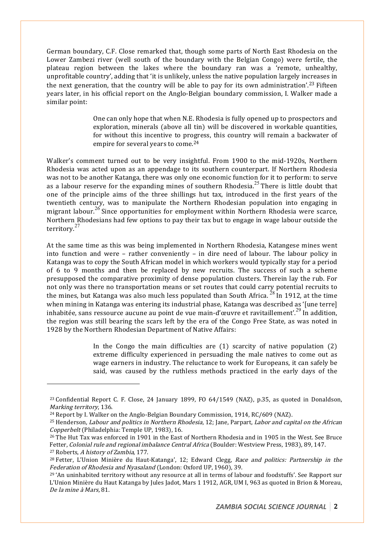German boundary, C.F. Close remarked that, though some parts of North East Rhodesia on the Lower Zambezi river (well south of the boundary with the Belgian Congo) were fertile, the plateau region between the lakes where the boundary ran was a 'remote, unhealthy, unprofitable country', adding that 'it is unlikely, unless the native population largely increases in the next generation, that the country will be able to pay for its own administration'.<sup>23</sup> Fifteen years later, in his official report on the Anglo-Belgian boundary commission, I. Walker made a similar point:

> One can only hope that when N.E. Rhodesia is fully opened up to prospectors and exploration, minerals (above all tin) will be discovered in workable quantities, for without this incentive to progress, this country will remain a backwater of empire for several years to come.24

Walker's comment turned out to be very insightful. From 1900 to the mid-1920s, Northern Rhodesia was acted upon as an appendage to its southern counterpart. If Northern Rhodesia was not to be another Katanga, there was only one economic function for it to perform: to serve as a labour reserve for the expanding mines of southern Rhodesia.<sup>25</sup> There is little doubt that one of the principle aims of the three shillings hut tax, introduced in the first years of the twentieth century, was to manipulate the Northern Rhodesian population into engaging in migrant labour.<sup>26</sup> Since opportunities for employment within Northern Rhodesia were scarce, Northern Rhodesians had few options to pay their tax but to engage in wage labour outside the territory.<sup>27</sup>

At the same time as this was being implemented in Northern Rhodesia, Katangese mines went into function and were – rather conveniently – in dire need of labour. The labour policy in Katanga was to copy the South African model in which workers would typically stay for a period of 6 to 9 months and then be replaced by new recruits. The success of such a scheme presupposed the comparative proximity of dense population clusters. Therein lay the rub. For not only was there no transportation means or set routes that could carry potential recruits to the mines, but Katanga was also much less populated than South Africa.<sup>28</sup> In 1912, at the time when mining in Katanga was entering its industrial phase, Katanga was described as '[une terre] inhabitée, sans ressource aucune au point de vue main-d'œuvre et ravitaillement'.<sup>29</sup> In addition. the region was still bearing the scars left by the era of the Congo Free State, as was noted in 1928 by the Northern Rhodesian Department of Native Affairs:

> In the Congo the main difficulties are  $(1)$  scarcity of native population  $(2)$ extreme difficulty experienced in persuading the male natives to come out as wage earners in industry. The reluctance to work for Europeans, it can safely be said, was caused by the ruthless methods practiced in the early days of the

l

<sup>23</sup> Confidential Report C. F. Close, 24 January 1899, FO 64/1549 (NAZ), p.35, as quoted in Donaldson, Marking territory, 136.

<sup>&</sup>lt;sup>24</sup> Report by I. Walker on the Anglo-Belgian Boundary Commission, 1914, RC/609 (NAZ).

<sup>&</sup>lt;sup>25</sup> Henderson, *Labour and politics in Northern Rhodesia*, 12; Jane, Parpart, *Labor and capital on the African* Copperbelt (Philadelphia: Temple UP, 1983), 16.

<sup>26</sup> The Hut Tax was enforced in 1901 in the East of Northern Rhodesia and in 1905 in the West. See Bruce Fetter, Colonial rule and regional imbalance Central Africa (Boulder: Westview Press, 1983), 89, 147. <sup>27</sup> Roberts, A history of Zambia, 177.

<sup>&</sup>lt;sup>28</sup> Fetter, L'Union Minière du Haut-Katanga', 12; Edward Clegg, Race and politics: Partnership in the Federation of Rhodesia and Nyasaland (London: Oxford UP, 1960), 39.

<sup>29</sup> 'An uninhabited territory without any resource at all in terms of labour and foodstuffs'. See Rapport sur L'Union Minière du Haut Katanga by Jules Jadot, Mars 1 1912, AGR, UM I, 963 as quoted in Brion & Moreau, De la mine à Mars, 81.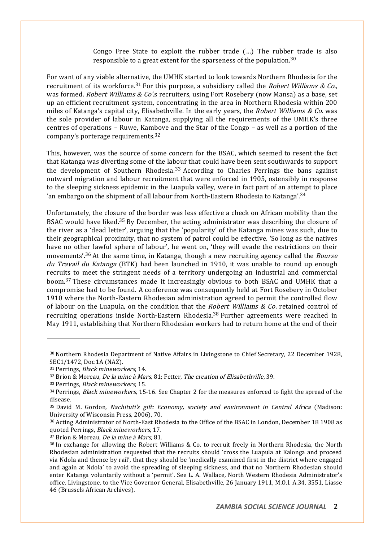Congo Free State to exploit the rubber trade (…) The rubber trade is also responsible to a great extent for the sparseness of the population.30

For want of any viable alternative, the UMHK started to look towards Northern Rhodesia for the recruitment of its workforce.<sup>31</sup> For this purpose, a subsidiary called the *Robert Williams & Co.*, was formed. Robert Williams & Co's recruiters, using Fort Rosebery (now Mansa) as a base, set up an efficient recruitment system, concentrating in the area in Northern Rhodesia within 200 miles of Katanga's capital city, Elisabethville. In the early years, the Robert Williams & Co. was the sole provider of labour in Katanga, supplying all the requirements of the UMHK's three centres of operations – Ruwe, Kambove and the Star of the Congo – as well as a portion of the company's porterage requirements.32

This, however, was the source of some concern for the BSAC, which seemed to resent the fact that Katanga was diverting some of the labour that could have been sent southwards to support the development of Southern Rhodesia.<sup>33</sup> According to Charles Perrings the bans against outward migration and labour recruitment that were enforced in 1905, ostensibly in response to the sleeping sickness epidemic in the Luapula valley, were in fact part of an attempt to place 'an embargo on the shipment of all labour from North-Eastern Rhodesia to Katanga'.<sup>34</sup>

Unfortunately, the closure of the border was less effective a check on African mobility than the BSAC would have liked.<sup>35</sup> By December, the acting administrator was describing the closure of the river as a 'dead letter', arguing that the 'popularity' of the Katanga mines was such, due to their geographical proximity, that no system of patrol could be effective. 'So long as the natives have no other lawful sphere of labour', he went on, 'they will evade the restrictions on their movements'.<sup>36</sup> At the same time, in Katanga, though a new recruiting agency called the *Bourse* du Travail du Katanga (BTK) had been launched in 1910, it was unable to round up enough recruits to meet the stringent needs of a territory undergoing an industrial and commercial boom.37 These circumstances made it increasingly obvious to both BSAC and UMHK that a compromise had to be found. A conference was consequently held at Fort Rosebery in October 1910 where the North-Eastern Rhodesian administration agreed to permit the controlled flow of labour on the Luapula, on the condition that the Robert Williams & Co. retained control of recruiting operations inside North-Eastern Rhodesia.38 Further agreements were reached in May 1911, establishing that Northern Rhodesian workers had to return home at the end of their

<sup>30</sup> Northern Rhodesia Department of Native Affairs in Livingstone to Chief Secretary, 22 December 1928, SEC1/1472, Doc.1A (NAZ).

<sup>31</sup> Perrings, Black mineworkers, 14.

<sup>32</sup> Brion & Moreau, De la mine à Mars, 81; Fetter, The creation of Elisabethville, 39.

<sup>33</sup> Perrings, Black mineworkers, 15.

 $34$  Perrings, *Black mineworkers*, 15-16. See Chapter 2 for the measures enforced to fight the spread of the disease.

<sup>35</sup> David M. Gordon, Nachituti's gift: Economy, society and environment in Central Africa (Madison: University of Wisconsin Press, 2006), 70.

<sup>36</sup> Acting Administrator of North-East Rhodesia to the Office of the BSAC in London, December 18 1908 as quoted Perrings, Black mineworkers, 17.

<sup>37</sup> Brion & Moreau, De la mine à Mars, 81.

<sup>38</sup> In exchange for allowing the Robert Williams & Co. to recruit freely in Northern Rhodesia, the North Rhodesian administration requested that the recruits should 'cross the Luapula at Kalonga and proceed via Ndola and thence by rail', that they should be 'medically examined first in the district where engaged and again at Ndola' to avoid the spreading of sleeping sickness, and that no Northern Rhodesian should enter Katanga voluntarily without a 'permit'. See L. A. Wallace, North Western Rhodesia Administrator's office, Livingstone, to the Vice Governor General, Elisabethville, 26 January 1911, M.O.I. A.34, 3551, Liasse 46 (Brussels African Archives).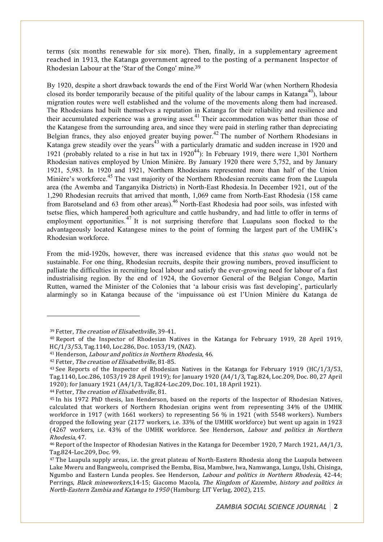terms (six months renewable for six more). Then, finally, in a supplementary agreement reached in 1913, the Katanga government agreed to the posting of a permanent Inspector of Rhodesian Labour at the 'Star of the Congo' mine.39

By 1920, despite a short drawback towards the end of the First World War (when Northern Rhodesia closed its border temporarily because of the pitiful quality of the labour camps in Katanga<sup>40</sup>), labour migration routes were well established and the volume of the movements along them had increased. The Rhodesians had built themselves a reputation in Katanga for their reliability and resilience and their accumulated experience was a growing asset.<sup>41</sup> Their accommodation was better than those of the Katangese from the surrounding area, and since they were paid in sterling rather than depreciating Belgian francs, they also enjoyed greater buying power.<sup>42</sup> The number of Northern Rhodesians in Katanga grew steadily over the years<sup>43</sup> with a particularly dramatic and sudden increase in 1920 and 1921 (probably related to a rise in hut tax in  $1920^{44}$ ): In February 1919, there were 1,301 Northern Rhodesian natives employed by Union Minière. By January 1920 there were 5,752, and by January 1921, 5,983. In 1920 and 1921, Northern Rhodesians represented more than half of the Union Minière's workforce.<sup>45</sup> The vast majority of the Northern Rhodesian recruits came from the Luapula area (the Awemba and Tanganyika Districts) in North-East Rhodesia. In December 1921, out of the 1,290 Rhodesian recruits that arrived that month, 1,069 came from North-East Rhodesia (158 came from Barotseland and 63 from other areas).<sup>46</sup> North-East Rhodesia had poor soils, was infested with tsetse flies, which hampered both agriculture and cattle husbandry, and had little to offer in terms of employment opportunities.<sup>47</sup> It is not surprising therefore that Luapulans soon flocked to the advantageously located Katangese mines to the point of forming the largest part of the UMHK's Rhodesian workforce.

From the mid-1920s, however, there was increased evidence that this *status quo* would not be sustainable. For one thing, Rhodesian recruits, despite their growing numbers, proved insufficient to palliate the difficulties in recruiting local labour and satisfy the ever-growing need for labour of a fast industrialising region. By the end of 1924, the Governor General of the Belgian Congo, Martin Rutten, warned the Minister of the Colonies that 'a labour crisis was fast developing', particularly alarmingly so in Katanga because of the 'impuissance où est l'Union Minière du Katanga de

l

<sup>44</sup> Fetter, The creation of Elisabethville, 81.

<sup>39</sup> Fetter, The creation of Elisabethville, 39-41.

<sup>40</sup> Report of the Inspector of Rhodesian Natives in the Katanga for February 1919, 28 April 1919, HC/1/3/53, Tag.1140, Loc.286, Doc. 1053/19, (NAZ).

<sup>41</sup> Henderson, Labour and politics in Northern Rhodesia, 46.

<sup>42</sup> Fetter, The creation of Elisabethville, 81-85.

<sup>&</sup>lt;sup>43</sup> See Reports of the Inspector of Rhodesian Natives in the Katanga for February 1919 (HC/1/3/53, Tag.1140, Loc.286, 1053/19 28 April 1919); for January 1920 (A4/1/3, Tag.824, Loc.209, Doc. 80, 27 April 1920); for January 1921 (A4/1/3, Tag.824-Loc.209, Doc. 101, 18 April 1921).

<sup>45</sup> In his 1972 PhD thesis, Ian Henderson, based on the reports of the Inspector of Rhodesian Natives, calculated that workers of Northern Rhodesian origins went from representing 34% of the UMHK workforce in 1917 (with 1661 workers) to representing 56 % in 1921 (with 5548 workers). Numbers dropped the following year (2177 workers, i.e. 33% of the UMHK workforce) but went up again in 1923 (4267 workers, i.e. 43% of the UMHK workforce. See Henderson, Labour and politics in Northern Rhodesia, 47.

<sup>46</sup> Report of the Inspector of Rhodesian Natives in the Katanga for December 1920, 7 March 1921, A4/1/3, Tag.824-Loc.209, Doc. 99.<br><sup>47</sup> The Luapula supply areas, i.e. the great plateau of North-Eastern Rhodesia along the Luapula between

Lake Mweru and Bangweolu, comprised the Bemba, Bisa, Mambwe, Iwa, Namwanga, Lungu, Ushi, Chisinga, Ngumbo and Eastern Lunda peoples. See Henderson, Labour and politics in Northern Rhodesia, 42-44; Perrings, Black mineworkers,14-15; Giacomo Macola, The Kingdom of Kazembe, history and politics in North-Eastern Zambia and Katanga to 1950 (Hamburg: LIT Verlag, 2002), 215.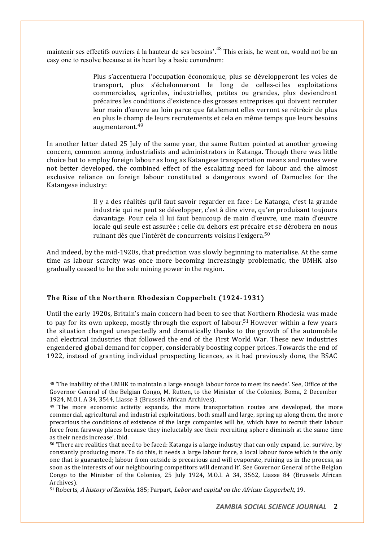maintenir ses effectifs ouvriers à la hauteur de ses besoins<sup>', 48</sup> This crisis, he went on, would not be an easy one to resolve because at its heart lay a basic conundrum:

> Plus s'accentuera l'occupation économique, plus se développeront les voies de transport, plus s'échelonneront le long de celles-ci les exploitations commerciales, agricoles, industrielles, petites ou grandes, plus deviendront précaires les conditions d'existence des grosses entreprises qui doivent recruter leur main d'œuvre au loin parce que fatalement elles verront se rétrécir de plus en plus le champ de leurs recrutements et cela en même temps que leurs besoins augmenteront.49

In another letter dated 25 July of the same year, the same Rutten pointed at another growing concern, common among industrialists and administrators in Katanga. Though there was little choice but to employ foreign labour as long as Katangese transportation means and routes were not better developed, the combined effect of the escalating need for labour and the almost exclusive reliance on foreign labour constituted a dangerous sword of Damocles for the Katangese industry:

> Il y a des réalités qu'il faut savoir regarder en face : Le Katanga, c'est la grande industrie qui ne peut se développer, c'est à dire vivre, qu'en produisant toujours davantage. Pour cela il lui faut beaucoup de main d'œuvre, une main d'œuvre locale qui seule est assurée ; celle du dehors est précaire et se dérobera en nous ruinant dés que l'intérêt de concurrents voisins l'exigera.50

And indeed, by the mid-1920s, that prediction was slowly beginning to materialise. At the same time as labour scarcity was once more becoming increasingly problematic, the UMHK also gradually ceased to be the sole mining power in the region.

#### The Rise of the Northern Rhodesian Copperbelt (1924-1931)

l

Until the early 1920s, Britain's main concern had been to see that Northern Rhodesia was made to pay for its own upkeep, mostly through the export of labour.<sup>51</sup> However within a few years the situation changed unexpectedly and dramatically thanks to the growth of the automobile and electrical industries that followed the end of the First World War. These new industries engendered global demand for copper, considerably boosting copper prices. Towards the end of 1922, instead of granting individual prospecting licences, as it had previously done, the BSAC

<sup>48</sup> 'The inability of the UMHK to maintain a large enough labour force to meet its needs'. See, Office of the Governor General of the Belgian Congo, M. Rutten, to the Minister of the Colonies, Boma, 2 December 1924, M.O.I. A 34, 3544, Liasse 3 (Brussels African Archives).

 $49$  The more economic activity expands, the more transportation routes are developed, the more commercial, agricultural and industrial exploitations, both small and large, spring up along them, the more precarious the conditions of existence of the large companies will be, which have to recruit their labour force from faraway places because they ineluctably see their recruiting sphere diminish at the same time as their needs increase'. Ibid.

<sup>50</sup> 'There are realities that need to be faced: Katanga is a large industry that can only expand, i.e. survive, by constantly producing more. To do this, it needs a large labour force, a local labour force which is the only one that is guaranteed; labour from outside is precarious and will evaporate, ruining us in the process, as soon as the interests of our neighbouring competitors will demand it'. See Governor General of the Belgian Congo to the Minister of the Colonies, 25 July 1924, M.O.I. A 34, 3562, Liasse 84 (Brussels African Archives).

<sup>51</sup> Roberts, A history of Zambia, 185; Parpart, Labor and capital on the African Copperbelt, 19.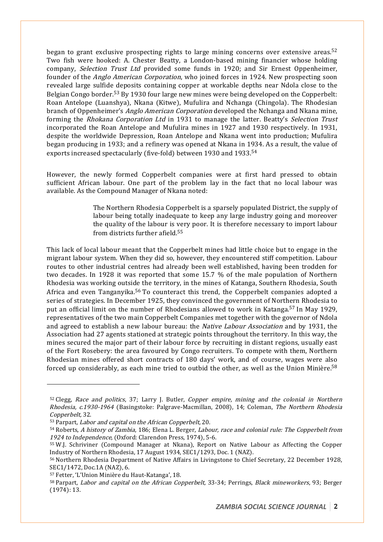began to grant exclusive prospecting rights to large mining concerns over extensive areas.<sup>52</sup> Two fish were hooked: A. Chester Beatty, a London-based mining financier whose holding company, Selection Trust Ltd provided some funds in 1920; and Sir Ernest Oppenheimer, founder of the Anglo American Corporation, who joined forces in 1924. New prospecting soon revealed large sulfide deposits containing copper at workable depths near Ndola close to the Belgian Congo border.53 By 1930 four large new mines were being developed on the Copperbelt: Roan Antelope (Luanshya), Nkana (Kitwe), Mufulira and Nchanga (Chingola). The Rhodesian branch of Oppenheimer's Anglo American Corporation developed the Nchanga and Nkana mine, forming the Rhokana Corporation Ltd in 1931 to manage the latter. Beatty's Selection Trust incorporated the Roan Antelope and Mufulira mines in 1927 and 1930 respectively. In 1931, despite the worldwide Depression, Roan Antelope and Nkana went into production; Mufulira began producing in 1933; and a refinery was opened at Nkana in 1934. As a result, the value of exports increased spectacularly (five-fold) between 1930 and 1933.<sup>54</sup>

However, the newly formed Copperbelt companies were at first hard pressed to obtain sufficient African labour. One part of the problem lay in the fact that no local labour was available. As the Compound Manager of Nkana noted:

> The Northern Rhodesia Copperbelt is a sparsely populated District, the supply of labour being totally inadequate to keep any large industry going and moreover the quality of the labour is very poor. It is therefore necessary to import labour from districts further afield.55

This lack of local labour meant that the Copperbelt mines had little choice but to engage in the migrant labour system. When they did so, however, they encountered stiff competition. Labour routes to other industrial centres had already been well established, having been trodden for two decades. In 1928 it was reported that some 15.7 % of the male population of Northern Rhodesia was working outside the territory, in the mines of Katanga, Southern Rhodesia, South Africa and even Tanganyika.56 To counteract this trend, the Copperbelt companies adopted a series of strategies. In December 1925, they convinced the government of Northern Rhodesia to put an official limit on the number of Rhodesians allowed to work in Katanga.57 In May 1929, representatives of the two main Copperbelt Companies met together with the governor of Ndola and agreed to establish a new labour bureau: the Native Labour Association and by 1931, the Association had 27 agents stationed at strategic points throughout the territory. In this way, the mines secured the major part of their labour force by recruiting in distant regions, usually east of the Fort Rosebery: the area favoured by Congo recruiters. To compete with them, Northern Rhodesian mines offered short contracts of 180 days' work, and of course, wages were also forced up considerably, as each mine tried to outbid the other, as well as the Union Minière.<sup>58</sup>

<sup>52</sup> Clegg, Race and politics, 37; Larry J. Butler, Copper empire, mining and the colonial in Northern Rhodesia, c.1930-1964 (Basingstoke: Palgrave-Macmillan, 2008), 14; Coleman, The Northern Rhodesia Copperbelt, 32.

<sup>53</sup> Parpart, Labor and capital on the African Copperbelt, 20.

<sup>54</sup> Roberts, A history of Zambia, 186; Elena L. Berger, Labour, race and colonial rule: The Copperbelt from 1924 to Independence, (Oxford: Clarendon Press, 1974), 5-6.

<sup>55</sup> W.J. Schriviner (Compound Manager at Nkana), Report on Native Labour as Affecting the Copper Industry of Northern Rhodesia, 17 August 1934, SEC1/1293, Doc. 1 (NAZ).

<sup>56</sup> Northern Rhodesia Department of Native Affairs in Livingstone to Chief Secretary, 22 December 1928, SEC1/1472, Doc.1A (NAZ), 6.

<sup>57</sup> Fetter, 'L'Union Minière du Haut-Katanga', 18.

<sup>58</sup> Parpart, Labor and capital on the African Copperbelt, 33-34; Perrings, Black mineworkers, 93; Berger (1974): 13.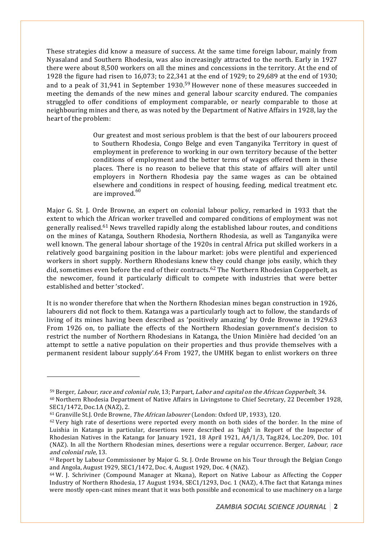These strategies did know a measure of success. At the same time foreign labour, mainly from Nyasaland and Southern Rhodesia, was also increasingly attracted to the north. Early in 1927 there were about 8,500 workers on all the mines and concessions in the territory. At the end of 1928 the figure had risen to 16,073; to 22,341 at the end of 1929; to 29,689 at the end of 1930; and to a peak of 31,941 in September 1930.<sup>59</sup> However none of these measures succeeded in meeting the demands of the new mines and general labour scarcity endured. The companies struggled to offer conditions of employment comparable, or nearly comparable to those at neighbouring mines and there, as was noted by the Department of Native Affairs in 1928, lay the heart of the problem:

> Our greatest and most serious problem is that the best of our labourers proceed to Southern Rhodesia, Congo Belge and even Tanganyika Territory in quest of employment in preference to working in our own territory because of the better conditions of employment and the better terms of wages offered them in these places. There is no reason to believe that this state of affairs will alter until employers in Northern Rhodesia pay the same wages as can be obtained elsewhere and conditions in respect of housing, feeding, medical treatment etc. are improved. $60$

Major G. St. J. Orde Browne, an expert on colonial labour policy, remarked in 1933 that the extent to which the African worker travelled and compared conditions of employment was not generally realised.<sup>61</sup> News travelled rapidly along the established labour routes, and conditions on the mines of Katanga, Southern Rhodesia, Northern Rhodesia, as well as Tanganyika were well known. The general labour shortage of the 1920s in central Africa put skilled workers in a relatively good bargaining position in the labour market: jobs were plentiful and experienced workers in short supply. Northern Rhodesians knew they could change jobs easily, which they did, sometimes even before the end of their contracts.<sup>62</sup> The Northern Rhodesian Copperbelt, as the newcomer, found it particularly difficult to compete with industries that were better established and better 'stocked'.

It is no wonder therefore that when the Northern Rhodesian mines began construction in 1926, labourers did not flock to them. Katanga was a particularly tough act to follow, the standards of living of its mines having been described as 'positively amazing' by Orde Browne in 1929.63 From 1926 on, to palliate the effects of the Northern Rhodesian government's decision to restrict the number of Northern Rhodesians in Katanga, the Union Minière had decided 'on an attempt to settle a native population on their properties and thus provide themselves with a permanent resident labour supply'.64 From 1927, the UMHK began to enlist workers on three

<sup>59</sup> Berger, Labour, race and colonial rule, 13; Parpart, Labor and capital on the African Copperbelt, 34.

<sup>60</sup> Northern Rhodesia Department of Native Affairs in Livingstone to Chief Secretary, 22 December 1928, SEC1/1472, Doc.1A (NAZ), 2.

<sup>61</sup> Granville St.J. Orde Browne, The African labourer (London: Oxford UP, 1933), 120.

<sup>62</sup> Very high rate of desertions were reported every month on both sides of the border. In the mine of Luishia in Katanga in particular, desertions were described as 'high' in Report of the Inspector of Rhodesian Natives in the Katanga for January 1921, 18 April 1921, A4/1/3, Tag.824, Loc.209, Doc. 101 (NAZ). In all the Northern Rhodesian mines, desertions were a regular occurrence. Berger, Labour, race and colonial rule, 13.

<sup>63</sup> Report by Labour Commissioner by Major G. St. J. Orde Browne on his Tour through the Belgian Congo and Angola, August 1929, SEC1/1472, Doc. 4, August 1929, Doc. 4 (NAZ).

<sup>64</sup> W. J. Schriviner (Compound Manager at Nkana), Report on Native Labour as Affecting the Copper Industry of Northern Rhodesia, 17 August 1934, SEC1/1293, Doc. 1 (NAZ), 4.The fact that Katanga mines were mostly open-cast mines meant that it was both possible and economical to use machinery on a large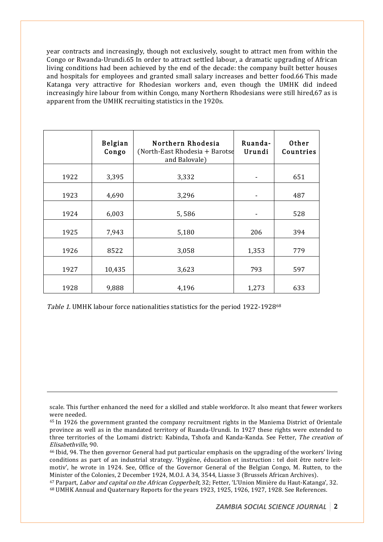year contracts and increasingly, though not exclusively, sought to attract men from within the Congo or Rwanda-Urundi.65 In order to attract settled labour, a dramatic upgrading of African living conditions had been achieved by the end of the decade: the company built better houses and hospitals for employees and granted small salary increases and better food.66 This made Katanga very attractive for Rhodesian workers and, even though the UMHK did indeed increasingly hire labour from within Congo, many Northern Rhodesians were still hired,67 as is apparent from the UMHK recruiting statistics in the 1920s.

|      | <b>Belgian</b><br>Congo | Northern Rhodesia<br>(North-East Rhodesia + Barotse<br>and Balovale) | Ruanda-<br>Urundi | Other<br>Countries |
|------|-------------------------|----------------------------------------------------------------------|-------------------|--------------------|
| 1922 | 3,395                   | 3,332                                                                |                   | 651                |
| 1923 | 4,690                   | 3,296                                                                | ۰                 | 487                |
| 1924 | 6,003                   | 5,586                                                                |                   | 528                |
| 1925 | 7,943                   | 5,180                                                                | 206               | 394                |
| 1926 | 8522                    | 3,058                                                                | 1,353             | 779                |
| 1927 | 10,435                  | 3,623                                                                | 793               | 597                |
| 1928 | 9,888                   | 4,196                                                                | 1,273             | 633                |

|  |  |  | Table 1. UMHK labour force nationalities statistics for the period 1922-192868 |
|--|--|--|--------------------------------------------------------------------------------|
|  |  |  |                                                                                |

-

scale. This further enhanced the need for a skilled and stable workforce. It also meant that fewer workers

were needed.<br><sup>65</sup> In 1926 the government granted the company recruitment rights in the Maniema District of Orientale province as well as in the mandated territory of Ruanda-Urundi. In 1927 these rights were extended to three territories of the Lomami district: Kabinda, Tshofa and Kanda-Kanda. See Fetter, The creation of Elisabethville, 90.

<sup>66</sup> Ibid, 94. The then governor General had put particular emphasis on the upgrading of the workers' living conditions as part of an industrial strategy. 'Hygiène, éducation et instruction : tel doit être notre leitmotiv', he wrote in 1924. See, Office of the Governor General of the Belgian Congo, M. Rutten, to the Minister of the Colonies, 2 December 1924, M.O.I. A 34, 3544, Liasse 3 (Brussels African Archives).

<sup>67</sup> Parpart, Labor and capital on the African Copperbelt, 32; Fetter, 'L'Union Minière du Haut-Katanga', 32. <sup>68</sup> UMHK Annual and Quaternary Reports for the years 1923, 1925, 1926, 1927, 1928. See References.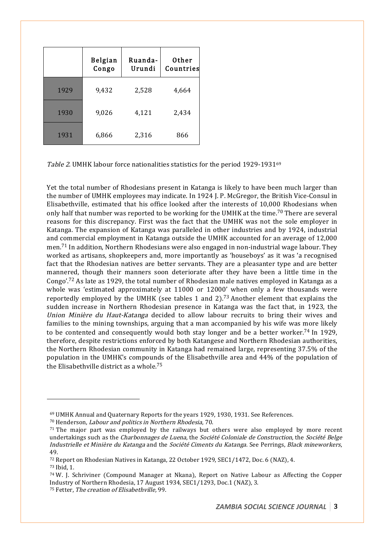|      | <b>Belgian</b><br>Congo | Ruanda-<br>Urundi | <b>Other</b><br>Countries |
|------|-------------------------|-------------------|---------------------------|
| 1929 | 9,432                   | 2,528             | 4,664                     |
| 1930 | 9,026                   | 4,121             | 2,434                     |
| 1931 | 6,866                   | 2,316             | 866                       |

Table 2. UMHK labour force nationalities statistics for the period 1929-193169

Yet the total number of Rhodesians present in Katanga is likely to have been much larger than the number of UMHK employees may indicate. In 1924 J. P. McGregor, the British Vice-Consul in Elisabethville, estimated that his office looked after the interests of 10,000 Rhodesians when only half that number was reported to be working for the UMHK at the time.<sup>70</sup> There are several reasons for this discrepancy. First was the fact that the UMHK was not the sole employer in Katanga. The expansion of Katanga was paralleled in other industries and by 1924, industrial and commercial employment in Katanga outside the UMHK accounted for an average of 12,000 men.71 In addition, Northern Rhodesians were also engaged in non-industrial wage labour. They worked as artisans, shopkeepers and, more importantly as 'houseboys' as it was 'a recognised fact that the Rhodesian natives are better servants. They are a pleasanter type and are better mannered, though their manners soon deteriorate after they have been a little time in the Congo'.72 As late as 1929, the total number of Rhodesian male natives employed in Katanga as a whole was 'estimated approximately at 11000 or 12000' when only a few thousands were reportedly employed by the UMHK (see tables 1 and 2).73 Another element that explains the sudden increase in Northern Rhodesian presence in Katanga was the fact that, in 1923, the Union Minière du Haut-Katanga decided to allow labour recruits to bring their wives and families to the mining townships, arguing that a man accompanied by his wife was more likely to be contented and consequently would both stay longer and be a better worker.<sup>74</sup> In 1929, therefore, despite restrictions enforced by both Katangese and Northern Rhodesian authorities, the Northern Rhodesian community in Katanga had remained large, representing 37.5% of the population in the UMHK's compounds of the Elisabethville area and 44% of the population of the Elisabethville district as a whole.75

<sup>69</sup> UMHK Annual and Quaternary Reports for the years 1929, 1930, 1931. See References.

<sup>70</sup> Henderson, Labour and politics in Northern Rhodesia, 70.

 $71$  The major part was employed by the railways but others were also employed by more recent undertakings such as the Charbonnages de Luena, the Société Coloniale de Construction, the Société Belge Industrielle et Minière du Katanga and the Société Ciments du Katanga. See Perrings, Black mineworkers, 49.

<sup>72</sup> Report on Rhodesian Natives in Katanga, 22 October 1929, SEC1/1472, Doc. 6 (NAZ), 4. <sup>73</sup> Ibid, 1.

<sup>74</sup> W. J. Schriviner (Compound Manager at Nkana), Report on Native Labour as Affecting the Copper Industry of Northern Rhodesia, 17 August 1934, SEC1/1293, Doc.1 (NAZ), 3.

<sup>75</sup> Fetter, The creation of Elisabethville, 99.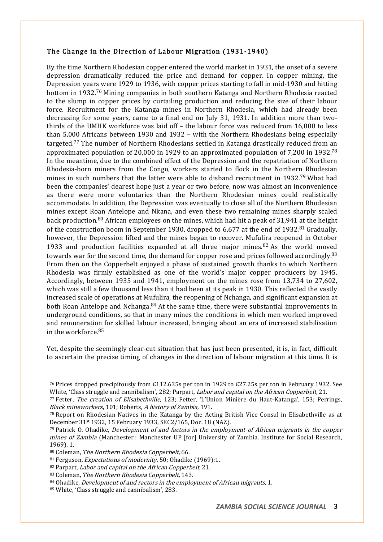#### The Change in the Direction of Labour Migration (1931-1940)

By the time Northern Rhodesian copper entered the world market in 1931, the onset of a severe depression dramatically reduced the price and demand for copper. In copper mining, the Depression years were 1929 to 1936, with copper prices starting to fall in mid-1930 and hitting bottom in 1932.76 Mining companies in both southern Katanga and Northern Rhodesia reacted to the slump in copper prices by curtailing production and reducing the size of their labour force. Recruitment for the Katanga mines in Northern Rhodesia, which had already been decreasing for some years, came to a final end on July 31, 1931. In addition more than twothirds of the UMHK workforce was laid off – the labour force was reduced from 16,000 to less than 5,000 Africans between 1930 and 1932 – with the Northern Rhodesians being especially targeted.77 The number of Northern Rhodesians settled in Katanga drastically reduced from an approximated population of 20,000 in 1929 to an approximated population of 7,200 in 1932.<sup>78</sup> In the meantime, due to the combined effect of the Depression and the repatriation of Northern Rhodesia-born miners from the Congo, workers started to flock in the Northern Rhodesian mines in such numbers that the latter were able to disband recruitment in 1932.<sup>79</sup> What had been the companies' dearest hope just a year or two before, now was almost an inconvenience as there were more voluntaries than the Northern Rhodesian mines could realistically accommodate. In addition, the Depression was eventually to close all of the Northern Rhodesian mines except Roan Antelope and Nkana, and even these two remaining mines sharply scaled back production.80 African employees on the mines, which had hit a peak of 31,941 at the height of the construction boom in September 1930, dropped to 6,677 at the end of 1932.<sup>81</sup> Gradually, however, the Depression lifted and the mines began to recover. Mufulira reopened in October 1933 and production facilities expanded at all three major mines. $82$  As the world moved towards war for the second time, the demand for copper rose and prices followed accordingly.<sup>83</sup> From then on the Copperbelt enjoyed a phase of sustained growth thanks to which Northern Rhodesia was firmly established as one of the world's major copper producers by 1945. Accordingly, between 1935 and 1941, employment on the mines rose from 13,734 to 27,602, which was still a few thousand less than it had been at its peak in 1930. This reflected the vastly increased scale of operations at Mufulira, the reopening of Nchanga, and significant expansion at both Roan Antelope and Nchanga.<sup>84</sup> At the same time, there were substantial improvements in underground conditions, so that in many mines the conditions in which men worked improved and remuneration for skilled labour increased, bringing about an era of increased stabilisation in the workforce.85

Yet, despite the seemingly clear-cut situation that has just been presented, it is, in fact, difficult to ascertain the precise timing of changes in the direction of labour migration at this time. It is

l

<sup>76</sup> Prices dropped precipitously from £112.635s per ton in 1929 to £27.25s per ton in February 1932. See White, 'Class struggle and cannibalism', 282; Parpart, *Labor and capital on the African Copperbelt*, 21.

<sup>77</sup> Fetter, The creation of Elisabethville, 123; Fetter, 'L'Union Minière du Haut-Katanga', 153; Perrings, Black mineworkers, 101; Roberts, A history of Zambia, 191.

 $78$  Report on Rhodesian Natives in the Katanga by the Acting British Vice Consul in Elisabethville as at December 31st 1932, 15 February 1933, SEC2/165, Doc. 18 (NAZ).

 $79$  Patrick O. Ohadike, Development of and factors in the employment of African migrants in the copper mines of Zambia (Manchester : Manchester UP [for] University of Zambia, Institute for Social Research, 1969), 1.

<sup>80</sup> Coleman, The Northern Rhodesia Copperbelt, 66.

<sup>81</sup> Ferguson, Expectations of modernity, 50; Ohadike (1969):1.

<sup>82</sup> Parpart, Labor and capital on the African Copperbelt, 21.

<sup>83</sup> Coleman, The Northern Rhodesia Copperbelt, 143.

 $84$  Ohadike, Development of and ractors in the employment of African migrants, 1.

<sup>85</sup> White, 'Class struggle and cannibalism', 283.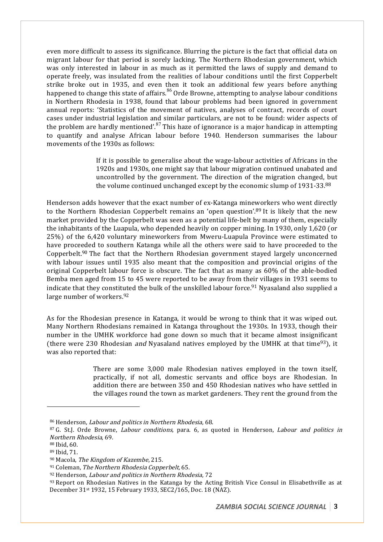even more difficult to assess its significance. Blurring the picture is the fact that official data on migrant labour for that period is sorely lacking. The Northern Rhodesian government, which was only interested in labour in as much as it permitted the laws of supply and demand to operate freely, was insulated from the realities of labour conditions until the first Copperbelt strike broke out in 1935, and even then it took an additional few years before anything happened to change this state of affairs.<sup>86</sup> Orde Browne, attempting to analyse labour conditions in Northern Rhodesia in 1938, found that labour problems had been ignored in government annual reports: 'Statistics of the movement of natives, analyses of contract, records of court cases under industrial legislation and similar particulars, are not to be found: wider aspects of the problem are hardly mentioned'. $87$  This haze of ignorance is a major handicap in attempting to quantify and analyse African labour before 1940. Henderson summarises the labour movements of the 1930s as follows:

> If it is possible to generalise about the wage-labour activities of Africans in the 1920s and 1930s, one might say that labour migration continued unabated and uncontrolled by the government. The direction of the migration changed, but the volume continued unchanged except by the economic slump of 1931-33.88

Henderson adds however that the exact number of ex-Katanga mineworkers who went directly to the Northern Rhodesian Copperbelt remains an 'open question'.<sup>89</sup> It is likely that the new market provided by the Copperbelt was seen as a potential life-belt by many of them, especially the inhabitants of the Luapula, who depended heavily on copper mining. In 1930, only 1,620 (or 25%) of the 6,420 voluntary mineworkers from Mweru-Luapula Province were estimated to have proceeded to southern Katanga while all the others were said to have proceeded to the Copperbelt.<sup>90</sup> The fact that the Northern Rhodesian government stayed largely unconcerned with labour issues until 1935 also meant that the composition and provincial origins of the original Copperbelt labour force is obscure. The fact that as many as 60% of the able-bodied Bemba men aged from 15 to 45 were reported to be away from their villages in 1931 seems to indicate that they constituted the bulk of the unskilled labour force.<sup>91</sup> Nyasaland also supplied a large number of workers.92

As for the Rhodesian presence in Katanga, it would be wrong to think that it was wiped out. Many Northern Rhodesians remained in Katanga throughout the 1930s. In 1933, though their number in the UMHK workforce had gone down so much that it became almost insignificant (there were 230 Rhodesian *and* Nyasaland natives employed by the UMHK at that time<sup>93</sup>), it was also reported that:

> There are some 3,000 male Rhodesian natives employed in the town itself, practically, if not all, domestic servants and office boys are Rhodesian. In addition there are between 350 and 450 Rhodesian natives who have settled in the villages round the town as market gardeners. They rent the ground from the

<sup>86</sup> Henderson, Labour and politics in Northern Rhodesia, 68.

<sup>&</sup>lt;sup>87</sup> G. St.J. Orde Browne, *Labour conditions*, para. 6, as quoted in Henderson, *Labour and politics in* Northern Rhodesia, 69.

<sup>88</sup> Ibid, 60.

<sup>89</sup> Ibid, 71.

<sup>90</sup> Macola, The Kingdom of Kazembe, 215.

<sup>91</sup> Coleman, The Northern Rhodesia Copperbelt, 65.

<sup>92</sup> Henderson, Labour and politics in Northern Rhodesia, 72

 $93$  Report on Rhodesian Natives in the Katanga by the Acting British Vice Consul in Elisabethville as at December 31st 1932, 15 February 1933, SEC2/165, Doc. 18 (NAZ).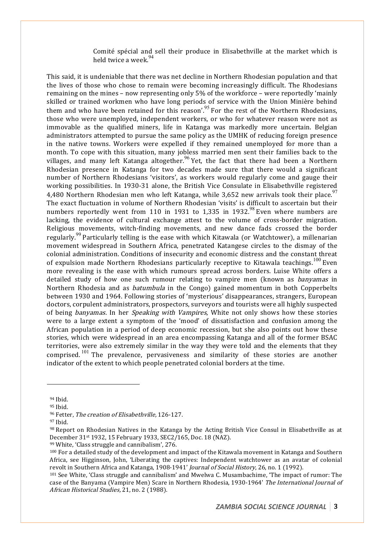Comité spécial and sell their produce in Elisabethville at the market which is held twice a week. $94$ 

This said, it is undeniable that there was net decline in Northern Rhodesian population and that the lives of those who chose to remain were becoming increasingly difficult. The Rhodesians remaining on the mines – now representing only 5% of the workforce – were reportedly 'mainly skilled or trained workmen who have long periods of service with the Union Minière behind them and who have been retained for this reason'.<sup>95</sup> For the rest of the Northern Rhodesians, those who were unemployed, independent workers, or who for whatever reason were not as immovable as the qualified miners, life in Katanga was markedly more uncertain. Belgian administrators attempted to pursue the same policy as the UMHK of reducing foreign presence in the native towns. Workers were expelled if they remained unemployed for more than a month. To cope with this situation, many jobless married men sent their families back to the villages, and many left Katanga altogether.<sup>96</sup> Yet, the fact that there had been a Northern Rhodesian presence in Katanga for two decades made sure that there would a significant number of Northern Rhodesians 'visitors', as workers would regularly come and gauge their working possibilities. In 1930-31 alone, the British Vice Consulate in Elisabethville registered 4,480 Northern Rhodesian men who left Katanga, while 3,652 new arrivals took their place.<sup>97</sup> The exact fluctuation in volume of Northern Rhodesian 'visits' is difficult to ascertain but their numbers reportedly went from 110 in 1931 to 1,335 in 1932.<sup>98</sup> Even where numbers are lacking, the evidence of cultural exchange attest to the volume of cross-border migration. Religious movements, witch-finding movements, and new dance fads crossed the border regularly.<sup>99</sup> Particularly telling is the ease with which Kitawala (or Watchtower), a millenarian movement widespread in Southern Africa, penetrated Katangese circles to the dismay of the colonial administration. Conditions of insecurity and economic distress and the constant threat of expulsion made Northern Rhodesians particularly receptive to Kitawala teachings.<sup>100</sup> Even more revealing is the ease with which rumours spread across borders. Luise White offers a detailed study of how one such rumour relating to vampire men (known as *banyamas* in Northern Rhodesia and as *batumbula* in the Congo) gained momentum in both Copperbelts between 1930 and 1964. Following stories of 'mysterious' disappearances, strangers, European doctors, corpulent administrators, prospectors, surveyors and tourists were all highly suspected of being banyamas. In her Speaking with Vampires, White not only shows how these stories were to a large extent a symptom of the 'mood' of dissatisfaction and confusion among the African population in a period of deep economic recession, but she also points out how these stories, which were widespread in an area encompassing Katanga and all of the former BSAC territories, were also extremely similar in the way they were told and the elements that they comprised.<sup>101</sup> The prevalence, pervasiveness and similarity of these stories are another indicator of the extent to which people penetrated colonial borders at the time.

<sup>94</sup> Ibid.

<sup>95</sup> Ibid.

<sup>96</sup> Fetter, The creation of Elisabethville, 126-127.

<sup>97</sup> Ibid.

<sup>98</sup> Report on Rhodesian Natives in the Katanga by the Acting British Vice Consul in Elisabethville as at December 31st 1932, 15 February 1933, SEC2/165, Doc. 18 (NAZ).

<sup>99</sup> White, 'Class struggle and cannibalism', 276.

<sup>100</sup> For a detailed study of the development and impact of the Kitawala movement in Katanga and Southern Africa, see Higginson, John, 'Liberating the captives: Independent watchtower as an avatar of colonial revolt in Southern Africa and Katanga, 1908-1941' Journal of Social History, 26, no. 1 (1992).

<sup>101</sup> See White, 'Class struggle and cannibalism' and Mwelwa C. Musambachime, 'The impact of rumor: The case of the Banyama (Vampire Men) Scare in Northern Rhodesia, 1930-1964' The International Journal of African Historical Studies, 21, no. 2 (1988).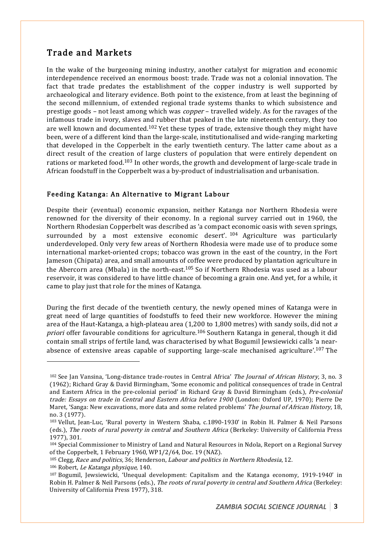## Trade and Markets

In the wake of the burgeoning mining industry, another catalyst for migration and economic interdependence received an enormous boost: trade. Trade was not a colonial innovation. The fact that trade predates the establishment of the copper industry is well supported by archaeological and literary evidence. Both point to the existence, from at least the beginning of the second millennium, of extended regional trade systems thanks to which subsistence and prestige goods – not least among which was copper – travelled widely. As for the ravages of the infamous trade in ivory, slaves and rubber that peaked in the late nineteenth century, they too are well known and documented.<sup>102</sup> Yet these types of trade, extensive though they might have been, were of a different kind than the large-scale, institutionalised and wide-ranging marketing that developed in the Copperbelt in the early twentieth century. The latter came about as a direct result of the creation of large clusters of population that were entirely dependent on rations or marketed food.103 In other words, the growth and development of large-scale trade in African foodstuff in the Copperbelt was a by-product of industrialisation and urbanisation.

#### Feeding Katanga: An Alternative to Migrant Labour

Despite their (eventual) economic expansion, neither Katanga nor Northern Rhodesia were renowned for the diversity of their economy. In a regional survey carried out in 1960, the Northern Rhodesian Copperbelt was described as 'a compact economic oasis with seven springs, surrounded by a most extensive economic desert'. <sup>104</sup> Agriculture was particularly underdeveloped. Only very few areas of Northern Rhodesia were made use of to produce some international market-oriented crops; tobacco was grown in the east of the country, in the Fort Jameson (Chipata) area, and small amounts of coffee were produced by plantation agriculture in the Abercorn area (Mbala) in the north-east.105 So if Northern Rhodesia was used as a labour reservoir, it was considered to have little chance of becoming a grain one. And yet, for a while, it came to play just that role for the mines of Katanga.

During the first decade of the twentieth century, the newly opened mines of Katanga were in great need of large quantities of foodstuffs to feed their new workforce. However the mining area of the Haut-Katanga, a high-plateau area (1,200 to 1,800 metres) with sandy soils, did not <sup>a</sup> priori offer favourable conditions for agriculture.<sup>106</sup> Southern Katanga in general, though it did contain small strips of fertile land, was characterised by what Bogumil Jewsiewicki calls 'a nearabsence of extensive areas capable of supporting large-scale mechanised agriculture'.107 The

<sup>&</sup>lt;sup>102</sup> See Jan Vansina, 'Long-distance trade-routes in Central Africa' The Journal of African History, 3, no. 3 (1962); Richard Gray & David Birmingham, 'Some economic and political consequences of trade in Central and Eastern Africa in the pre-colonial period' in Richard Gray & David Birmingham (eds.), Pre-colonial trade: Essays on trade in Central and Eastern Africa before 1900 (London: Oxford UP, 1970); Pierre De Maret, 'Sanga: New excavations, more data and some related problems' The Journal of African History, 18, no. 3 (1977).

<sup>103</sup> Vellut, Jean-Luc, 'Rural poverty in Western Shaba, c.1890-1930' in Robin H. Palmer & Neil Parsons (eds.), The roots of rural poverty in central and Southern Africa (Berkeley: University of California Press 1977), 301.

<sup>104</sup> Special Commissioner to Ministry of Land and Natural Resources in Ndola, Report on a Regional Survey of the Copperbelt, 1 February 1960, WP1/2/64, Doc. 19 (NAZ).

<sup>105</sup> Clegg, Race and politics, 36; Henderson, Labour and politics in Northern Rhodesia, 12.

<sup>106</sup> Robert, Le Katanga physique, 140.

<sup>107</sup> Bogumil, Jewsiewicki, 'Unequal development: Capitalism and the Katanga economy, 1919-1940' in Robin H. Palmer & Neil Parsons (eds.), The roots of rural poverty in central and Southern Africa (Berkeley: University of California Press 1977), 318.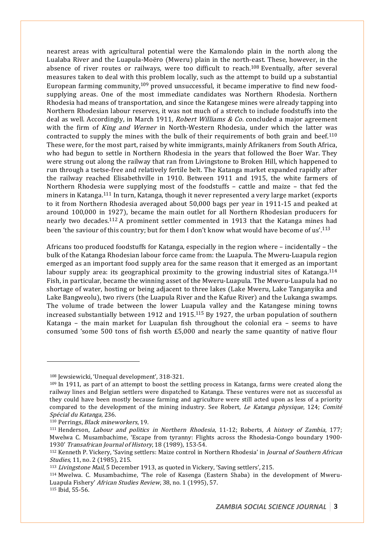nearest areas with agricultural potential were the Kamalondo plain in the north along the Lualaba River and the Luapula-Moëro (Mweru) plain in the north-east. These, however, in the absence of river routes or railways, were too difficult to reach.<sup>108</sup> Eventually, after several measures taken to deal with this problem locally, such as the attempt to build up a substantial European farming community,109 proved unsuccessful, it became imperative to find new foodsupplying areas. One of the most immediate candidates was Northern Rhodesia. Northern Rhodesia had means of transportation, and since the Katangese mines were already tapping into Northern Rhodesian labour reserves, it was not much of a stretch to include foodstuffs into the deal as well. Accordingly, in March 1911, *Robert Williams & Co.* concluded a major agreement with the firm of King and Werner in North-Western Rhodesia, under which the latter was contracted to supply the mines with the bulk of their requirements of both grain and beef.<sup>110</sup> These were, for the most part, raised by white immigrants, mainly Afrikaners from South Africa, who had begun to settle in Northern Rhodesia in the years that followed the Boer War. They were strung out along the railway that ran from Livingstone to Broken Hill, which happened to run through a tsetse-free and relatively fertile belt. The Katanga market expanded rapidly after the railway reached Elisabethville in 1910. Between 1911 and 1915, the white farmers of Northern Rhodesia were supplying most of the foodstuffs – cattle and maize – that fed the miners in Katanga.111 In turn, Katanga, though it never represented a very large market (exports to it from Northern Rhodesia averaged about 50,000 bags per year in 1911-15 and peaked at around 100,000 in 1927), became the main outlet for all Northern Rhodesian producers for nearly two decades.112 A prominent settler commented in 1913 that the Katanga mines had been 'the saviour of this country; but for them I don't know what would have become of us'.113

Africans too produced foodstuffs for Katanga, especially in the region where – incidentally – the bulk of the Katanga Rhodesian labour force came from: the Luapula. The Mweru-Luapula region emerged as an important food supply area for the same reason that it emerged as an important labour supply area: its geographical proximity to the growing industrial sites of Katanga.<sup>114</sup> Fish, in particular, became the winning asset of the Mweru-Luapula. The Mweru-Luapula had no shortage of water, hosting or being adjacent to three lakes (Lake Mweru, Lake Tanganyika and Lake Bangweolu), two rivers (the Luapula River and the Kafue River) and the Lukanga swamps. The volume of trade between the lower Luapula valley and the Katangese mining towns increased substantially between 1912 and 1915.115 By 1927, the urban population of southern Katanga – the main market for Luapulan fish throughout the colonial era – seems to have consumed 'some 500 tons of fish worth £5,000 and nearly the same quantity of native flour

<sup>108</sup> Jewsiewicki, 'Unequal development', 318-321.

<sup>109</sup> In 1911, as part of an attempt to boost the settling process in Katanga, farms were created along the railway lines and Belgian settlers were dispatched to Katanga. These ventures were not as successful as they could have been mostly because farming and agriculture were still acted upon as less of a priority compared to the development of the mining industry. See Robert, Le Katanga physique, 124; Comité Spécial du Katanga, 236.

<sup>110</sup> Perrings, Black mineworkers, 19.

<sup>111</sup> Henderson, Labour and politics in Northern Rhodesia, 11-12; Roberts, A history of Zambia, 177; Mwelwa C. Musambachime, 'Escape from tyranny: Flights across the Rhodesia-Congo boundary 1900- 1930' Transafrican Journal of History, 18 (1989), 153-54.

<sup>112</sup> Kenneth P. Vickery, 'Saving settlers: Maize control in Northern Rhodesia' in Journal of Southern African Studies, 11, no. 2 (1985), 215.

<sup>113</sup> Livingstone Mail, 5 December 1913, as quoted in Vickery, 'Saving settlers', 215.

<sup>114</sup> Mwelwa. C. Musambachime, 'The role of Kasenga (Eastern Shaba) in the development of Mweru-Luapula Fishery' African Studies Review, 38, no. 1 (1995), 57.

<sup>115</sup> Ibid, 55-56.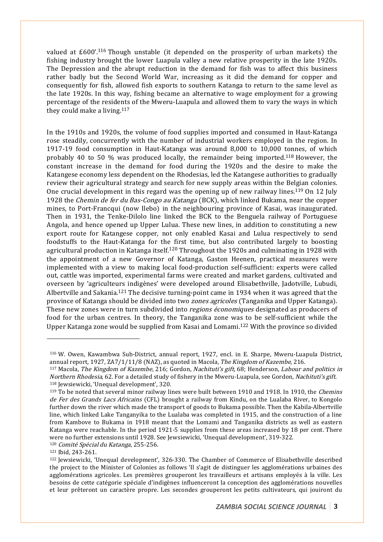valued at £600'.116 Though unstable (it depended on the prosperity of urban markets) the fishing industry brought the lower Luapula valley a new relative prosperity in the late 1920s. The Depression and the abrupt reduction in the demand for fish was to affect this business rather badly but the Second World War, increasing as it did the demand for copper and consequently for fish, allowed fish exports to southern Katanga to return to the same level as the late 1920s. In this way, fishing became an alternative to wage employment for a growing percentage of the residents of the Mweru-Luapula and allowed them to vary the ways in which they could make a living.117

In the 1910s and 1920s, the volume of food supplies imported and consumed in Haut-Katanga rose steadily, concurrently with the number of industrial workers employed in the region. In 1917-19 food consumption in Haut-Katanga was around 8,000 to 10,000 tonnes, of which probably 40 to 50 % was produced locally, the remainder being imported.<sup>118</sup> However, the constant increase in the demand for food during the 1920s and the desire to make the Katangese economy less dependent on the Rhodesias, led the Katangese authorities to gradually review their agricultural strategy and search for new supply areas within the Belgian colonies. One crucial development in this regard was the opening up of new railway lines.<sup>119</sup> On 12 July 1928 the Chemin de fer du Bas-Congo au Katanga (BCK), which linked Bukama, near the copper mines, to Port-Francqui (now Ilebo) in the neighbouring province of Kasai, was inaugurated. Then in 1931, the Tenke-Dilolo line linked the BCK to the Benguela railway of Portuguese Angola, and hence opened up Upper Lulua. These new lines, in addition to constituting a new export route for Katangese copper, not only enabled Kasai and Lulua respectively to send foodstuffs to the Haut-Katanga for the first time, but also contributed largely to boosting agricultural production in Katanga itself.<sup>120</sup> Throughout the 1920s and culminating in 1928 with the appointment of a new Governor of Katanga, Gaston Heenen, practical measures were implemented with a view to making local food-production self-sufficient: experts were called out, cattle was imported, experimental farms were created and market gardens, cultivated and overseen by 'agriculteurs indigènes' were developed around Elisabethville, Jadotville, Lubudi, Albertville and Sakania.121 The decisive turning-point came in 1934 when it was agreed that the province of Katanga should be divided into two *zones agricoles* (Tanganika and Upper Katanga). These new zones were in turn subdivided into regions économiques designated as producers of food for the urban centres. In theory, the Tanganika zone was to be self-sufficient while the Upper Katanga zone would be supplied from Kasai and Lomami.<sup>122</sup> With the province so divided

<sup>120</sup> Comité Spécial du Katanga, 255-256.

<sup>116</sup> W. Owen, Kawambwa Sub-District, annual report, 1927, encl. in E. Sharpe, Mweru-Luapula District, annual report, 1927, ZA7/1/11/8 (NAZ), as quoted in Macola, The Kingdom of Kazembe, 216.

<sup>117</sup> Macola, The Kingdom of Kazembe, 216; Gordon, Nachituti's gift, 68; Henderson, Labour and politics in Northern Rhodesia, 62. For a detailed study of fishery in the Mweru-Luapula, see Gordon, Nachituti's gift. <sup>118</sup> Jewsiewicki, 'Unequal development', 320.

<sup>&</sup>lt;sup>119</sup> To be noted that several minor railway lines were built between 1910 and 1918. In 1910, the *Chemins* de Fer des Grands Lacs Africains (CFL) brought a railway from Kindu, on the Lualaba River, to Kongolo further down the river which made the transport of goods to Bukama possible. Then the Kabila-Albertville line, which linked Lake Tanganyika to the Lualaba was completed in 1915, and the construction of a line from Kambove to Bukama in 1918 meant that the Lomami and Tanganika districts as well as eastern Katanga were reachable. In the period 1921-5 supplies from these areas increased by 18 per cent. There were no further extensions until 1928. See Jewsiewicki, 'Unequal development', 319-322.

<sup>121</sup> Ibid, 243-261.

<sup>122</sup> Jewsiewicki, 'Unequal development', 326-330. The Chamber of Commerce of Elisabethville described the project to the Minister of Colonies as follows 'Il s'agit de distinguer les agglomérations urbaines des agglomérations agricoles. Les premières grouperont les travailleurs et artisans employés à la ville. Les besoins de cette catégorie spéciale d'indigènes influenceront la conception des agglomérations nouvelles et leur prêteront un caractère propre. Les secondes grouperont les petits cultivateurs, qui jouiront du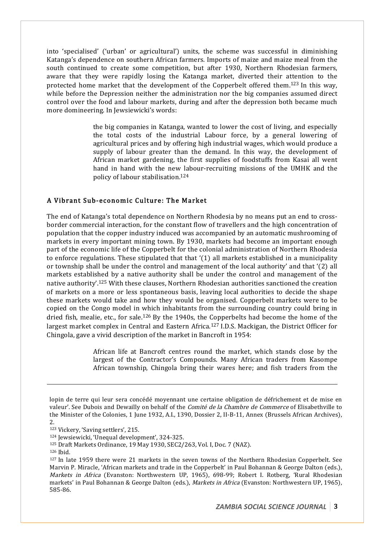into 'specialised' ('urban' or agricultural') units, the scheme was successful in diminishing Katanga's dependence on southern African farmers. Imports of maize and maize meal from the south continued to create some competition, but after 1930, Northern Rhodesian farmers, aware that they were rapidly losing the Katanga market, diverted their attention to the protected home market that the development of the Copperbelt offered them.123 In this way, while before the Depression neither the administration nor the big companies assumed direct control over the food and labour markets, during and after the depression both became much more domineering. In Jewsiewicki's words:

> the big companies in Katanga, wanted to lower the cost of living, and especially the total costs of the industrial Labour force, by a general lowering of agricultural prices and by offering high industrial wages, which would produce a supply of labour greater than the demand. In this way, the development of African market gardening, the first supplies of foodstuffs from Kasai all went hand in hand with the new labour-recruiting missions of the UMHK and the policy of labour stabilisation.124

#### A Vibrant Sub-economic Culture: The Market

The end of Katanga's total dependence on Northern Rhodesia by no means put an end to crossborder commercial interaction, for the constant flow of travellers and the high concentration of population that the copper industry induced was accompanied by an automatic mushrooming of markets in every important mining town. By 1930, markets had become an important enough part of the economic life of the Copperbelt for the colonial administration of Northern Rhodesia to enforce regulations. These stipulated that that '(1) all markets established in a municipality or township shall be under the control and management of the local authority' and that '(2) all markets established by a native authority shall be under the control and management of the native authority'.125 With these clauses, Northern Rhodesian authorities sanctioned the creation of markets on a more or less spontaneous basis, leaving local authorities to decide the shape these markets would take and how they would be organised. Copperbelt markets were to be copied on the Congo model in which inhabitants from the surrounding country could bring in dried fish, mealie, etc., for sale.<sup>126</sup> By the 1940s, the Copperbelts had become the home of the largest market complex in Central and Eastern Africa.<sup>127</sup> I.D.S. Mackigan, the District Officer for Chingola, gave a vivid description of the market in Bancroft in 1954:

> African life at Bancroft centres round the market, which stands close by the largest of the Contractor's Compounds. Many African traders from Kasompe African township, Chingola bring their wares here; and fish traders from the

<sup>126</sup> Ibid.

.

lopin de terre qui leur sera concédé moyennant une certaine obligation de défrichement et de mise en valeur'. See Dubois and Dewailly on behalf of the *Comité de la Chambre de Commerce* of Elisabethville to the Minister of the Colonies, 1 June 1932, A.I., 1390, Dossier 2, II-B-11, Annex (Brussels African Archives), 2.

<sup>123</sup> Vickery, 'Saving settlers', 215.

<sup>124</sup> Jewsiewicki, 'Unequal development', 324-325.

<sup>125</sup> Draft Markets Ordinance, 19 May 1930, SEC2/263, Vol. I, Doc. 7 (NAZ).

<sup>127</sup> In late 1959 there were 21 markets in the seven towns of the Northern Rhodesian Copperbelt. See Marvin P. Miracle, 'African markets and trade in the Copperbelt' in Paul Bohannan & George Dalton (eds.), Markets in Africa (Evanston: Northwestern UP, 1965), 698-99; Robert I. Rotberg, 'Rural Rhodesian markets' in Paul Bohannan & George Dalton (eds.), Markets in Africa (Evanston: Northwestern UP, 1965), 585-86.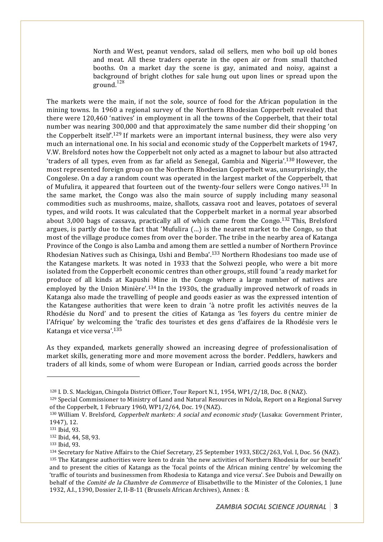North and West, peanut vendors, salad oil sellers, men who boil up old bones and meat. All these traders operate in the open air or from small thatched booths. On a market day the scene is gay, animated and noisy, against a background of bright clothes for sale hung out upon lines or spread upon the ground.<sup>128</sup>

The markets were the main, if not the sole, source of food for the African population in the mining towns. In 1960 a regional survey of the Northern Rhodesian Copperbelt revealed that there were 120,460 'natives' in employment in all the towns of the Copperbelt, that their total number was nearing 300,000 and that approximately the same number did their shopping 'on the Copperbelt itself<sup>129</sup> If markets were an important internal business, they were also very much an international one. In his social and economic study of the Copperbelt markets of 1947, V.W. Brelsford notes how the Copperbelt not only acted as a magnet to labour but also attracted 'traders of all types, even from as far afield as Senegal, Gambia and Nigeria'.130 However, the most represented foreign group on the Northern Rhodesian Copperbelt was, unsurprisingly, the Congolese. On a day a random count was operated in the largest market of the Copperbelt, that of Mufulira, it appeared that fourteen out of the twenty-four sellers were Congo natives.131 In the same market, the Congo was also the main source of supply including many seasonal commodities such as mushrooms, maize, shallots, cassava root and leaves, potatoes of several types, and wild roots. It was calculated that the Copperbelt market in a normal year absorbed about 3,000 bags of cassava, practically all of which came from the Congo.<sup>132</sup> This, Brelsford argues, is partly due to the fact that 'Mufulira (…) is the nearest market to the Congo, so that most of the village produce comes from over the border. The tribe in the nearby area of Katanga Province of the Congo is also Lamba and among them are settled a number of Northern Province Rhodesian Natives such as Chisinga, Ushi and Bemba'.133 Northern Rhodesians too made use of the Katangese markets. It was noted in 1933 that the Solwezi people, who were a bit more isolated from the Copperbelt economic centres than other groups, still found 'a ready market for produce of all kinds at Kapushi Mine in the Congo where a large number of natives are employed by the Union Minière'.134 In the 1930s, the gradually improved network of roads in Katanga also made the travelling of people and goods easier as was the expressed intention of the Katangese authorities that were keen to drain 'à notre profit les activités neuves de la Rhodésie du Nord' and to present the cities of Katanga as 'les foyers du centre minier de l'Afrique' by welcoming the 'trafic des touristes et des gens d'affaires de la Rhodésie vers le Katanga et vice versa'.135

As they expanded, markets generally showed an increasing degree of professionalisation of market skills, generating more and more movement across the border. Peddlers, hawkers and traders of all kinds, some of whom were European or Indian, carried goods across the border

<sup>128</sup> I. D. S. Mackigan, Chingola District Officer, Tour Report N.1, 1954, WP1/2/18, Doc. 8 (NAZ).

<sup>129</sup> Special Commissioner to Ministry of Land and Natural Resources in Ndola, Report on a Regional Survey of the Copperbelt, 1 February 1960, WP1/2/64, Doc. 19 (NAZ).

<sup>130</sup> William V. Brelsford, Copperbelt markets: A social and economic study (Lusaka: Government Printer, 1947), 12.

<sup>131</sup> Ibid, 93.

<sup>132</sup> Ibid, 44, 58, 93.

<sup>133</sup> Ibid, 93.

<sup>134</sup> Secretary for Native Affairs to the Chief Secretary, 25 September 1933, SEC2/263, Vol. I, Doc. 56 (NAZ). <sup>135</sup> The Katangese authorities were keen to drain 'the new activities of Northern Rhodesia for our benefit' and to present the cities of Katanga as the 'focal points of the African mining centre' by welcoming the 'traffic of tourists and businessmen from Rhodesia to Katanga and vice versa'. See Dubois and Dewailly on behalf of the *Comité de la Chambre de Commerce* of Elisabethville to the Minister of the Colonies, 1 June 1932, A.I., 1390, Dossier 2, II-B-11 (Brussels African Archives), Annex : 8.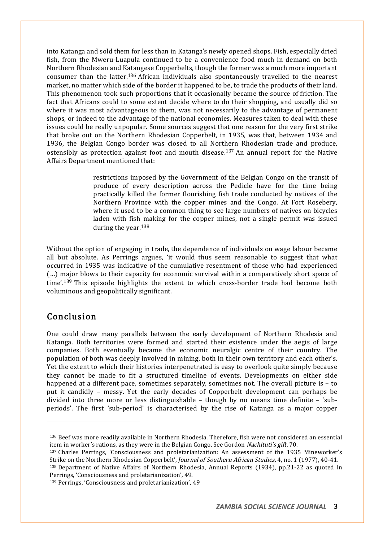into Katanga and sold them for less than in Katanga's newly opened shops. Fish, especially dried fish, from the Mweru-Luapula continued to be a convenience food much in demand on both Northern Rhodesian and Katangese Copperbelts, though the former was a much more important consumer than the latter.136 African individuals also spontaneously travelled to the nearest market, no matter which side of the border it happened to be, to trade the products of their land. This phenomenon took such proportions that it occasionally became the source of friction. The fact that Africans could to some extent decide where to do their shopping, and usually did so where it was most advantageous to them, was not necessarily to the advantage of permanent shops, or indeed to the advantage of the national economies. Measures taken to deal with these issues could be really unpopular. Some sources suggest that one reason for the very first strike that broke out on the Northern Rhodesian Copperbelt, in 1935, was that, between 1934 and 1936, the Belgian Congo border was closed to all Northern Rhodesian trade and produce, ostensibly as protection against foot and mouth disease.137 An annual report for the Native Affairs Department mentioned that:

> restrictions imposed by the Government of the Belgian Congo on the transit of produce of every description across the Pedicle have for the time being practically killed the former flourishing fish trade conducted by natives of the Northern Province with the copper mines and the Congo. At Fort Rosebery, where it used to be a common thing to see large numbers of natives on bicycles laden with fish making for the copper mines, not a single permit was issued during the year.138

Without the option of engaging in trade, the dependence of individuals on wage labour became all but absolute. As Perrings argues, 'it would thus seem reasonable to suggest that what occurred in 1935 was indicative of the cumulative resentment of those who had experienced (…) major blows to their capacity for economic survival within a comparatively short space of time'.139 This episode highlights the extent to which cross-border trade had become both voluminous and geopolitically significant.

## Conclusion

l

One could draw many parallels between the early development of Northern Rhodesia and Katanga. Both territories were formed and started their existence under the aegis of large companies. Both eventually became the economic neuralgic centre of their country. The population of both was deeply involved in mining, both in their own territory and each other's. Yet the extent to which their histories interpenetrated is easy to overlook quite simply because they cannot be made to fit a structured timeline of events. Developments on either side happened at a different pace, sometimes separately, sometimes not. The overall picture is - to put it candidly – messy. Yet the early decades of Copperbelt development can perhaps be divided into three more or less distinguishable – though by no means time definite – 'subperiods'. The first 'sub-period' is characterised by the rise of Katanga as a major copper

<sup>139</sup> Perrings, 'Consciousness and proletarianization', 49

<sup>136</sup> Beef was more readily available in Northern Rhodesia. Therefore, fish were not considered an essential item in worker's rations, as they were in the Belgian Congo. See Gordon Nachituti's gift, 70.

<sup>137</sup> Charles Perrings, 'Consciousness and proletarianization: An assessment of the 1935 Mineworker's Strike on the Northern Rhodesian Copperbelt', Journal of Southern African Studies, 4, no. 1 (1977), 40-41.

<sup>138</sup> Department of Native Affairs of Northern Rhodesia, Annual Reports (1934), pp.21-22 as quoted in Perrings, 'Consciousness and proletarianization', 49.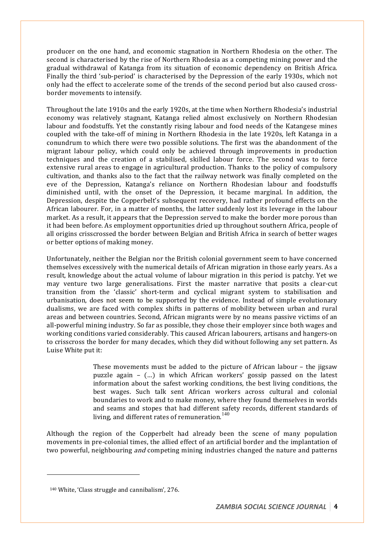producer on the one hand, and economic stagnation in Northern Rhodesia on the other. The second is characterised by the rise of Northern Rhodesia as a competing mining power and the gradual withdrawal of Katanga from its situation of economic dependency on British Africa. Finally the third 'sub-period' is characterised by the Depression of the early 1930s, which not only had the effect to accelerate some of the trends of the second period but also caused crossborder movements to intensify.

Throughout the late 1910s and the early 1920s, at the time when Northern Rhodesia's industrial economy was relatively stagnant, Katanga relied almost exclusively on Northern Rhodesian labour and foodstuffs. Yet the constantly rising labour and food needs of the Katangese mines coupled with the take-off of mining in Northern Rhodesia in the late 1920s, left Katanga in a conundrum to which there were two possible solutions. The first was the abandonment of the migrant labour policy, which could only be achieved through improvements in production techniques and the creation of a stabilised, skilled labour force. The second was to force extensive rural areas to engage in agricultural production. Thanks to the policy of compulsory cultivation, and thanks also to the fact that the railway network was finally completed on the eve of the Depression, Katanga's reliance on Northern Rhodesian labour and foodstuffs diminished until, with the onset of the Depression, it became marginal. In addition, the Depression, despite the Copperbelt's subsequent recovery, had rather profound effects on the African labourer. For, in a matter of months, the latter suddenly lost its leverage in the labour market. As a result, it appears that the Depression served to make the border more porous than it had been before. As employment opportunities dried up throughout southern Africa, people of all origins crisscrossed the border between Belgian and British Africa in search of better wages or better options of making money.

Unfortunately, neither the Belgian nor the British colonial government seem to have concerned themselves excessively with the numerical details of African migration in those early years. As a result, knowledge about the actual volume of labour migration in this period is patchy. Yet we may venture two large generalisations. First the master narrative that posits a clear-cut transition from the 'classic' short-term and cyclical migrant system to stabilisation and urbanisation, does not seem to be supported by the evidence. Instead of simple evolutionary dualisms, we are faced with complex shifts in patterns of mobility between urban and rural areas and between countries. Second, African migrants were by no means passive victims of an all-powerful mining industry. So far as possible, they chose their employer since both wages and working conditions varied considerably. This caused African labourers, artisans and hangers-on to crisscross the border for many decades, which they did without following any set pattern. As Luise White put it:

> These movements must be added to the picture of African labour – the jigsaw puzzle again – (…) in which African workers' gossip passed on the latest information about the safest working conditions, the best living conditions, the best wages. Such talk sent African workers across cultural and colonial boundaries to work and to make money, where they found themselves in worlds and seams and stopes that had different safety records, different standards of living, and different rates of remuneration.<sup>140</sup>

Although the region of the Copperbelt had already been the scene of many population movements in pre-colonial times, the allied effect of an artificial border and the implantation of two powerful, neighbouring and competing mining industries changed the nature and patterns

<sup>140</sup> White, 'Class struggle and cannibalism', 276.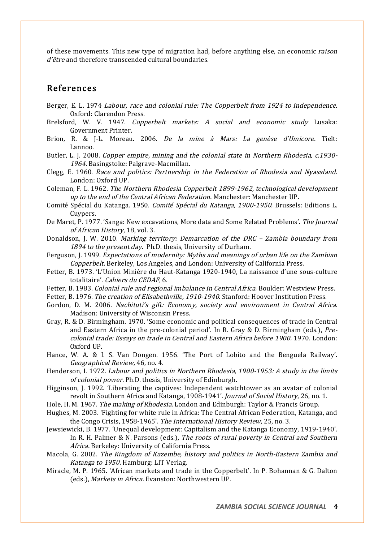of these movements. This new type of migration had, before anything else, an economic raison d'être and therefore transcended cultural boundaries.

## References

- Berger, E. L. 1974 Labour, race and colonial rule: The Copperbelt from 1924 to independence. Oxford: Clarendon Press.
- Brelsford, W. V. 1947. Copperbelt markets: A social and economic study Lusaka: Government Printer.
- Brion, R. & J-L. Moreau. 2006. De la mine à Mars: La genèse d'Umicore. Tielt: Lannoo.
- Butler, L. J. 2008. Copper empire, mining and the colonial state in Northern Rhodesia, c.1930- 1964. Basingstoke: Palgrave-Macmillan.
- Clegg, E. 1960. Race and politics: Partnership in the Federation of Rhodesia and Nyasaland. London: Oxford UP.
- Coleman, F. L. 1962. The Northern Rhodesia Copperbelt 1899-1962, technological development up to the end of the Central African Federation. Manchester: Manchester UP.
- Comité Spécial du Katanga. 1950. Comité Spécial du Katanga, 1900-1950. Brussels: Editions L. Cuypers.
- De Maret, P. 1977. 'Sanga: New excavations, More data and Some Related Problems'. The Journal of African History, 18, vol. 3.
- Donaldson, J. W. 2010. Marking territory: Demarcation of the DRC Zambia boundary from 1894 to the present day. Ph.D. thesis, University of Durham.
- Ferguson, J. 1999. Expectations of modernity: Myths and meanings of urban life on the Zambian Copperbelt. Berkeley, Los Angeles, and London: University of California Press.
- Fetter, B. 1973. 'L'Union Minière du Haut-Katanga 1920-1940, La naissance d'une sous-culture totalitaire'. Cahiers du CEDAF, 6.
- Fetter, B. 1983. Colonial rule and regional imbalance in Central Africa. Boulder: Westview Press.
- Fetter, B. 1976. The creation of Elisabethville, 1910-1940. Stanford: Hoover Institution Press.
- Gordon, D. M. 2006. Nachituti's gift: Economy, society and environment in Central Africa. Madison: University of Wisconsin Press.
- Gray, R. & D. Birmingham. 1970. 'Some economic and political consequences of trade in Central and Eastern Africa in the pre-colonial period'. In R. Gray & D. Birmingham (eds.), Precolonial trade: Essays on trade in Central and Eastern Africa before 1900. 1970. London: Oxford UP.
- Hance, W. A. & I. S. Van Dongen. 1956. 'The Port of Lobito and the Benguela Railway'. Geographical Review, 46, no. 4.
- Henderson, I. 1972. Labour and politics in Northern Rhodesia, 1900-1953: A study in the limits of colonial power. Ph.D. thesis, University of Edinburgh.
- Higginson, J. 1992. 'Liberating the captives: Independent watchtower as an avatar of colonial revolt in Southern Africa and Katanga, 1908-1941'. Journal of Social History, 26, no. 1.
- Hole, H. M. 1967. The making of Rhodesia. London and Edinburgh: Taylor & Francis Group.
- Hughes, M. 2003. 'Fighting for white rule in Africa: The Central African Federation, Katanga, and the Congo Crisis, 1958-1965'. The International History Review, 25, no. 3.
- Jewsiewicki, B. 1977. 'Unequal development: Capitalism and the Katanga Economy, 1919-1940'. In R. H. Palmer & N. Parsons (eds.), The roots of rural poverty in Central and Southern Africa. Berkeley: University of California Press.
- Macola, G. 2002. The Kingdom of Kazembe, history and politics in North-Eastern Zambia and Katanga to 1950. Hamburg: LIT Verlag.
- Miracle, M. P. 1965. 'African markets and trade in the Copperbelt'. In P. Bohannan & G. Dalton (eds.), Markets in Africa. Evanston: Northwestern UP.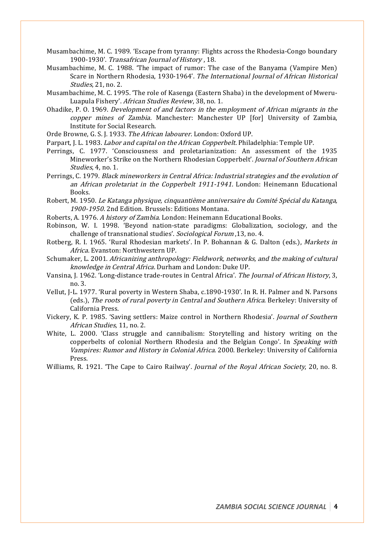Musambachime, M. C. 1989. 'Escape from tyranny: Flights across the Rhodesia-Congo boundary 1900-1930'. Transafrican Journal of History , 18.

- Musambachime, M. C. 1988. 'The impact of rumor: The case of the Banyama (Vampire Men) Scare in Northern Rhodesia, 1930-1964'. The International Journal of African Historical Studies, 21, no. 2.
- Musambachime, M. C. 1995. 'The role of Kasenga (Eastern Shaba) in the development of Mweru-Luapula Fishery'. African Studies Review, 38, no. 1.
- Ohadike, P. O. 1969. Development of and factors in the employment of African migrants in the copper mines of Zambia. Manchester: Manchester UP [for] University of Zambia, Institute for Social Research.

Orde Browne, G. S. J. 1933. The African labourer. London: Oxford UP.

Parpart, I. L. 1983. *Labor and capital on the African Copperbelt*. Philadelphia: Temple UP.

Perrings, C. 1977. 'Consciousness and proletarianization: An assessment of the 1935 Mineworker's Strike on the Northern Rhodesian Copperbelt'. Journal of Southern African Studies, 4, no. 1.

Perrings, C. 1979. Black mineworkers in Central Africa: Industrial strategies and the evolution of an African proletariat in the Copperbelt 1911-1941. London: Heinemann Educational Books.

Robert, M. 1950. Le Katanga physique, cinquantième anniversaire du Comité Spécial du Katanga, 1900-1950. 2nd Edition. Brussels: Editions Montana.

- Roberts, A. 1976. A history of Zambia. London: Heinemann Educational Books.
- Robinson, W. I. 1998. 'Beyond nation-state paradigms: Globalization, sociology, and the challenge of transnational studies'. Sociological Forum ,13, no. 4.
- Rotberg, R. I. 1965. 'Rural Rhodesian markets'. In P. Bohannan & G. Dalton (eds.), Markets in Africa. Evanston: Northwestern UP.
- Schumaker, L. 2001. Africanizing anthropology: Fieldwork, networks, and the making of cultural knowledge in Central Africa. Durham and London: Duke UP.
- Vansina, J. 1962. 'Long-distance trade-routes in Central Africa'. The Journal of African History, 3, no. 3.
- Vellut, J-L. 1977. 'Rural poverty in Western Shaba, c.1890-1930'. In R. H. Palmer and N. Parsons (eds.), The roots of rural poverty in Central and Southern Africa. Berkeley: University of California Press.
- Vickery, K. P. 1985. 'Saving settlers: Maize control in Northern Rhodesia'. Journal of Southern African Studies, 11, no. 2.
- White, L. 2000. 'Class struggle and cannibalism: Storytelling and history writing on the copperbelts of colonial Northern Rhodesia and the Belgian Congo'. In Speaking with Vampires: Rumor and History in Colonial Africa. 2000. Berkeley: University of California Press.

Williams, R. 1921. 'The Cape to Cairo Railway'. Journal of the Royal African Society, 20, no. 8.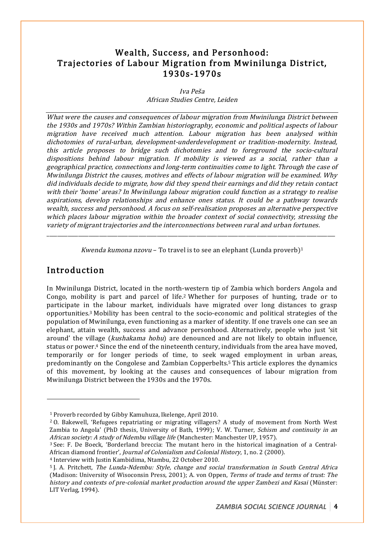## Wealth, Success, and Personhood: Trajectories of Labour Migration from Mwinilunga District, 1930s-1970s

Iva Peša African Studies Centre, Leiden

What were the causes and consequences of labour migration from Mwinilunga District between the 1930s and 1970s? Within Zambian historiography, economic and political aspects of labour migration have received much attention. Labour migration has been analysed within dichotomies of rural-urban, development-underdevelopment or tradition-modernity. Instead, this article proposes to bridge such dichotomies and to foreground the socio-cultural dispositions behind labour migration. If mobility is viewed as a social, rather than a geographical practice, connections and long-term continuities come to light. Through the case of Mwinilunga District the causes, motives and effects of labour migration will be examined. Why did individuals decide to migrate, how did they spend their earnings and did they retain contact with their 'home' areas? In Mwinilunga labour migration could function as a strategy to realise aspirations, develop relationships and enhance ones status. It could be a pathway towards wealth, success and personhood. A focus on self-realisation proposes an alternative perspective which places labour migration within the broader context of social connectivity, stressing the variety of migrant trajectories and the interconnections between rural and urban fortunes.

Kwenda kumona nzovu – To travel is to see an elephant (Lunda proverb)<sup>1</sup>

\_\_\_\_\_\_\_\_\_\_\_\_\_\_\_\_\_\_\_\_\_\_\_\_\_\_\_\_\_\_\_\_\_\_\_\_\_\_\_\_\_\_\_\_\_\_\_\_\_\_\_\_\_\_\_\_\_\_\_\_\_\_\_\_\_\_\_\_\_\_\_\_\_\_\_\_\_\_\_\_\_\_\_\_\_\_\_\_\_\_\_\_\_\_\_\_\_\_\_\_\_\_\_\_\_\_\_\_\_\_

## Introduction

 $\overline{\phantom{0}}$ 

In Mwinilunga District, located in the north-western tip of Zambia which borders Angola and Congo, mobility is part and parcel of life.2 Whether for purposes of hunting, trade or to participate in the labour market, individuals have migrated over long distances to grasp opportunities.3 Mobility has been central to the socio-economic and political strategies of the population of Mwinilunga, even functioning as a marker of identity. If one travels one can see an elephant, attain wealth, success and advance personhood. Alternatively, people who just 'sit around' the village (kushakama hohu) are denounced and are not likely to obtain influence, status or power.4 Since the end of the nineteenth century, individuals from the area have moved, temporarily or for longer periods of time, to seek waged employment in urban areas, predominantly on the Congolese and Zambian Copperbelts.5 This article explores the dynamics of this movement, by looking at the causes and consequences of labour migration from Mwinilunga District between the 1930s and the 1970s.

<sup>1</sup> Proverb recorded by Gibby Kamuhuza, Ikelenge, April 2010.

<sup>2</sup> O. Bakewell, 'Refugees repatriating or migrating villagers? A study of movement from North West Zambia to Angola' (PhD thesis, University of Bath, 1999); V. W. Turner, *Schism and continuity in an* African society: A study of Ndembu village life (Manchester: Manchester UP, 1957).<br><sup>3</sup> See: F. De Boeck, 'Borderland breccia: The mutant hero in the historical imagination of a Central-

African diamond frontier', *Journal of Colonialism and Colonial History*, 1, no. 2 (2000).<br><sup>4</sup> Interview with Justin Kambidima, Ntambu, 22 October 2010.

<sup>5</sup> J. A. Pritchett, The Lunda-Ndembu: Style, change and social transformation in South Central Africa (Madison: University of Wisoconsin Press, 2001); A. von Oppen, Terms of trade and terms of trust: The history and contexts of pre-colonial market production around the upper Zambezi and Kasai (Münster: LIT Verlag, 1994).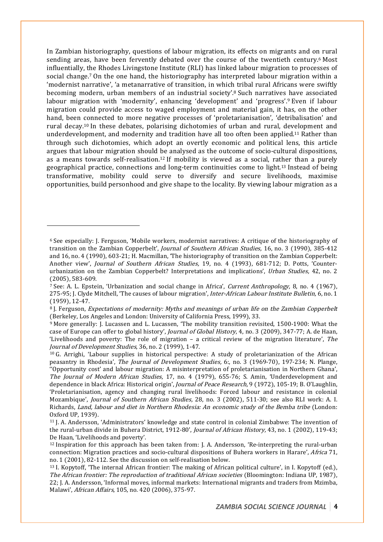In Zambian historiography, questions of labour migration, its effects on migrants and on rural sending areas, have been fervently debated over the course of the twentieth century.<sup>6</sup> Most influentially, the Rhodes Livingstone Institute (RLI) has linked labour migration to processes of social change.7 On the one hand, the historiography has interpreted labour migration within a 'modernist narrative', 'a metanarrative of transition, in which tribal rural Africans were swiftly becoming modern, urban members of an industrial society'.8 Such narratives have associated labour migration with 'modernity', enhancing 'development' and 'progress'.9 Even if labour migration could provide access to waged employment and material gain, it has, on the other hand, been connected to more negative processes of 'proletarianisation', 'detribalisation' and rural decay.10 In these debates, polarising dichotomies of urban and rural, development and underdevelopment, and modernity and tradition have all too often been applied.11 Rather than through such dichotomies, which adopt an overtly economic and political lens, this article argues that labour migration should be analysed as the outcome of socio-cultural dispositions, as a means towards self-realisation.12 If mobility is viewed as a social, rather than a purely geographical practice, connections and long-term continuities come to light.13 Instead of being transformative, mobility could serve to diversify and secure livelihoods, maximise opportunities, build personhood and give shape to the locality. By viewing labour migration as a

<sup>6</sup> See especially: J. Ferguson, 'Mobile workers, modernist narratives: A critique of the historiography of transition on the Zambian Copperbelt', Journal of Southern African Studies, 16, no. 3 (1990), 385-412 and 16, no. 4 (1990), 603-21; H. Macmillan, 'The historiography of transition on the Zambian Copperbelt: Another view', Journal of Southern African Studies, 19, no. 4 (1993), 681-712; D. Potts, 'Counterurbanization on the Zambian Copperbelt? Interpretations and implications', Urban Studies, 42, no. 2 (2005), 583-609.

<sup>7</sup> See: A. L. Epstein, 'Urbanization and social change in Africa', Current Anthropology, 8, no. 4 (1967), 275-95; J. Clyde Mitchell, 'The causes of labour migration', Inter-African Labour Institute Bulletin, 6, no. 1 (1959), 12-47.

<sup>8</sup> J. Ferguson, Expectations of modernity: Myths and meanings of urban life on the Zambian Copperbelt (Berkeley, Los Angeles and London: University of California Press, 1999), 33.  $999$ <br>9 More generally: J. Lucassen and L. Lucassen, 'The mobility transition revisited, 1500-1900: What the

case of Europe can offer to global history', Journal of Global History, 4, no. 3 (2009), 347-77; A. de Haan, 'Livelihoods and poverty: The role of migration – a critical review of the migration literature', The Journal of Development Studies, 36, no. 2 (1999), 1-47.<br><sup>10</sup> G. Arrighi, 'Labour supplies in historical perspective: A study of proletarianization of the African

peasantry in Rhodesia', The Journal of Development Studies, 6:, no. 3 (1969-70), 197-234; N. Plange, ''Opportunity cost' and labour migration: A misinterpretation of proletarianisation in Northern Ghana', The Journal of Modern African Studies, 17, no. 4 (1979), 655-76; S. Amin, 'Underdevelopment and dependence in black Africa: Historical origin', Journal of Peace Research, 9 (1972), 105-19; B. O'Laughlin, 'Proletarianisation, agency and changing rural livelihoods: Forced labour and resistance in colonial Mozambique', Journal of Southern African Studies, 28, no. 3 (2002), 511-30; see also RLI work: A. I. Richards, Land, labour and diet in Northern Rhodesia: An economic study of the Bemba tribe (London:

Oxford UP, 1939).<br><sup>11</sup> J. A. Andersson, 'Administrators' knowledge and state control in colonial Zimbabwe: The invention of the rural-urban divide in Buhera District, 1912-80', Journal of African History, 43, no. 1 (2002), 119-43; De Haan, 'Livelihoods and poverty'.

<sup>12</sup> Inspiration for this approach has been taken from: J. A. Andersson, 'Re-interpreting the rural-urban connection: Migration practices and socio-cultural dispositions of Buhera workers in Harare', Africa 71, no. 1 (2001), 82-112. See the discussion on self-realisation below.<br><sup>13</sup> I. Kopytoff, 'The internal African frontier: The making of African political culture', in I. Kopytoff (ed.),

The African frontier: The reproduction of traditional African societies (Bloomington: Indiana UP, 1987), 22; J. A. Andersson, 'Informal moves, informal markets: International migrants and traders from Mzimba, Malawi', African Affairs, 105, no. 420 (2006), 375-97.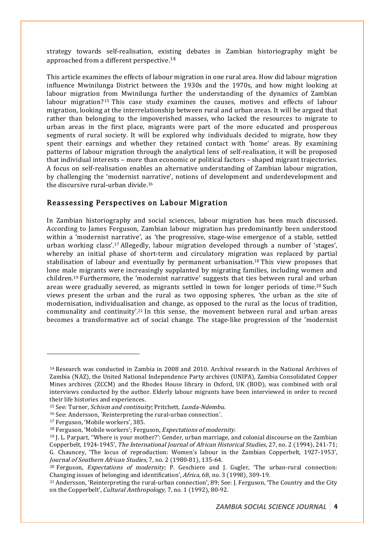strategy towards self-realisation, existing debates in Zambian historiography might be approached from a different perspective.14

This article examines the effects of labour migration in one rural area. How did labour migration influence Mwinilunga District between the 1930s and the 1970s, and how might looking at labour migration from Mwinilunga further the understanding of the dynamics of Zambian labour migration?<sup>15</sup> This case study examines the causes, motives and effects of labour migration, looking at the interrelationship between rural and urban areas. It will be argued that rather than belonging to the impoverished masses, who lacked the resources to migrate to urban areas in the first place, migrants were part of the more educated and prosperous segments of rural society. It will be explored why individuals decided to migrate, how they spent their earnings and whether they retained contact with 'home' areas. By examining patterns of labour migration through the analytical lens of self-realisation, it will be proposed that individual interests – more than economic or political factors – shaped migrant trajectories. A focus on self-realisation enables an alternative understanding of Zambian labour migration, by challenging the 'modernist narrative', notions of development and underdevelopment and the discursive rural-urban divide.16

#### Reassessing Perspectives on Labour Migration

In Zambian historiography and social sciences, labour migration has been much discussed. According to James Ferguson, Zambian labour migration has predominantly been understood within a 'modernist narrative', as 'the progressive, stage-wise emergence of a stable, settled urban working class'.17 Allegedly, labour migration developed through a number of 'stages', whereby an initial phase of short-term and circulatory migration was replaced by partial stabilisation of labour and eventually by permanent urbanisation.18 This view proposes that lone male migrants were increasingly supplanted by migrating families, including women and children.19 Furthermore, the 'modernist narrative' suggests that ties between rural and urban areas were gradually severed, as migrants settled in town for longer periods of time.20 Such views present the urban and the rural as two opposing spheres, 'the urban as the site of modernisation, individualisation and change, as opposed to the rural as the locus of tradition, communality and continuity'.21 In this sense, the movement between rural and urban areas becomes a transformative act of social change. The stage-like progression of the 'modernist

<sup>14</sup> Research was conducted in Zambia in 2008 and 2010. Archival research in the National Archives of Zambia (NAZ), the United National Independence Party archives (UNIPA), Zambia Consolidated Copper Mines archives (ZCCM) and the Rhodes House library in Oxford, UK (BOD), was combined with oral interviews conducted by the author. Elderly labour migrants have been interviewed in order to record their life histories and experiences.

<sup>15</sup> See: Turner, Schism and continuity; Pritchett, Lunda-Ndembu.

<sup>&</sup>lt;sup>16</sup> See: Andersson, ´Reinterpreting the rural-urban connection´.<br><sup>17</sup> Ferguson, 'Mobile workers', 385.

<sup>18</sup> Ferguson, 'Mobile workers'; Ferguson, Expectations of modernity.

<sup>19</sup> J. L. Parpart, ''Where is your mother?': Gender, urban marriage, and colonial discourse on the Zambian Copperbelt, 1924-1945', The International Journal of African Historical Studies, 27, no. 2 (1994), 241-71; G. Chauncey, 'The locus of reproduction: Women's labour in the Zambian Copperbelt, 1927-1953', Journal of Southern African Studies, 7, no. 2 (1980-81), 135-64.<br><sup>20</sup> Ferguson, Expectations of modernity; P. Geschiere and J. Gugler, 'The urban-rural connection:

Changing issues of belonging and identification', Africa, 68, no. 3 (1998), 309-19.

<sup>21</sup> Andersson, 'Reinterpreting the rural-urban connection', 89; See: J. Ferguson, 'The Country and the City on the Copperbelt', Cultural Anthropology, 7, no. 1 (1992), 80-92.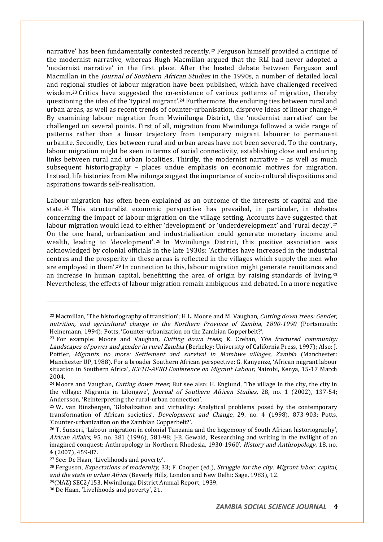narrative' has been fundamentally contested recently.22 Ferguson himself provided a critique of the modernist narrative, whereas Hugh Macmillan argued that the RLI had never adopted a 'modernist narrative' in the first place. After the heated debate between Ferguson and Macmillan in the *Journal of Southern African Studies* in the 1990s, a number of detailed local and regional studies of labour migration have been published, which have challenged received wisdom.23 Critics have suggested the co-existence of various patterns of migration, thereby questioning the idea of the 'typical migrant'.24 Furthermore, the enduring ties between rural and urban areas, as well as recent trends of counter-urbanisation, disprove ideas of linear change.25 By examining labour migration from Mwinilunga District, the 'modernist narrative' can be challenged on several points. First of all, migration from Mwinilunga followed a wide range of patterns rather than a linear trajectory from temporary migrant labourer to permanent urbanite. Secondly, ties between rural and urban areas have not been severed. To the contrary, labour migration might be seen in terms of social connectivity, establishing close and enduring links between rural and urban localities. Thirdly, the modernist narrative – as well as much subsequent historiography – places undue emphasis on economic motives for migration. Instead, life histories from Mwinilunga suggest the importance of socio-cultural dispositions and aspirations towards self-realisation.

Labour migration has often been explained as an outcome of the interests of capital and the state. <sup>26</sup> This structuralist economic perspective has prevailed, in particular, in debates concerning the impact of labour migration on the village setting. Accounts have suggested that labour migration would lead to either 'development' or 'underdevelopment' and 'rural decay'.27 On the one hand, urbanisation and industrialisation could generate monetary income and wealth, leading to 'development'.<sup>28</sup> In Mwinilunga District, this positive association was acknowledged by colonial officials in the late 1930s: 'Activities have increased in the industrial centres and the prosperity in these areas is reflected in the villages which supply the men who are employed in them'.29 In connection to this, labour migration might generate remittances and an increase in human capital, benefitting the area of origin by raising standards of living.30 Nevertheless, the effects of labour migration remain ambiguous and debated. In a more negative

<sup>&</sup>lt;sup>22</sup> Macmillan, 'The historiography of transition'; H.L. Moore and M. Vaughan, Cutting down trees: Gender, nutrition, and agricultural change in the Northern Province of Zambia, 1890-1990 (Portsmouth: Heinemann, 1994); Potts, 'Counter-urbanization on the Zambian Copperbelt?'.

 $23$  For example: Moore and Vaughan, *Cutting down trees*; K. Crehan, *The fractured community:* Landscapes of power and gender in rural Zambia (Berkeley: University of California Press, 1997); Also: J. Pottier, Migrants no more: Settlement and survival in Mambwe villages, Zambia (Manchester: Manchester UP, 1988). For a broader Southern African perspective: G. Kanyenze, 'African migrant labour situation in Southern Africa', ICFTU-AFRO Conference on Migrant Labour, Nairobi, Kenya, 15-17 March 2004.

 $24$  Moore and Vaughan, *Cutting down trees*; But see also: H. Englund, 'The village in the city, the city in the village: Migrants in Lilongwe', Journal of Southern African Studies, 28, no. 1 (2002), 137-54; Andersson, 'Reinterpreting the rural-urban connection'.

<sup>25</sup> W. van Binsbergen, 'Globalization and virtuality: Analytical problems posed by the contemporary transformation of African societies', Development and Change, 29, no. 4 (1998), 873-903; Potts, 'Counter-urbanization on the Zambian Copperbelt?'.

<sup>26</sup> T. Sunseri, 'Labour migration in colonial Tanzania and the hegemony of South African historiography', African Affairs, 95, no. 381 (1996), 581-98; J-B. Gewald, 'Researching and writing in the twilight of an imagined conquest: Anthropology in Northern Rhodesia, 1930-1960', History and Anthropology, 18, no. 4 (2007), 459-87.

<sup>27</sup> See: De Haan, 'Livelihoods and poverty'.

 $^{28}$  Ferguson, Expectations of modernity, 33; F. Cooper (ed.), Struggle for the city: Migrant labor, capital, and the state in urban Africa (Beverly Hills, London and New Delhi: Sage, 1983), 12.<br><sup>29</sup>(NAZ) SEC2/153, Mwinilunga District Annual Report, 1939.

<sup>30</sup> De Haan, 'Livelihoods and poverty', 21.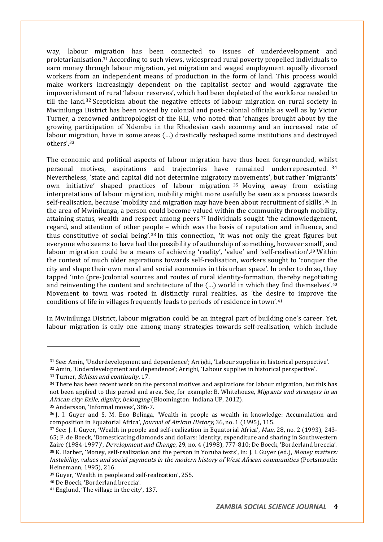way, labour migration has been connected to issues of underdevelopment and proletarianisation.31 According to such views, widespread rural poverty propelled individuals to earn money through labour migration, yet migration and waged employment equally divorced workers from an independent means of production in the form of land. This process would make workers increasingly dependent on the capitalist sector and would aggravate the impoverishment of rural 'labour reserves', which had been depleted of the workforce needed to till the land.<sup>32</sup> Scepticism about the negative effects of labour migration on rural society in Mwinilunga District has been voiced by colonial and post-colonial officials as well as by Victor Turner, a renowned anthropologist of the RLI, who noted that 'changes brought about by the growing participation of Ndembu in the Rhodesian cash economy and an increased rate of labour migration, have in some areas (…) drastically reshaped some institutions and destroyed others'.33

The economic and political aspects of labour migration have thus been foregrounded, whilst personal motives, aspirations and trajectories have remained underrepresented. <sup>34</sup> Nevertheless, 'state and capital did not determine migratory movements', but rather 'migrants' own initiative' shaped practices of labour migration. <sup>35</sup> Moving away from existing interpretations of labour migration, mobility might more usefully be seen as a process towards self-realisation, because 'mobility and migration may have been about recruitment of skills'.36 In the area of Mwinilunga, a person could become valued within the community through mobility, attaining status, wealth and respect among peers.37 Individuals sought 'the acknowledgement, regard, and attention of other people – which was the basis of reputation and influence, and thus constitutive of social being'.38 In this connection, 'it was not only the great figures but everyone who seems to have had the possibility of authorship of something, however small', and labour migration could be a means of achieving 'reality', 'value' and 'self-realisation'.<sup>39</sup> Within the context of much older aspirations towards self-realisation, workers sought to 'conquer the city and shape their own moral and social economies in this urban space'. In order to do so, they tapped 'into (pre-)colonial sources and routes of rural identity-formation, thereby negotiating and reinventing the content and architecture of the  $(...)$  world in which they find themselves'.<sup>40</sup> Movement to town was rooted in distinctly rural realities, as 'the desire to improve the conditions of life in villages frequently leads to periods of residence in town'.41

In Mwinilunga District, labour migration could be an integral part of building one's career. Yet, labour migration is only one among many strategies towards self-realisation, which include

<sup>31</sup> See: Amin, 'Underdevelopment and dependence'; Arrighi, 'Labour supplies in historical perspective'.

<sup>&</sup>lt;sup>32</sup> Amin, 'Underdevelopment and dependence'; Arrighi, 'Labour supplies in historical perspective'.<br><sup>33</sup> Turner, *Schism and continuity*, 17.

<sup>&</sup>lt;sup>34</sup> There has been recent work on the personal motives and aspirations for labour migration, but this has not been applied to this period and area. See, for example: B. Whitehouse, *Migrants and strangers in an* African city: Exile, dignity, belonging (Bloomington: Indiana UP, 2012).

<sup>35</sup> Andersson, 'Informal moves', 386-7.

<sup>36</sup> J. I. Guyer and S. M. Eno Belinga, 'Wealth in people as wealth in knowledge: Accumulation and composition in Equatorial Africa', *Journal of African History*, 36, no. 1 (1995), 115.<br><sup>37</sup> See: J. I. Guyer, 'Wealth in people and self-realization in Equatorial Africa', *Man*, 28, no. 2 (1993), 243-

<sup>65;</sup> F. de Boeck, 'Domesticating diamonds and dollars: Identity, expenditure and sharing in Southwestern Zaire (1984-1997)', Development and Change, 29, no. 4 (1998), 777-810; De Boeck, 'Borderland breccia'. 38 K. Barber, 'Money, self-realization and the person in Yoruba texts', in: J. I. Guyer (ed.), Money matters: Instability, values and social payments in the modern history of West African communities (Portsmouth: Heinemann, 1995), 216.<br><sup>39</sup> Guyer, 'Wealth in people and self-realization', 255.

<sup>&</sup>lt;sup>40</sup> De Boeck, 'Borderland breccia'.<br><sup>41</sup> Englund, 'The village in the city', 137.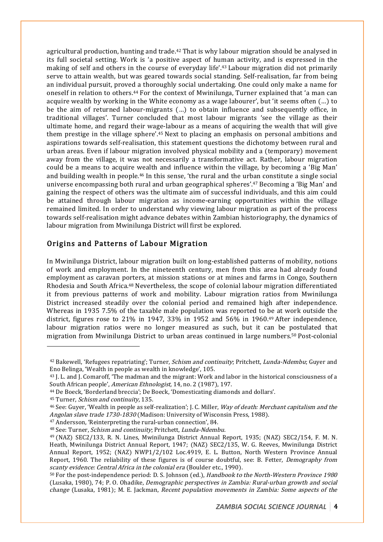agricultural production, hunting and trade.42 That is why labour migration should be analysed in its full societal setting. Work is 'a positive aspect of human activity, and is expressed in the making of self and others in the course of everyday life'.43 Labour migration did not primarily serve to attain wealth, but was geared towards social standing. Self-realisation, far from being an individual pursuit, proved a thoroughly social undertaking. One could only make a name for oneself in relation to others.44 For the context of Mwinilunga, Turner explained that 'a man can acquire wealth by working in the White economy as a wage labourer', but 'it seems often (…) to be the aim of returned labour-migrants (…) to obtain influence and subsequently office, in traditional villages'. Turner concluded that most labour migrants 'see the village as their ultimate home, and regard their wage-labour as a means of acquiring the wealth that will give them prestige in the village sphere'.45 Next to placing an emphasis on personal ambitions and aspirations towards self-realisation, this statement questions the dichotomy between rural and urban areas. Even if labour migration involved physical mobility and a (temporary) movement away from the village, it was not necessarily a transformative act. Rather, labour migration could be a means to acquire wealth and influence within the village, by becoming a 'Big Man' and building wealth in people.46 In this sense, 'the rural and the urban constitute a single social universe encompassing both rural and urban geographical spheres'.47 Becoming a 'Big Man' and gaining the respect of others was the ultimate aim of successful individuals, and this aim could be attained through labour migration as income-earning opportunities within the village remained limited. In order to understand why viewing labour migration as part of the process towards self-realisation might advance debates within Zambian historiography, the dynamics of labour migration from Mwinilunga District will first be explored.

## Origins and Patterns of Labour Migration

In Mwinilunga District, labour migration built on long-established patterns of mobility, notions of work and employment. In the nineteenth century, men from this area had already found employment as caravan porters, at mission stations or at mines and farms in Congo, Southern Rhodesia and South Africa.48 Nevertheless, the scope of colonial labour migration differentiated it from previous patterns of work and mobility. Labour migration ratios from Mwinilunga District increased steadily over the colonial period and remained high after independence. Whereas in 1935 7.5% of the taxable male population was reported to be at work outside the district, figures rose to 21% in 1947, 33% in 1952 and 56% in 1960.49 After independence, labour migration ratios were no longer measured as such, but it can be postulated that migration from Mwinilunga District to urban areas continued in large numbers.50 Post-colonial

<sup>&</sup>lt;sup>42</sup> Bakewell, 'Refugees repatriating'; Turner, *Schism and continuity*; Pritchett, *Lunda-Ndembu*; Guyer and Eno Belinga, 'Wealth in people as wealth in knowledge', 105.<br><sup>43</sup> J. L. and J. Comaroff, 'The madman and the migrant: Work and labor in the historical consciousness of a

South African people', American Ethnologist, 14, no. 2 (1987), 197.

<sup>44</sup> De Boeck, 'Borderland breccia'; De Boeck, 'Domesticating diamonds and dollars'.

<sup>45</sup> Turner, Schism and continuity, 135.

<sup>46</sup> See: Guyer, 'Wealth in people as self-realization'; J. C. Miller, Way of death: Merchant capitalism and the Angolan slave trade 1730-1830 (Madison: University of Wisconsin Press, 1988).

<sup>&</sup>lt;sup>47</sup> Andersson, 'Reinterpreting the rural-urban connection', 84.<br><sup>48</sup> See: Turner, *Schism and continuity*; Pritchett, *Lunda-Ndembu.* 

<sup>49</sup> (NAZ) SEC2/133, R. N. Lines, Mwinilunga District Annual Report, 1935; (NAZ) SEC2/154, F. M. N. Heath, Mwinilunga District Annual Report, 1947; (NAZ) SEC2/135, W. G. Reeves, Mwinilunga District Annual Report, 1952; (NAZ) NWP1/2/102 Loc.4919, E. L. Button, North Western Province Annual Report, 1960. The reliability of these figures is of course doubtful, see: B. Fetter, Demography from scanty evidence: Central Africa in the colonial era (Boulder etc., 1990).

<sup>50</sup> For the post-independence period: D. S. Johnson (ed.), Handbook to the North-Western Province 1980 (Lusaka, 1980), 74; P. O. Ohadike, Demographic perspectives in Zambia: Rural-urban growth and social change (Lusaka, 1981); M. E. Jackman, Recent population movements in Zambia: Some aspects of the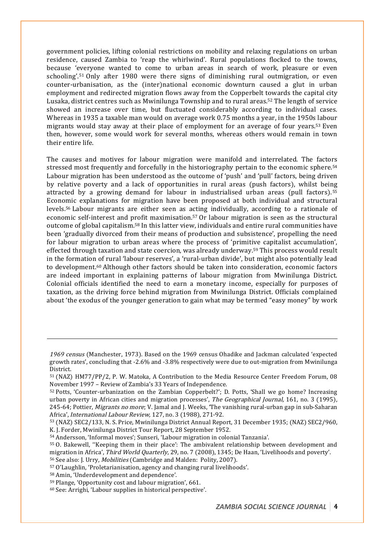government policies, lifting colonial restrictions on mobility and relaxing regulations on urban residence, caused Zambia to 'reap the whirlwind'. Rural populations flocked to the towns, because 'everyone wanted to come to urban areas in search of work, pleasure or even schooling'.51 Only after 1980 were there signs of diminishing rural outmigration, or even counter-urbanisation, as the (inter)national economic downturn caused a glut in urban employment and redirected migration flows away from the Copperbelt towards the capital city Lusaka, district centres such as Mwinilunga Township and to rural areas.52 The length of service showed an increase over time, but fluctuated considerably according to individual cases. Whereas in 1935 a taxable man would on average work 0.75 months a year, in the 1950s labour migrants would stay away at their place of employment for an average of four years.53 Even then, however, some would work for several months, whereas others would remain in town their entire life.

The causes and motives for labour migration were manifold and interrelated. The factors stressed most frequently and forcefully in the historiography pertain to the economic sphere.<sup>54</sup> Labour migration has been understood as the outcome of 'push' and 'pull' factors, being driven by relative poverty and a lack of opportunities in rural areas (push factors), whilst being attracted by a growing demand for labour in industrialised urban areas (pull factors).55 Economic explanations for migration have been proposed at both individual and structural levels.56 Labour migrants are either seen as acting individually, according to a rationale of economic self-interest and profit maximisation.57 Or labour migration is seen as the structural outcome of global capitalism.58 In this latter view, individuals and entire rural communities have been 'gradually divorced from their means of production and subsistence', propelling the need for labour migration to urban areas where the process of 'primitive capitalist accumulation', effected through taxation and state coercion, was already underway.59 This process would result in the formation of rural 'labour reserves', a 'rural-urban divide', but might also potentially lead to development.60 Although other factors should be taken into consideration, economic factors are indeed important in explaining patterns of labour migration from Mwinilunga District. Colonial officials identified the need to earn a monetary income, especially for purposes of taxation, as the driving force behind migration from Mwinilunga District. Officials complained about 'the exodus of the younger generation to gain what may be termed "easy money" by work

<sup>58</sup> Amin, 'Underdevelopment and dependence'.

<u>.</u>

<sup>1969</sup> census (Manchester, 1973). Based on the 1969 census Ohadike and Jackman calculated 'expected growth rates', concluding that -2.6% and -3.8% respectively were due to out-migration from Mwinilunga District.

<sup>51</sup> (NAZ) HM77/PP/2, P. W. Matoka, A Contribution to the Media Resource Center Freedom Forum, 08 November 1997 – Review of Zambia's 33 Years of Independence.

<sup>52</sup> Potts, 'Counter-urbanization on the Zambian Copperbelt?'; D. Potts, 'Shall we go home? Increasing urban poverty in African cities and migration processes', The Geographical Journal, 161, no. 3 (1995), 245-64; Pottier, *Migrants no more*; V. Jamal and J. Weeks, 'The vanishing rural-urban gap in sub-Saharan Africa', International Labour Review, 127, no. 3 (1988), 271-92.

<sup>53</sup> (NAZ) SEC2/133, N. S. Price, Mwinilunga District Annual Report, 31 December 1935; (NAZ) SEC2/960, K. J. Forder, Mwinilunga District Tour Report, 28 September 1952.

<sup>54</sup> Andersson, 'Informal moves'; Sunseri, 'Labour migration in colonial Tanzania'.

<sup>55</sup> O. Bakewell, ''Keeping them in their place': The ambivalent relationship between development and migration in Africa', Third World Quarterly, 29, no. 7 (2008), 1345; De Haan, 'Livelihoods and poverty'. <sup>56</sup> See also: J. Urry, Mobilities (Cambridge and Malden: Polity, 2007).

<sup>57</sup> O'Laughlin, 'Proletarianisation, agency and changing rural livelihoods'.

 $59$  Plange, 'Opportunity cost and labour migration', 661.<br> $60$  See: Arrighi, 'Labour supplies in historical perspective'.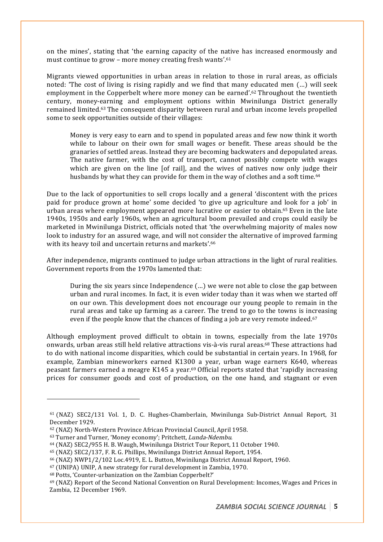on the mines', stating that 'the earning capacity of the native has increased enormously and must continue to grow – more money creating fresh wants'.61

Migrants viewed opportunities in urban areas in relation to those in rural areas, as officials noted: 'The cost of living is rising rapidly and we find that many educated men (…) will seek employment in the Copperbelt where more money can be earned'.62 Throughout the twentieth century, money-earning and employment options within Mwinilunga District generally remained limited.63 The consequent disparity between rural and urban income levels propelled some to seek opportunities outside of their villages:

Money is very easy to earn and to spend in populated areas and few now think it worth while to labour on their own for small wages or benefit. These areas should be the granaries of settled areas. Instead they are becoming backwaters and depopulated areas. The native farmer, with the cost of transport, cannot possibly compete with wages which are given on the line [of rail], and the wives of natives now only judge their husbands by what they can provide for them in the way of clothes and a soft time.<sup>64</sup>

Due to the lack of opportunities to sell crops locally and a general 'discontent with the prices paid for produce grown at home' some decided 'to give up agriculture and look for a job' in urban areas where employment appeared more lucrative or easier to obtain.65 Even in the late 1940s, 1950s and early 1960s, when an agricultural boom prevailed and crops could easily be marketed in Mwinilunga District, officials noted that 'the overwhelming majority of males now look to industry for an assured wage, and will not consider the alternative of improved farming with its heavy toil and uncertain returns and markets'.66

After independence, migrants continued to judge urban attractions in the light of rural realities. Government reports from the 1970s lamented that:

During the six years since Independence (…) we were not able to close the gap between urban and rural incomes. In fact, it is even wider today than it was when we started off on our own. This development does not encourage our young people to remain in the rural areas and take up farming as a career. The trend to go to the towns is increasing even if the people know that the chances of finding a job are very remote indeed.<sup>67</sup>

Although employment proved difficult to obtain in towns, especially from the late 1970s onwards, urban areas still held relative attractions vis-à-vis rural areas.68 These attractions had to do with national income disparities, which could be substantial in certain years. In 1968, for example, Zambian mineworkers earned K1300 a year, urban wage earners K640, whereas peasant farmers earned a meagre K145 a year.69 Official reports stated that 'rapidly increasing prices for consumer goods and cost of production, on the one hand, and stagnant or even

<sup>66</sup> (NAZ) NWP1/2/102 Loc.4919, E. L. Button, Mwinilunga District Annual Report, 1960. 67 (UNIPA) UNIP, A new strategy for rural development in Zambia, 1970.

<sup>61</sup> (NAZ) SEC2/131 Vol. 1, D. C. Hughes-Chamberlain, Mwinilunga Sub-District Annual Report, 31 December 1929.

<sup>62</sup> (NAZ) North-Western Province African Provincial Council, April 1958.

<sup>63</sup> Turner and Turner, 'Money economy'; Pritchett, Lunda-Ndembu.

<sup>64</sup> (NAZ) SEC2/955 H. B. Waugh, Mwinilunga District Tour Report, 11 October 1940.

<sup>65</sup> (NAZ) SEC2/137, F. R. G. Phillips, Mwinilunga District Annual Report, 1954.

<sup>68</sup> Potts, 'Counter-urbanization on the Zambian Copperbelt?'

<sup>69</sup> (NAZ) Report of the Second National Convention on Rural Development: Incomes, Wages and Prices in Zambia, 12 December 1969.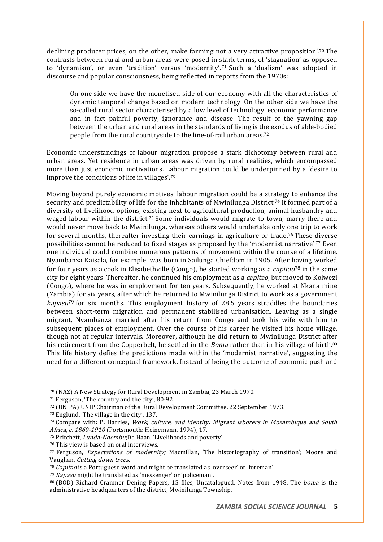declining producer prices, on the other, make farming not a very attractive proposition'.70 The contrasts between rural and urban areas were posed in stark terms, of 'stagnation' as opposed to 'dynamism', or even 'tradition' versus 'modernity'.71 Such a 'dualism' was adopted in discourse and popular consciousness, being reflected in reports from the 1970s:

On one side we have the monetised side of our economy with all the characteristics of dynamic temporal change based on modern technology. On the other side we have the so-called rural sector characterised by a low level of technology, economic performance and in fact painful poverty, ignorance and disease. The result of the yawning gap between the urban and rural areas in the standards of living is the exodus of able-bodied people from the rural countryside to the line-of-rail urban areas.72

Economic understandings of labour migration propose a stark dichotomy between rural and urban areas. Yet residence in urban areas was driven by rural realities, which encompassed more than just economic motivations. Labour migration could be underpinned by a 'desire to improve the conditions of life in villages'.73

Moving beyond purely economic motives, labour migration could be a strategy to enhance the security and predictability of life for the inhabitants of Mwinilunga District.<sup>74</sup> It formed part of a diversity of livelihood options, existing next to agricultural production, animal husbandry and waged labour within the district.75 Some individuals would migrate to town, marry there and would never move back to Mwinilunga, whereas others would undertake only one trip to work for several months, thereafter investing their earnings in agriculture or trade.76 These diverse possibilities cannot be reduced to fixed stages as proposed by the 'modernist narrative'.77 Even one individual could combine numerous patterns of movement within the course of a lifetime. Nyambanza Kaisala, for example, was born in Sailunga Chiefdom in 1905. After having worked for four years as a cook in Elisabethville (Congo), he started working as a *capitao*<sup>78</sup> in the same city for eight years. Thereafter, he continued his employment as a *capitao*, but moved to Kolwezi (Congo), where he was in employment for ten years. Subsequently, he worked at Nkana mine (Zambia) for six years, after which he returned to Mwinilunga District to work as a government  $kapasu^{79}$  for six months. This employment history of 28.5 years straddles the boundaries between short-term migration and permanent stabilised urbanisation. Leaving as a single migrant, Nyambanza married after his return from Congo and took his wife with him to subsequent places of employment. Over the course of his career he visited his home village, though not at regular intervals. Moreover, although he did return to Mwinilunga District after his retirement from the Copperbelt, he settled in the *Boma* rather than in his village of birth.<sup>80</sup> This life history defies the predictions made within the 'modernist narrative', suggesting the need for a different conceptual framework. Instead of being the outcome of economic push and

<sup>70</sup> (NAZ) A New Strategy for Rural Development in Zambia, 23 March 1970.

<sup>&</sup>lt;sup>71</sup> Ferguson, 'The country and the city', 80-92.<br><sup>72</sup> (UNIPA) UNIP Chairman of the Rural Development Committee, 22 September 1973.<br><sup>73</sup> Englund, 'The village in the city', 137.

<sup>74</sup> Compare with: P. Harries, Work, culture, and identity: Migrant laborers in Mozambique and South Africa, c. 1860-1910 (Portsmouth: Heinemann, 1994), 17.

<sup>75</sup> Pritchett, Lunda-Ndembu;De Haan, 'Livelihoods and poverty'.

<sup>76</sup> This view is based on oral interviews.

<sup>77</sup> Ferguson, Expectations of modernity; Macmillan, 'The historiography of transition'; Moore and Vaughan, *Cutting down trees*.<br><sup>78</sup> Capitao is a Portuguese word and might be translated as 'overseer' or 'foreman'.

<sup>79</sup> Kapasu might be translated as 'messenger' or 'policeman'.

<sup>80</sup> (BOD) Richard Cranmer Dening Papers, 15 files, Uncatalogued, Notes from 1948. The boma is the administrative headquarters of the district, Mwinilunga Township.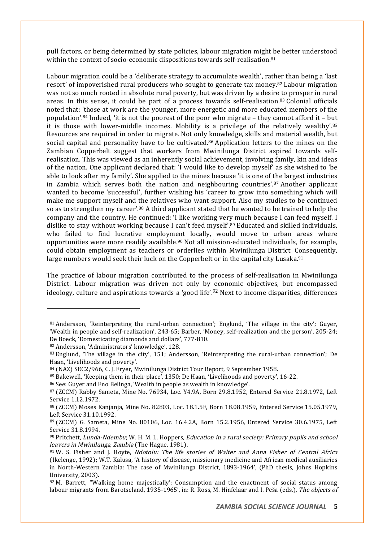pull factors, or being determined by state policies, labour migration might be better understood within the context of socio-economic dispositions towards self-realisation.<sup>81</sup>

Labour migration could be a 'deliberate strategy to accumulate wealth', rather than being a 'last resort' of impoverished rural producers who sought to generate tax money.82 Labour migration was not so much rooted in absolute rural poverty, but was driven by a desire to prosper in rural areas. In this sense, it could be part of a process towards self-realisation.83 Colonial officials noted that: 'those at work are the younger, more energetic and more educated members of the population'.84 Indeed, 'it is not the poorest of the poor who migrate – they cannot afford it – but it is those with lower-middle incomes. Mobility is a privilege of the relatively wealthy'.85 Resources are required in order to migrate. Not only knowledge, skills and material wealth, but social capital and personality have to be cultivated.<sup>86</sup> Application letters to the mines on the Zambian Copperbelt suggest that workers from Mwinilunga District aspired towards selfrealisation. This was viewed as an inherently social achievement, involving family, kin and ideas of the nation. One applicant declared that: 'I would like to develop myself' as she wished to 'be able to look after my family'. She applied to the mines because 'it is one of the largest industries in Zambia which serves both the nation and neighbouring countries'.87 Another applicant wanted to become 'successful', further wishing his 'career to grow into something which will make me support myself and the relatives who want support. Also my studies to be continued so as to strengthen my career'.<sup>88</sup> A third applicant stated that he wanted to be trained to help the company and the country. He continued: 'I like working very much because I can feed myself. I dislike to stay without working because I can't feed myself'.89 Educated and skilled individuals, who failed to find lucrative employment locally, would move to urban areas where opportunities were more readily available.90 Not all mission-educated individuals, for example, could obtain employment as teachers or orderlies within Mwinilunga District. Consequently, large numbers would seek their luck on the Copperbelt or in the capital city Lusaka.<sup>91</sup>

The practice of labour migration contributed to the process of self-realisation in Mwinilunga District. Labour migration was driven not only by economic objectives, but encompassed ideology, culture and aspirations towards a 'good life'.92 Next to income disparities, differences

<sup>81</sup> Andersson, 'Reinterpreting the rural-urban connection'; Englund, 'The village in the city'; Guyer, 'Wealth in people and self-realization', 243-65; Barber, 'Money, self-realization and the person', 205-24; De Boeck, 'Domesticating diamonds and dollars', 777-810.

<sup>82</sup> Andersson, 'Administrators' knowledge', 128.

<sup>83</sup> Englund, 'The village in the city', 151; Andersson, 'Reinterpreting the rural-urban connection'; De Haan, 'Livelihoods and poverty'.

<sup>84</sup> (NAZ) SEC2/966, C. J. Fryer, Mwinilunga District Tour Report, 9 September 1958.

<sup>85</sup> Bakewell, 'Keeping them in their place', 1350; De Haan, 'Livelihoods and poverty', 16-22.

<sup>&</sup>lt;sup>86</sup> See: Guyer and Eno Belinga, 'Wealth in people as wealth in knowledge'.<br><sup>87</sup> (ZCCM) Rabby Sameta, Mine No. 76934, Loc. Y4.9A, Born 29.8.1952, Entered Service 21.8.1972, Left Service 1.12.1972.

<sup>88</sup> (ZCCM) Moses Kanjanja, Mine No. 82803, Loc. 18.1.5F, Born 18.08.1959, Entered Service 15.05.1979, Left Service 31.10.1992.

<sup>89</sup> (ZCCM) G. Sameta, Mine No. 80106, Loc. 16.4.2A, Born 15.2.1956, Entered Service 30.6.1975, Left Service 31.8.1994.

<sup>90</sup> Pritchett, Lunda-Ndembu; W. H. M. L. Hoppers, Education in a rural society: Primary pupils and school

leavers in Mwinilunga, Zambia (The Hague, 1981).<br><sup>91</sup> W. S. Fisher and J. Hoyte, *Ndotolu: The life stories of Walter and Anna Fisher of Central Africa* (Ikelenge, 1992); W.T. Kalusa, 'A history of disease, missionary medicine and African medical auxiliaries in North-Western Zambia: The case of Mwinilunga District, 1893-1964', (PhD thesis, Johns Hopkins University, 2003).

 $92$  M. Barrett, "Walking home majestically': Consumption and the enactment of social status among labour migrants from Barotseland, 1935-1965', in: R. Ross, M. Hinfelaar and I. Peša (eds.), The objects of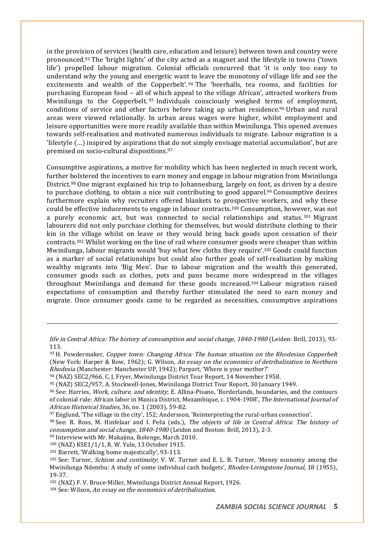in the provision of services (health care, education and leisure) between town and country were pronounced.93 The 'bright lights' of the city acted as a magnet and the lifestyle in towns ('town life') propelled labour migration. Colonial officials concurred that 'it is only too easy to understand why the young and energetic want to leave the monotony of village life and see the excitements and wealth of the Copperbelt'.94 The 'beerhalls, tea rooms, and facilities for purchasing European food – all of which appeal to the village African', attracted workers from Mwinilunga to the Copperbelt. <sup>95</sup> Individuals consciously weighed terms of employment, conditions of service and other factors before taking up urban residence.<sup>96</sup> Urban and rural areas were viewed relationally. In urban areas wages were higher, whilst employment and leisure opportunities were more readily available than within Mwinilunga. This opened avenues towards self-realisation and motivated numerous individuals to migrate. Labour migration is a 'lifestyle (…) inspired by aspirations that do not simply envisage material accumulation', but are premised on socio-cultural dispositions.97

Consumptive aspirations, a motive for mobility which has been neglected in much recent work, further bolstered the incentives to earn money and engage in labour migration from Mwinilunga District.98 One migrant explained his trip to Johannesburg, largely on foot, as driven by a desire to purchase clothing, to obtain a nice suit contributing to good apparel.99 Consumptive desires furthermore explain why recruiters offered blankets to prospective workers, and why these could be effective inducements to engage in labour contracts.100 Consumption, however, was not a purely economic act, but was connected to social relationships and status. <sup>101</sup> Migrant labourers did not only purchase clothing for themselves, but would distribute clothing to their kin in the village whilst on leave or they would bring back goods upon cessation of their contracts.102 Whilst working on the line of rail where consumer goods were cheaper than within Mwinilunga, labour migrants would 'buy what few cloths they require'.103 Goods could function as a marker of social relationships but could also further goals of self-realisation by making wealthy migrants into 'Big Men'. Due to labour migration and the wealth this generated, consumer goods such as clothes, pots and pans became more widespread in the villages throughout Mwinilunga and demand for these goods increased.104 Labour migration raised expectations of consumption and thereby further stimulated the need to earn money and migrate. Once consumer goods came to be regarded as necessities, consumptive aspirations

<u>.</u>

life in Central Africa: The history of consumption and social change, 1840-1980 (Leiden: Brill, 2013), 93- 113.

<sup>93</sup> H. Powdermaker, Copper town: Changing Africa: The human situation on the Rhodesian Copperbelt (New York: Harper & Row, 1962); G. Wilson, An essay on the economics of detribalization in Northern Rhodesia (Manchester: Manchester UP, 1942); Parpart, 'Where is your mother?'

<sup>94</sup> (NAZ) SEC2/966, C. J. Fryer, Mwinilunga District Tour Report, 14 November 1958.

<sup>95</sup> (NAZ) SEC2/957, A. Stockwell-Jones, Mwinilunga District Tour Report, 30 January 1949.

 $96$  See: Harries, *Work, culture, and identity*; E. Allina-Pisano, 'Borderlands, boundaries, and the contours of colonial rule: African labor in Manica District, Mozambique, c. 1904-1908', The International Journal of African Historical Studies, 36, no. 1 (2003), 59-82.

<sup>97</sup> Englund, 'The village in the city', 152; Andersson, 'Reinterpreting the rural-urban connection'.

<sup>98</sup> See: R. Ross, M. Hinfelaar and I. Peša (eds.), The objects of life in Central Africa: The history of consumption and social change, 1840-1980 (Leiden and Boston: Brill, 2013), 2-3.

<sup>99</sup> Interview with Mr. Makajina, Ikelenge, March 2010.

<sup>100</sup> (NAZ) KSE1/1/1, R. W. Yule, 13 October 1915. 101 Barrett, 'Walking home majestically', 93-113.

<sup>102</sup> See: Turner, Schism and continuity; V. W. Turner and E. L. B. Turner, 'Money economy among the Mwinilunga Ndembu: A study of some individual cash budgets', Rhodes-Livingstone Journal, 18 (1955), 19-37.

<sup>&</sup>lt;sup>103</sup> (NAZ) F. V. Bruce-Miller, Mwinilunga District Annual Report, 1926.<br><sup>104</sup> See: Wilson, *An essay on the economics of detribalization*.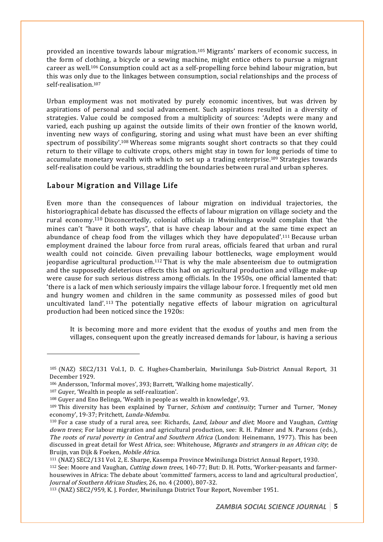provided an incentive towards labour migration.105 Migrants' markers of economic success, in the form of clothing, a bicycle or a sewing machine, might entice others to pursue a migrant career as well.106 Consumption could act as a self-propelling force behind labour migration, but this was only due to the linkages between consumption, social relationships and the process of self-realisation.107

Urban employment was not motivated by purely economic incentives, but was driven by aspirations of personal and social advancement. Such aspirations resulted in a diversity of strategies. Value could be composed from a multiplicity of sources: 'Adepts were many and varied, each pushing up against the outside limits of their own frontier of the known world, inventing new ways of configuring, storing and using what must have been an ever shifting spectrum of possibility'.108 Whereas some migrants sought short contracts so that they could return to their village to cultivate crops, others might stay in town for long periods of time to accumulate monetary wealth with which to set up a trading enterprise.109 Strategies towards self-realisation could be various, straddling the boundaries between rural and urban spheres.

## Labour Migration and Village Life

Even more than the consequences of labour migration on individual trajectories, the historiographical debate has discussed the effects of labour migration on village society and the rural economy.110 Disconcertedly, colonial officials in Mwinilunga would complain that 'the mines can't "have it both ways", that is have cheap labour and at the same time expect an abundance of cheap food from the villages which they have depopulated'.111 Because urban employment drained the labour force from rural areas, officials feared that urban and rural wealth could not coincide. Given prevailing labour bottlenecks, wage employment would jeopardise agricultural production.112 That is why the male absenteeism due to outmigration and the supposedly deleterious effects this had on agricultural production and village make-up were cause for such serious distress among officials. In the 1950s, one official lamented that: 'there is a lack of men which seriously impairs the village labour force. I frequently met old men and hungry women and children in the same community as possessed miles of good but uncultivated land'. <sup>113</sup> The potentially negative effects of labour migration on agricultural production had been noticed since the 1920s:

It is becoming more and more evident that the exodus of youths and men from the villages, consequent upon the greatly increased demands for labour, is having a serious

<sup>105</sup> (NAZ) SEC2/131 Vol.1, D. C. Hughes-Chamberlain, Mwinilunga Sub-District Annual Report, 31 December 1929.

<sup>106</sup> Andersson, 'Informal moves', 393; Barrett, 'Walking home majestically'.

<sup>&</sup>lt;sup>107</sup> Guyer, 'Wealth in people as self-realization'.<br><sup>108</sup> Guyer and Eno Belinga, 'Wealth in people as wealth in knowledge', 93.

 $109$  This diversity has been explained by Turner, *Schism and continuity*; Turner and Turner, 'Money economy', 19-37; Pritchett, Lunda-Ndembu.

<sup>110</sup> For a case study of a rural area, see: Richards, *Land, labour and diet*; Moore and Vaughan, *Cutting* down trees; For labour migration and agricultural production, see: R. H. Palmer and N. Parsons (eds.), The roots of rural poverty in Central and Southern Africa (London: Heinemann, 1977). This has been discussed in great detail for West Africa, see: Whitehouse, Migrants and strangers in an African city; de Bruijn, van Dijk & Foeken, Mobile Africa.

<sup>&</sup>lt;sup>111</sup> (NAZ) SEC2/131 Vol. 2, E. Sharpe, Kasempa Province Mwinilunga District Annual Report, 1930.<br><sup>112</sup> See: Moore and Vaughan, *Cutting down trees*, 140-77; But: D. H. Potts, 'Worker-peasants and farmerhousewives in Africa: The debate about 'committed' farmers, access to land and agricultural production', Journal of Southern African Studies, 26, no. 4 (2000), 807-32.<br><sup>113</sup> (NAZ) SEC2/959, K. J. Forder, Mwinilunga District Tour Report, November 1951.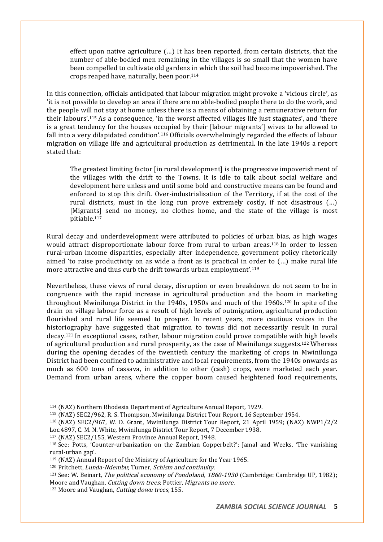effect upon native agriculture (…) It has been reported, from certain districts, that the number of able-bodied men remaining in the villages is so small that the women have been compelled to cultivate old gardens in which the soil had become impoverished. The crops reaped have, naturally, been poor.114

In this connection, officials anticipated that labour migration might provoke a 'vicious circle', as 'it is not possible to develop an area if there are no able-bodied people there to do the work, and the people will not stay at home unless there is a means of obtaining a remunerative return for their labours'.115 As a consequence, 'in the worst affected villages life just stagnates', and 'there is a great tendency for the houses occupied by their [labour migrants'] wives to be allowed to fall into a very dilapidated condition'.116 Officials overwhelmingly regarded the effects of labour migration on village life and agricultural production as detrimental. In the late 1940s a report stated that:

The greatest limiting factor [in rural development] is the progressive impoverishment of the villages with the drift to the Towns. It is idle to talk about social welfare and development here unless and until some bold and constructive means can be found and enforced to stop this drift. Over-industrialisation of the Territory, if at the cost of the rural districts, must in the long run prove extremely costly, if not disastrous (…) [Migrants] send no money, no clothes home, and the state of the village is most pitiable.117

Rural decay and underdevelopment were attributed to policies of urban bias, as high wages would attract disproportionate labour force from rural to urban areas.118 In order to lessen rural-urban income disparities, especially after independence, government policy rhetorically aimed 'to raise productivity on as wide a front as is practical in order to (…) make rural life more attractive and thus curb the drift towards urban employment'.119

Nevertheless, these views of rural decay, disruption or even breakdown do not seem to be in congruence with the rapid increase in agricultural production and the boom in marketing throughout Mwinilunga District in the 1940s, 1950s and much of the 1960s.120 In spite of the drain on village labour force as a result of high levels of outmigration, agricultural production flourished and rural life seemed to prosper. In recent years, more cautious voices in the historiography have suggested that migration to towns did not necessarily result in rural decay.121 In exceptional cases, rather, labour migration could prove compatible with high levels of agricultural production and rural prosperity, as the case of Mwinilunga suggests.122 Whereas during the opening decades of the twentieth century the marketing of crops in Mwinilunga District had been confined to administrative and local requirements, from the 1940s onwards as much as 600 tons of cassava, in addition to other (cash) crops, were marketed each year. Demand from urban areas, where the copper boom caused heightened food requirements,

<sup>114</sup> (NAZ) Northern Rhodesia Department of Agriculture Annual Report, 1929.

<sup>115</sup> (NAZ) SEC2/962, R. S. Thompson, Mwinilunga District Tour Report, 16 September 1954. 116 (NAZ) SEC2/967, W. D. Grant, Mwinilunga District Tour Report, 21 April 1959; (NAZ) NWP1/2/2 Loc.4897, C. M. N. White, Mwinilunga District Tour Report, 7 December 1938. 117 (NAZ) SEC2/155, Western Province Annual Report, 1948.

<sup>118</sup> See: Potts, 'Counter-urbanization on the Zambian Copperbelt?'; Jamal and Weeks, 'The vanishing rural-urban gap'.

<sup>&</sup>lt;sup>119</sup> (NAZ) Annual Report of the Ministry of Agriculture for the Year 1965.<br><sup>120</sup> Pritchett, Lunda-Ndembu; Turner, Schism and continuity.

<sup>&</sup>lt;sup>121</sup> See: W. Beinart, The political economy of Pondoland, 1860-1930 (Cambridge: Cambridge UP, 1982); Moore and Vaughan, Cutting down trees; Pottier, Migrants no more.

<sup>122</sup> Moore and Vaughan, Cutting down trees, 155.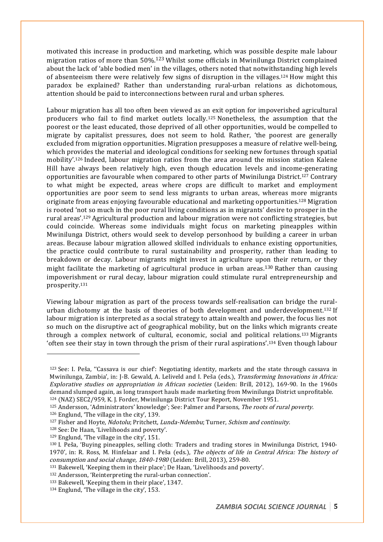motivated this increase in production and marketing, which was possible despite male labour migration ratios of more than 50%.123 Whilst some officials in Mwinilunga District complained about the lack of 'able bodied men' in the villages, others noted that notwithstanding high levels of absenteeism there were relatively few signs of disruption in the villages.124 How might this paradox be explained? Rather than understanding rural-urban relations as dichotomous, attention should be paid to interconnections between rural and urban spheres.

Labour migration has all too often been viewed as an exit option for impoverished agricultural producers who fail to find market outlets locally.125 Nonetheless, the assumption that the poorest or the least educated, those deprived of all other opportunities, would be compelled to migrate by capitalist pressures, does not seem to hold. Rather, 'the poorest are generally excluded from migration opportunities. Migration presupposes a measure of relative well-being, which provides the material and ideological conditions for seeking new fortunes through spatial mobility'.126 Indeed, labour migration ratios from the area around the mission station Kalene Hill have always been relatively high, even though education levels and income-generating opportunities are favourable when compared to other parts of Mwinilunga District.127 Contrary to what might be expected, areas where crops are difficult to market and employment opportunities are poor seem to send less migrants to urban areas, whereas more migrants originate from areas enjoying favourable educational and marketing opportunities.128 Migration is rooted 'not so much in the poor rural living conditions as in migrants' desire to prosper in the rural areas'.129 Agricultural production and labour migration were not conflicting strategies, but could coincide. Whereas some individuals might focus on marketing pineapples within Mwinilunga District, others would seek to develop personhood by building a career in urban areas. Because labour migration allowed skilled individuals to enhance existing opportunities, the practice could contribute to rural sustainability and prosperity, rather than leading to breakdown or decay. Labour migrants might invest in agriculture upon their return, or they might facilitate the marketing of agricultural produce in urban areas.<sup>130</sup> Rather than causing impoverishment or rural decay, labour migration could stimulate rural entrepreneurship and prosperity.131

Viewing labour migration as part of the process towards self-realisation can bridge the ruralurban dichotomy at the basis of theories of both development and underdevelopment.132 If labour migration is interpreted as a social strategy to attain wealth and power, the focus lies not so much on the disruptive act of geographical mobility, but on the links which migrants create through a complex network of cultural, economic, social and political relations.133 Migrants 'often see their stay in town through the prism of their rural aspirations'.134 Even though labour

<sup>123</sup> See: I. Peša, "Cassava is our chief': Negotiating identity, markets and the state through cassava in Mwinilunga, Zambia', in: J-B. Gewald, A. Leliveld and I. Peša (eds.), Transforming Innovations in Africa: Explorative studies on appropriation in African societies (Leiden: Brill, 2012), 169-90. In the 1960s demand slumped again, as long transport hauls made marketing from Mwinilunga District unprofitable. <sup>124</sup> (NAZ) SEC2/959, K. J. Forder, Mwinilunga District Tour Report, November 1951.

<sup>&</sup>lt;sup>125</sup> Andersson, 'Administrators' knowledge'; See: Palmer and Parsons, *The roots of rural poverty.*<br><sup>126</sup> Englund, 'The village in the city', 139.<br><sup>127</sup> Fisher and Hoyte, *Ndotolu*; Pritchett, *Lunda-Ndembu*; Turner, *Sch* 

<sup>128</sup> See: De Haan, 'Livelihoods and poverty'.

<sup>&</sup>lt;sup>129</sup> Englund, 'The village in the city', 151.<br><sup>130</sup> I. Peša, 'Buying pineapples, selling cloth: Traders and trading stores in Mwinilunga District, 1940-1970', in: R. Ross, M. Hinfelaar and I. Peša (eds.), The objects of life in Central Africa: The history of consumption and social change, 1840-1980 (Leiden: Brill, 2013), 259-80.<br><sup>131</sup> Bakewell, 'Keeping them in their place'; De Haan, 'Livelihoods and poverty'.

<sup>132</sup> Andersson, 'Reinterpreting the rural-urban connection'.

<sup>133</sup> Bakewell, 'Keeping them in their place', 1347. 134 Englund, 'The village in the city', 153.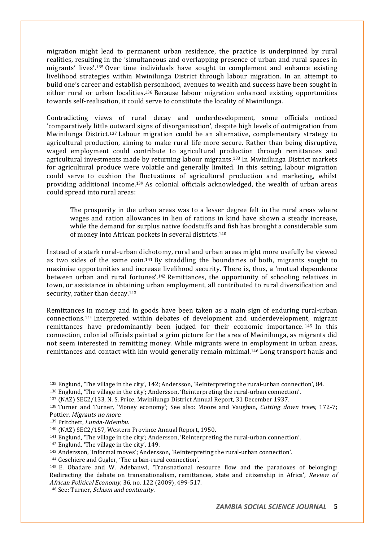migration might lead to permanent urban residence, the practice is underpinned by rural realities, resulting in the 'simultaneous and overlapping presence of urban and rural spaces in migrants' lives'.135 Over time individuals have sought to complement and enhance existing livelihood strategies within Mwinilunga District through labour migration. In an attempt to build one's career and establish personhood, avenues to wealth and success have been sought in either rural or urban localities.136 Because labour migration enhanced existing opportunities towards self-realisation, it could serve to constitute the locality of Mwinilunga.

Contradicting views of rural decay and underdevelopment, some officials noticed 'comparatively little outward signs of disorganisation', despite high levels of outmigration from Mwinilunga District.137 Labour migration could be an alternative, complementary strategy to agricultural production, aiming to make rural life more secure. Rather than being disruptive, waged employment could contribute to agricultural production through remittances and agricultural investments made by returning labour migrants.138 In Mwinilunga District markets for agricultural produce were volatile and generally limited. In this setting, labour migration could serve to cushion the fluctuations of agricultural production and marketing, whilst providing additional income.139 As colonial officials acknowledged, the wealth of urban areas could spread into rural areas:

The prosperity in the urban areas was to a lesser degree felt in the rural areas where wages and ration allowances in lieu of rations in kind have shown a steady increase, while the demand for surplus native foodstuffs and fish has brought a considerable sum of money into African pockets in several districts.140

Instead of a stark rural-urban dichotomy, rural and urban areas might more usefully be viewed as two sides of the same coin.141 By straddling the boundaries of both, migrants sought to maximise opportunities and increase livelihood security. There is, thus, a 'mutual dependence between urban and rural fortunes'.142 Remittances, the opportunity of schooling relatives in town, or assistance in obtaining urban employment, all contributed to rural diversification and security, rather than decay.143

Remittances in money and in goods have been taken as a main sign of enduring rural-urban connections.144 Interpreted within debates of development and underdevelopment, migrant remittances have predominantly been judged for their economic importance. <sup>145</sup> In this connection, colonial officials painted a grim picture for the area of Mwinilunga, as migrants did not seem interested in remitting money. While migrants were in employment in urban areas, remittances and contact with kin would generally remain minimal.146 Long transport hauls and

l

<sup>141</sup> Englund, 'The village in the city'; Andersson, 'Reinterpreting the rural-urban connection'. 142 Englund, 'The village in the city', 149.

<sup>135</sup> Englund, 'The village in the city', 142; Andersson, 'Reinterpreting the rural-urban connection', 84. <sup>136</sup> Englund, 'The village in the city'; Andersson, 'Reinterpreting the rural-urban connection'.

<sup>137</sup> (NAZ) SEC2/133, N. S. Price, Mwinilunga District Annual Report, 31 December 1937.

<sup>138</sup> Turner and Turner, 'Money economy'; See also: Moore and Vaughan, Cutting down trees, 172-7; Pottier, Migrants no more.

<sup>139</sup> Pritchett, Lunda-Ndembu.

<sup>140</sup> (NAZ) SEC2/157, Western Province Annual Report, 1950.

<sup>143</sup> Andersson, 'Informal moves'; Andersson, 'Reinterpreting the rural-urban connection'.

<sup>144</sup> Geschiere and Gugler, 'The urban-rural connection'.

<sup>145</sup> E. Obadare and W. Adebanwi, 'Transnational resource flow and the paradoxes of belonging: Redirecting the debate on transnationalism, remittances, state and citizenship in Africa', Review of African Political Economy, 36, no. 122 (2009), 499-517.<br><sup>146</sup> See: Turner, *Schism and continuity.*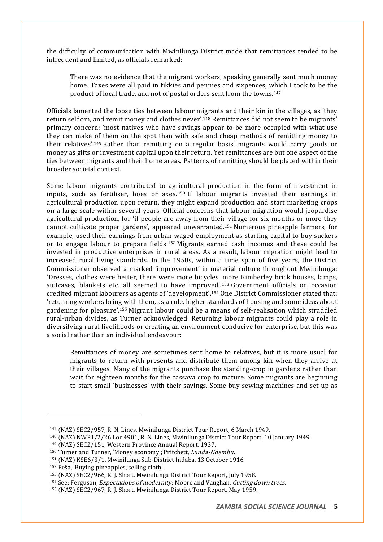the difficulty of communication with Mwinilunga District made that remittances tended to be infrequent and limited, as officials remarked:

There was no evidence that the migrant workers, speaking generally sent much money home. Taxes were all paid in tikkies and pennies and sixpences, which I took to be the product of local trade, and not of postal orders sent from the towns.147

Officials lamented the loose ties between labour migrants and their kin in the villages, as 'they return seldom, and remit money and clothes never'.148 Remittances did not seem to be migrants' primary concern: 'most natives who have savings appear to be more occupied with what use they can make of them on the spot than with safe and cheap methods of remitting money to their relatives'.149 Rather than remitting on a regular basis, migrants would carry goods or money as gifts or investment capital upon their return. Yet remittances are but one aspect of the ties between migrants and their home areas. Patterns of remitting should be placed within their broader societal context.

Some labour migrants contributed to agricultural production in the form of investment in inputs, such as fertiliser, hoes or axes. <sup>150</sup> If labour migrants invested their earnings in agricultural production upon return, they might expand production and start marketing crops on a large scale within several years. Official concerns that labour migration would jeopardise agricultural production, for 'if people are away from their village for six months or more they cannot cultivate proper gardens', appeared unwarranted.151 Numerous pineapple farmers, for example, used their earnings from urban waged employment as starting capital to buy suckers or to engage labour to prepare fields.152 Migrants earned cash incomes and these could be invested in productive enterprises in rural areas. As a result, labour migration might lead to increased rural living standards. In the 1950s, within a time span of five years, the District Commissioner observed a marked 'improvement' in material culture throughout Mwinilunga: 'Dresses, clothes were better, there were more bicycles, more Kimberley brick houses, lamps, suitcases, blankets etc. all seemed to have improved'.153 Government officials on occasion credited migrant labourers as agents of 'development'.154 One District Commissioner stated that: 'returning workers bring with them, as a rule, higher standards of housing and some ideas about gardening for pleasure'.155 Migrant labour could be a means of self-realisation which straddled rural-urban divides, as Turner acknowledged. Returning labour migrants could play a role in diversifying rural livelihoods or creating an environment conducive for enterprise, but this was a social rather than an individual endeavour:

Remittances of money are sometimes sent home to relatives, but it is more usual for migrants to return with presents and distribute them among kin when they arrive at their villages. Many of the migrants purchase the standing-crop in gardens rather than wait for eighteen months for the cassava crop to mature. Some migrants are beginning to start small 'businesses' with their savings. Some buy sewing machines and set up as

<sup>&</sup>lt;sup>147</sup> (NAZ) SEC2/957, R. N. Lines, Mwinilunga District Tour Report, 6 March 1949.<br><sup>148</sup> (NAZ) NWP1/2/26 Loc.4901, R. N. Lines, Mwinilunga District Tour Report, 10 January 1949.<br><sup>149</sup> (NAZ) SEC2/151, Western Province Annua

<sup>150</sup> Turner and Turner, 'Money economy'; Pritchett, Lunda-Ndembu.

<sup>151</sup> (NAZ) KSE6/3/1, Mwinilunga Sub-District Indaba, 13 October 1916.

<sup>152</sup> Peša, 'Buying pineapples, selling cloth'.

<sup>153</sup> (NAZ) SEC2/966, R. J. Short, Mwinilunga District Tour Report, July 1958.

<sup>&</sup>lt;sup>154</sup> See: Ferguson, *Expectations of modernity*; Moore and Vaughan, *Cutting down trees.* 

<sup>155</sup> (NAZ) SEC2/967, R. J. Short, Mwinilunga District Tour Report, May 1959.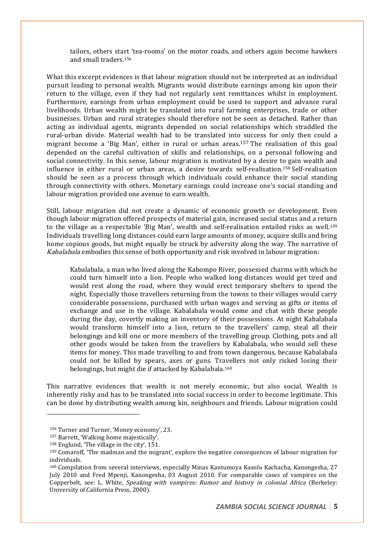tailors, others start 'tea-rooms' on the motor roads, and others again become hawkers and small traders.156

What this excerpt evidences is that labour migration should not be interpreted as an individual pursuit leading to personal wealth. Migrants would distribute earnings among kin upon their return to the village, even if they had not regularly sent remittances whilst in employment. Furthermore, earnings from urban employment could be used to support and advance rural livelihoods. Urban wealth might be translated into rural farming enterprises, trade or other businesses. Urban and rural strategies should therefore not be seen as detached. Rather than acting as individual agents, migrants depended on social relationships which straddled the rural-urban divide. Material wealth had to be translated into success for only then could a migrant become a 'Big Man', either in rural or urban areas.157 The realisation of this goal depended on the careful cultivation of skills and relationships, on a personal following and social connectivity. In this sense, labour migration is motivated by a desire to gain wealth and influence in either rural or urban areas, a desire towards self-realisation.158 Self-realisation should be seen as a process through which individuals could enhance their social standing through connectivity with others. Monetary earnings could increase one's social standing and labour migration provided one avenue to earn wealth.

Still, labour migration did not create a dynamic of economic growth or development. Even though labour migration offered prospects of material gain, increased social status and a return to the village as a respectable 'Big Man', wealth and self-realisation entailed risks as well.159 Individuals travelling long distances could earn large amounts of money, acquire skills and bring home copious goods, but might equally be struck by adversity along the way. The narrative of Kabalabala embodies this sense of both opportunity and risk involved in labour migration:

Kabalabala, a man who lived along the Kabompo River, possessed charms with which he could turn himself into a lion. People who walked long distances would get tired and would rest along the road, where they would erect temporary shelters to spend the night. Especially those travellers returning from the towns to their villages would carry considerable possessions, purchased with urban wages and serving as gifts or items of exchange and use in the village. Kabalabala would come and chat with these people during the day, covertly making an inventory of their possessions. At night Kabalabala would transform himself into a lion, return to the travellers' camp, steal all their belongings and kill one or more members of the travelling group. Clothing, pots and all other goods would be taken from the travellers by Kabalabala, who would sell these items for money. This made travelling to and from town dangerous, because Kabalabala could not be killed by spears, axes or guns. Travellers not only risked losing their belongings, but might die if attacked by Kabalabala.160

This narrative evidences that wealth is not merely economic, but also social. Wealth is inherently risky and has to be translated into social success in order to become legitimate. This can be done by distributing wealth among kin, neighbours and friends. Labour migration could

<sup>156</sup> Turner and Turner, 'Money economy', 23.

<sup>157</sup> Barrett, 'Walking home majestically'.

<sup>158</sup> Englund, 'The village in the city', 151.

<sup>159</sup> Comaroff, 'The madman and the migrant', explore the negative consequences of labour migration for individuals.

<sup>160</sup> Compilation from several interviews, especially Minas Kantumoya Kasolu Kachacha, Kanongesha, 27 July 2010 and Fred Mpenji, Kanongesha, 03 August 2010. For comparable cases of vampires on the Copperbelt, see: L. White, Speaking with vampires: Rumor and history in colonial Africa (Berkeley: University of California Press, 2000).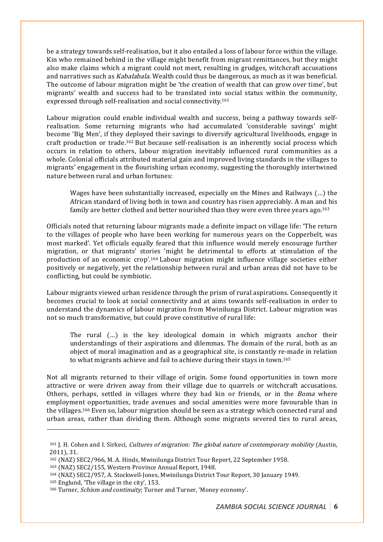be a strategy towards self-realisation, but it also entailed a loss of labour force within the village. Kin who remained behind in the village might benefit from migrant remittances, but they might also make claims which a migrant could not meet, resulting in grudges, witchcraft accusations and narratives such as Kabalabala. Wealth could thus be dangerous, as much as it was beneficial. The outcome of labour migration might be 'the creation of wealth that can grow over time', but migrants' wealth and success had to be translated into social status within the community, expressed through self-realisation and social connectivity.161

Labour migration could enable individual wealth and success, being a pathway towards selfrealisation. Some returning migrants who had accumulated 'considerable savings' might become 'Big Men', if they deployed their savings to diversify agricultural livelihoods, engage in craft production or trade.162 But because self-realisation is an inherently social process which occurs in relation to others, labour migration inevitably influenced rural communities as a whole. Colonial officials attributed material gain and improved living standards in the villages to migrants' engagement in the flourishing urban economy, suggesting the thoroughly intertwined nature between rural and urban fortunes:

Wages have been substantially increased, especially on the Mines and Railways (…) the African standard of living both in town and country has risen appreciably. A man and his family are better clothed and better nourished than they were even three years ago.<sup>163</sup>

Officials noted that returning labour migrants made a definite impact on village life: 'The return to the villages of people who have been working for numerous years on the Copperbelt, was most marked'. Yet officials equally feared that this influence would merely encourage further migration, or that migrants' stories 'might be detrimental to efforts at stimulation of the production of an economic crop'.164 Labour migration might influence village societies either positively or negatively, yet the relationship between rural and urban areas did not have to be conflicting, but could be symbiotic.

Labour migrants viewed urban residence through the prism of rural aspirations. Consequently it becomes crucial to look at social connectivity and at aims towards self-realisation in order to understand the dynamics of labour migration from Mwinilunga District. Labour migration was not so much transformative, but could prove constitutive of rural life:

The rural (…) is the key ideological domain in which migrants anchor their understandings of their aspirations and dilemmas. The domain of the rural, both as an object of moral imagination and as a geographical site, is constantly re-made in relation to what migrants achieve and fail to achieve during their stays in town.165

Not all migrants returned to their village of origin. Some found opportunities in town more attractive or were driven away from their village due to quarrels or witchcraft accusations. Others, perhaps, settled in villages where they had kin or friends, or in the Boma where employment opportunities, trade avenues and social amenities were more favourable than in the villages.166 Even so, labour migration should be seen as a strategy which connected rural and urban areas, rather than dividing them. Although some migrants severed ties to rural areas,

<sup>&</sup>lt;sup>161</sup> J. H. Cohen and I. Sirkeci, *Cultures of migration: The global nature of contemporary mobility* (Austin, 2011), 31.

<sup>162</sup> (NAZ) SEC2/966, M. A. Hinds, Mwinilunga District Tour Report, 22 September 1958. 163 (NAZ) SEC2/155, Western Province Annual Report, 1948.

<sup>164</sup> (NAZ) SEC2/957, A. Stockwell-Jones, Mwinilunga District Tour Report, 30 January 1949.

<sup>&</sup>lt;sup>165</sup> Englund, 'The village in the city', 153.<br><sup>166</sup> Turner, *Schism and continuity*; Turner and Turner, 'Money economy'.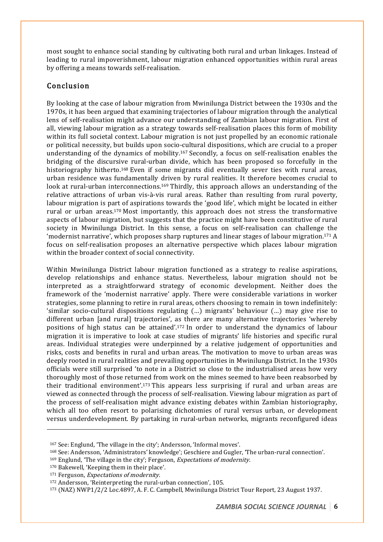most sought to enhance social standing by cultivating both rural and urban linkages. Instead of leading to rural impoverishment, labour migration enhanced opportunities within rural areas by offering a means towards self-realisation.

#### Conclusion

By looking at the case of labour migration from Mwinilunga District between the 1930s and the 1970s, it has been argued that examining trajectories of labour migration through the analytical lens of self-realisation might advance our understanding of Zambian labour migration. First of all, viewing labour migration as a strategy towards self-realisation places this form of mobility within its full societal context. Labour migration is not just propelled by an economic rationale or political necessity, but builds upon socio-cultural dispositions, which are crucial to a proper understanding of the dynamics of mobility.<sup>167</sup> Secondly, a focus on self-realisation enables the bridging of the discursive rural-urban divide, which has been proposed so forcefully in the historiography hitherto.<sup>168</sup> Even if some migrants did eventually sever ties with rural areas, urban residence was fundamentally driven by rural realities. It therefore becomes crucial to look at rural-urban interconnections.<sup>169</sup> Thirdly, this approach allows an understanding of the relative attractions of urban vis-à-vis rural areas. Rather than resulting from rural poverty, labour migration is part of aspirations towards the 'good life', which might be located in either rural or urban areas.170 Most importantly, this approach does not stress the transformative aspects of labour migration, but suggests that the practice might have been constitutive of rural society in Mwinilunga District. In this sense, a focus on self-realisation can challenge the 'modernist narrative', which proposes sharp ruptures and linear stages of labour migration.171 A focus on self-realisation proposes an alternative perspective which places labour migration within the broader context of social connectivity.

Within Mwinilunga District labour migration functioned as a strategy to realise aspirations, develop relationships and enhance status. Nevertheless, labour migration should not be interpreted as a straightforward strategy of economic development. Neither does the framework of the 'modernist narrative' apply. There were considerable variations in worker strategies, some planning to retire in rural areas, others choosing to remain in town indefinitely: 'similar socio-cultural dispositions regulating (…) migrants' behaviour (…) may give rise to different urban [and rural] trajectories', as there are many alternative trajectories 'whereby positions of high status can be attained'.172 In order to understand the dynamics of labour migration it is imperative to look at case studies of migrants' life histories and specific rural areas. Individual strategies were underpinned by a relative judgement of opportunities and risks, costs and benefits in rural and urban areas. The motivation to move to urban areas was deeply rooted in rural realities and prevailing opportunities in Mwinilunga District. In the 1930s officials were still surprised 'to note in a District so close to the industrialised areas how very thoroughly most of those returned from work on the mines seemed to have been reabsorbed by their traditional environment'.173 This appears less surprising if rural and urban areas are viewed as connected through the process of self-realisation. Viewing labour migration as part of the process of self-realisation might advance existing debates within Zambian historiography, which all too often resort to polarising dichotomies of rural versus urban, or development versus underdevelopment. By partaking in rural-urban networks, migrants reconfigured ideas

<sup>167</sup> See: Englund, 'The village in the city'; Andersson, 'Informal moves'.

<sup>168</sup> See: Andersson, 'Administrators' knowledge'; Geschiere and Gugler, 'The urban-rural connection'.

<sup>169</sup> Englund, 'The village in the city'; Ferguson, Expectations of modernity.

<sup>170</sup> Bakewell, 'Keeping them in their place'.

<sup>171</sup> Ferguson, Expectations of modernity.

<sup>&</sup>lt;sup>172</sup> Andersson, 'Reinterpreting the rural-urban connection', 105.<br><sup>173</sup> (NAZ) NWP1/2/2 Loc.4897, A. F. C. Campbell, Mwinilunga District Tour Report, 23 August 1937.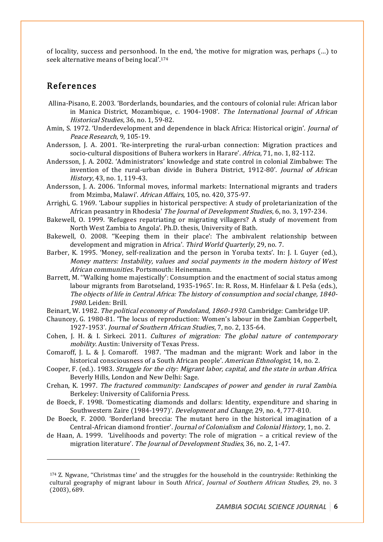of locality, success and personhood. In the end, 'the motive for migration was, perhaps (…) to seek alternative means of being local'.174

## References

- Allina-Pisano, E. 2003. 'Borderlands, boundaries, and the contours of colonial rule: African labor in Manica District, Mozambique, c. 1904-1908'. The International Journal of African Historical Studies, 36, no. 1, 59-82.
- Amin, S. 1972. 'Underdevelopment and dependence in black Africa: Historical origin'. *Journal of* Peace Research, 9, 105-19.
- Andersson, J. A. 2001. 'Re-interpreting the rural-urban connection: Migration practices and socio-cultural dispositions of Buhera workers in Harare'. Africa, 71, no. 1, 82-112.
- Andersson, J. A. 2002. 'Administrators' knowledge and state control in colonial Zimbabwe: The invention of the rural-urban divide in Buhera District, 1912-80'. Journal of African History, 43, no. 1, 119-43.
- Andersson, J. A. 2006. 'Informal moves, informal markets: International migrants and traders from Mzimba, Malawi'. African Affairs, 105, no. 420, 375-97.
- Arrighi, G. 1969. 'Labour supplies in historical perspective: A study of proletarianization of the African peasantry in Rhodesia' The Journal of Development Studies, 6, no. 3, 197-234.
- Bakewell, O. 1999. 'Refugees repatriating or migrating villagers? A study of movement from North West Zambia to Angola'. Ph.D. thesis, University of Bath.
- Bakewell, O. 2008. ''Keeping them in their place': The ambivalent relationship between development and migration in Africa'. Third World Quarterly, 29, no. 7.
- Barber, K. 1995. 'Money, self-realization and the person in Yoruba texts'. In: J. I. Guyer (ed.), Money matters: Instability, values and social payments in the modern history of West African communities. Portsmouth: Heinemann.
- Barrett, M. ''Walking home majestically': Consumption and the enactment of social status among labour migrants from Barotseland, 1935-1965'. In: R. Ross, M. Hinfelaar & I. Peša (eds.), The objects of life in Central Africa: The history of consumption and social change, 1840- <sup>1980</sup>. Leiden: Brill.
- Beinart, W. 1982. The political economy of Pondoland, 1860-1930. Cambridge: Cambridge UP.
- Chauncey, G. 1980-81. 'The locus of reproduction: Women's labour in the Zambian Copperbelt, 1927-1953'. Journal of Southern African Studies, 7, no. 2, 135-64.
- Cohen, J. H. & I. Sirkeci. 2011. Cultures of migration: The global nature of contemporary mobility. Austin: University of Texas Press.
- Comaroff, J. L. & J. Comaroff. 1987. 'The madman and the migrant: Work and labor in the historical consciousness of a South African people'. American Ethnologist, 14, no. 2.
- Cooper, F. (ed.). 1983. Struggle for the city: Migrant labor, capital, and the state in urban Africa. Beverly Hills, London and New Delhi: Sage.
- Crehan, K. 1997. The fractured community: Landscapes of power and gender in rural Zambia. Berkeley: University of California Press.
- de Boeck, F. 1998. 'Domesticating diamonds and dollars: Identity, expenditure and sharing in Southwestern Zaire (1984-1997)'. Development and Change, 29, no. 4, 777-810.
- De Boeck, F. 2000. 'Borderland breccia: The mutant hero in the historical imagination of a Central-African diamond frontier'. Journal of Colonialism and Colonial History, 1, no. 2.
- de Haan, A. 1999. 'Livelihoods and poverty: The role of migration a critical review of the migration literature'. The Journal of Development Studies, 36, no. 2, 1-47.

<sup>174</sup> Z. Ngwane, ''Christmas time' and the struggles for the household in the countryside: Rethinking the cultural geography of migrant labour in South Africa', *Journal of Southern African Studies*, 29, no. 3 (2003), 689.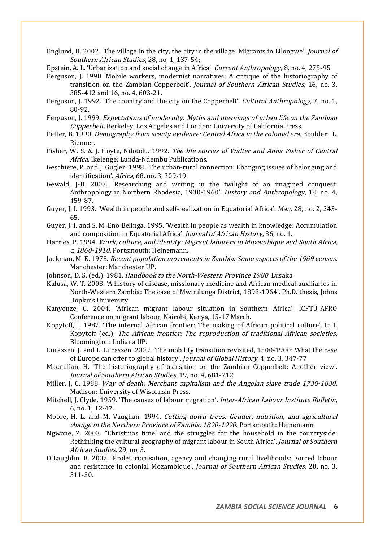Englund, H. 2002. 'The village in the city, the city in the village: Migrants in Lilongwe'. Journal of Southern African Studies, 28, no. 1, 137-54;

Epstein, A. L. 'Urbanization and social change in Africa'. Current Anthropology, 8, no. 4, 275-95.

- Ferguson, J. 1990 'Mobile workers, modernist narratives: A critique of the historiography of transition on the Zambian Copperbelt'. Journal of Southern African Studies, 16, no. 3, 385-412 and 16, no. 4, 603-21.
- Ferguson, J. 1992. 'The country and the city on the Copperbelt'. Cultural Anthropology, 7, no. 1, 80-92.
- Ferguson, J. 1999. Expectations of modernity: Myths and meanings of urban life on the Zambian Copperbelt. Berkeley, Los Angeles and London: University of California Press.
- Fetter, B. 1990. Demography from scanty evidence: Central Africa in the colonial era. Boulder: L. Rienner.
- Fisher, W. S. & J. Hoyte, Ndotolu. 1992. The life stories of Walter and Anna Fisher of Central Africa. Ikelenge: Lunda-Ndembu Publications.
- Geschiere, P. and J. Gugler. 1998. 'The urban-rural connection: Changing issues of belonging and identification'. Africa, 68, no. 3, 309-19.
- Gewald, J-B. 2007. 'Researching and writing in the twilight of an imagined conquest: Anthropology in Northern Rhodesia, 1930-1960'. History and Anthropology, 18, no. 4, 459-87.
- Guyer, J. I. 1993. 'Wealth in people and self-realization in Equatorial Africa'. Man, 28, no. 2, 243-65.
- Guyer, J. I. and S. M. Eno Belinga. 1995. 'Wealth in people as wealth in knowledge: Accumulation and composition in Equatorial Africa'. Journal of African History, 36, no. 1.
- Harries, P. 1994. Work, culture, and identity: Migrant laborers in Mozambique and South Africa, c. 1860-1910. Portsmouth: Heinemann.
- Jackman, M. E. 1973. Recent population movements in Zambia: Some aspects of the 1969 census. Manchester: Manchester UP.
- Johnson, D. S. (ed.). 1981. Handbook to the North-Western Province 1980. Lusaka.
- Kalusa, W. T. 2003. 'A history of disease, missionary medicine and African medical auxiliaries in North-Western Zambia: The case of Mwinilunga District, 1893-1964'. Ph.D. thesis, Johns Hopkins University.
- Kanyenze, G. 2004. 'African migrant labour situation in Southern Africa'. ICFTU-AFRO Conference on migrant labour, Nairobi, Kenya, 15-17 March.
- Kopytoff, I. 1987. 'The internal African frontier: The making of African political culture'. In I. Kopytoff (ed.), The African frontier: The reproduction of traditional African societies. Bloomington: Indiana UP.
- Lucassen, J. and L. Lucassen. 2009. 'The mobility transition revisited, 1500-1900: What the case of Europe can offer to global history'. Journal of Global History, 4, no. 3, 347-77
- Macmillan, H. 'The historiography of transition on the Zambian Copperbelt: Another view'. Journal of Southern African Studies, 19, no. 4, 681-712
- Miller, J. C. 1988. Way of death: Merchant capitalism and the Angolan slave trade 1730-1830. Madison: University of Wisconsin Press.
- Mitchell, J. Clyde. 1959. 'The causes of labour migration'. Inter-African Labour Institute Bulletin, 6, no. 1, 12-47.
- Moore, H. L. and M. Vaughan. 1994. Cutting down trees: Gender, nutrition, and agricultural change in the Northern Province of Zambia, 1890-1990. Portsmouth: Heinemann.
- Ngwane, Z. 2003. ''Christmas time' and the struggles for the household in the countryside: Rethinking the cultural geography of migrant labour in South Africa'. Journal of Southern African Studies, 29, no. 3.
- O'Laughlin, B. 2002. 'Proletarianisation, agency and changing rural livelihoods: Forced labour and resistance in colonial Mozambique'. Journal of Southern African Studies, 28, no. 3, 511-30.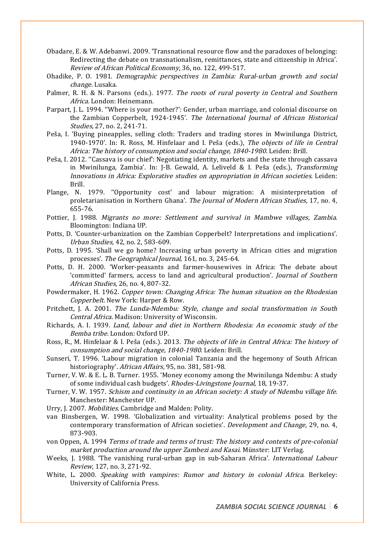- Obadare, E. & W. Adebanwi. 2009. 'Transnational resource flow and the paradoxes of belonging: Redirecting the debate on transnationalism, remittances, state and citizenship in Africa'. Review of African Political Economy, 36, no. 122, 499-517.
- Ohadike, P. O. 1981. Demographic perspectives in Zambia: Rural-urban growth and social change. Lusaka.
- Palmer, R. H. & N. Parsons (eds.). 1977. The roots of rural poverty in Central and Southern Africa. London: Heinemann.
- Parpart, J. L. 1994. ''Where is your mother?': Gender, urban marriage, and colonial discourse on the Zambian Copperbelt, 1924-1945'. The International Journal of African Historical Studies, 27, no. 2, 241-71.
- Peša, I. 'Buying pineapples, selling cloth: Traders and trading stores in Mwinilunga District, 1940-1970'. In: R. Ross, M. Hinfelaar and I. Peša (eds.), The objects of life in Central Africa: The history of consumption and social change, 1840-1980. Leiden: Brill.
- Peša, I. 2012. "Cassava is our chief': Negotiating identity, markets and the state through cassava in Mwinilunga, Zambia'. In: J-B. Gewald, A. Leliveld & I. Peša (eds.), Transforming Innovations in Africa: Explorative studies on appropriation in African societies. Leiden: Brill.
- Plange, N. 1979. ''Opportunity cost' and labour migration: A misinterpretation of proletarianisation in Northern Ghana'. The Journal of Modern African Studies, 17, no. 4, 655-76.
- Pottier, J. 1988. Migrants no more: Settlement and survival in Mambwe villages, Zambia. Bloomington: Indiana UP.
- Potts, D. 'Counter-urbanization on the Zambian Copperbelt? Interpretations and implications'. Urban Studies, 42, no. 2, 583-609.
- Potts, D. 1995. 'Shall we go home? Increasing urban poverty in African cities and migration processes'. The Geographical Journal, 161, no. 3, 245-64.
- Potts, D. H. 2000. 'Worker-peasants and farmer-housewives in Africa: The debate about 'committed' farmers, access to land and agricultural production'. Journal of Southern African Studies, 26, no. 4, 807-32.
- Powdermaker, H. 1962. Copper town: Changing Africa: The human situation on the Rhodesian Copperbelt. New York: Harper & Row.
- Pritchett, J. A. 2001. The Lunda-Ndembu: Style, change and social transformation in South Central Africa. Madison: University of Wisconsin.
- Richards, A. I. 1939. Land, labour and diet in Northern Rhodesia: An economic study of the Bemba tribe. London: Oxford UP.
- Ross, R., M. Hinfelaar & I. Peša (eds.). 2013. The objects of life in Central Africa: The history of consumption and social change, 1840-1980. Leiden: Brill.
- Sunseri, T. 1996. 'Labour migration in colonial Tanzania and the hegemony of South African historiography'. African Affairs, 95, no. 381, 581-98.
- Turner, V. W. & E. L. B. Turner. 1955. 'Money economy among the Mwinilunga Ndembu: A study of some individual cash budgets'. Rhodes-Livingstone Journal, 18, 19-37.
- Turner, V. W. 1957. Schism and continuity in an African society: A study of Ndembu village life. Manchester: Manchester UP.
- Urry, J. 2007. Mobilities. Cambridge and Malden: Polity.
- van Binsbergen, W. 1998. 'Globalization and virtuality: Analytical problems posed by the contemporary transformation of African societies'. Development and Change, 29, no. 4, 873-903.
- von Oppen, A. 1994 Terms of trade and terms of trust: The history and contexts of pre-colonial market production around the upper Zambezi and Kasai. Münster: LIT Verlag.
- Weeks, J. 1988. 'The vanishing rural-urban gap in sub-Saharan Africa'. *International Labour* Review, 127, no. 3, 271-92.
- White, L. 2000. Speaking with vampires: Rumor and history in colonial Africa. Berkeley: University of California Press.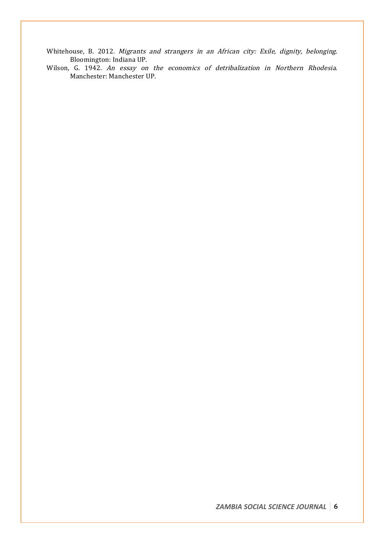Whitehouse, B. 2012. Migrants and strangers in an African city: Exile, dignity, belonging. Bloomington: Indiana UP.

Wilson, G. 1942. An essay on the economics of detribalization in Northern Rhodesia. Manchester: Manchester UP.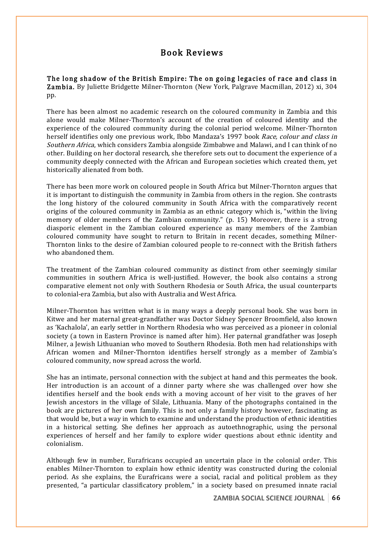## Book Reviews

The long shadow of the British Empire: The on going legacies of race and class in Zambia. By Juliette Bridgette Milner-Thornton (New York, Palgrave Macmillan, 2012) xi, 304 pp.

There has been almost no academic research on the coloured community in Zambia and this alone would make Milner-Thornton's account of the creation of coloured identity and the experience of the coloured community during the colonial period welcome. Milner-Thornton herself identifies only one previous work, Ibbo Mandaza's 1997 book Race, colour and class in Southern Africa, which considers Zambia alongside Zimbabwe and Malawi, and I can think of no other. Building on her doctoral research, she therefore sets out to document the experience of a community deeply connected with the African and European societies which created them, yet historically alienated from both.

There has been more work on coloured people in South Africa but Milner-Thornton argues that it is important to distinguish the community in Zambia from others in the region. She contrasts the long history of the coloured community in South Africa with the comparatively recent origins of the coloured community in Zambia as an ethnic category which is, "within the living memory of older members of the Zambian community." (p. 15) Moreover, there is a strong diasporic element in the Zambian coloured experience as many members of the Zambian coloured community have sought to return to Britain in recent decades, something Milner-Thornton links to the desire of Zambian coloured people to re-connect with the British fathers who abandoned them.

The treatment of the Zambian coloured community as distinct from other seemingly similar communities in southern Africa is well-justified. However, the book also contains a strong comparative element not only with Southern Rhodesia or South Africa, the usual counterparts to colonial-era Zambia, but also with Australia and West Africa.

Milner-Thornton has written what is in many ways a deeply personal book. She was born in Kitwe and her maternal great-grandfather was Doctor Sidney Spencer Broomfield, also known as 'Kachalola', an early settler in Northern Rhodesia who was perceived as a pioneer in colonial society (a town in Eastern Province is named after him). Her paternal grandfather was Joseph Milner, a Jewish Lithuanian who moved to Southern Rhodesia. Both men had relationships with African women and Milner-Thornton identifies herself strongly as a member of Zambia's coloured community, now spread across the world.

She has an intimate, personal connection with the subject at hand and this permeates the book. Her introduction is an account of a dinner party where she was challenged over how she identifies herself and the book ends with a moving account of her visit to the graves of her Jewish ancestors in the village of Silale, Lithuania. Many of the photographs contained in the book are pictures of her own family. This is not only a family history however, fascinating as that would be, but a way in which to examine and understand the production of ethnic identities in a historical setting. She defines her approach as autoethnographic, using the personal experiences of herself and her family to explore wider questions about ethnic identity and colonialism.

Although few in number, Eurafricans occupied an uncertain place in the colonial order. This enables Milner-Thornton to explain how ethnic identity was constructed during the colonial period. As she explains, the Eurafricans were a social, racial and political problem as they presented, "a particular classificatory problem," in a society based on presumed innate racial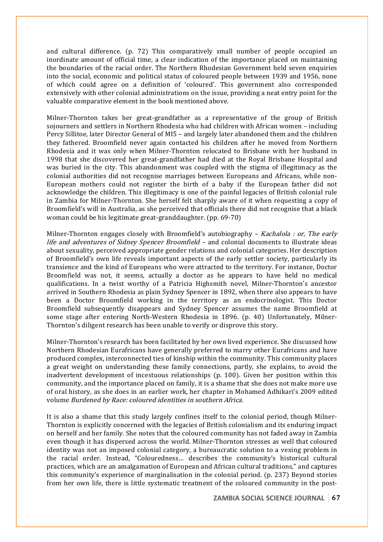and cultural difference. (p. 72) This comparatively small number of people occupied an inordinate amount of official time, a clear indication of the importance placed on maintaining the boundaries of the racial order. The Northern Rhodesian Government held seven enquiries into the social, economic and political status of coloured people between 1939 and 1956, none of which could agree on a definition of 'coloured'. This government also corresponded extensively with other colonial administrations on the issue, providing a neat entry point for the valuable comparative element in the book mentioned above.

Milner-Thornton takes her great-grandfather as a representative of the group of British sojourners and settlers in Northern Rhodesia who had children with African women – including Percy Sillitoe, later Director General of MI5 – and largely later abandoned them and the children they fathered. Broomfield never again contacted his children after he moved from Northern Rhodesia and it was only when Milner-Thornton relocated to Brisbane with her husband in 1998 that she discovered her great-grandfather had died at the Royal Brisbane Hospital and was buried in the city. This abandonment was coupled with the stigma of illegitimacy as the colonial authorities did not recognise marriages between Europeans and Africans, while non-European mothers could not register the birth of a baby if the European father did not acknowledge the children. This illegitimacy is one of the painful legacies of British colonial rule in Zambia for Milner-Thornton. She herself felt sharply aware of it when requesting a copy of Broomfield's will in Australia, as she perceived that officials there did not recognise that a black woman could be his legitimate great-granddaughter. (pp. 69-70)

Milner-Thornton engages closely with Broomfield's autobiography – Kachalola : or, The early life and adventures of Sidney Spencer Broomfield - and colonial documents to illustrate ideas about sexuality, perceived appropriate gender relations and colonial categories. Her description of Broomfield's own life reveals important aspects of the early settler society, particularly its transience and the kind of Europeans who were attracted to the territory. For instance, Doctor Broomfield was not, it seems, actually a doctor as he appears to have held no medical qualifications. In a twist worthy of a Patricia Highsmith novel, Milner-Thornton's ancestor arrived in Southern Rhodesia as plain Sydney Spencer in 1892, when there also appears to have been a Doctor Broomfield working in the territory as an endocrinologist. This Doctor Broomfield subsequently disappears and Sydney Spencer assumes the name Broomfield at some stage after entering North-Western Rhodesia in 1896. (p. 40) Unfortunately, Milner-Thornton's diligent research has been unable to verify or disprove this story.

Milner-Thornton's research has been facilitated by her own lived experience. She discussed how Northern Rhodesian Eurafricans have generally preferred to marry other Eurafricans and have produced complex, interconnected ties of kinship within the community. This community places a great weight on understanding these family connections, partly, she explains, to avoid the inadvertent development of incestuous relationships (p. 100). Given her position within this community, and the importance placed on family, it is a shame that she does not make more use of oral history, as she does in an earlier work, her chapter in Mohamed Adhikari's 2009 edited volume Burdened by Race: coloured identities in southern Africa.

It is also a shame that this study largely confines itself to the colonial period, though Milner-Thornton is explicitly concerned with the legacies of British colonialism and its enduring impact on herself and her family. She notes that the coloured community has not faded away in Zambia even though it has dispersed across the world. Milner-Thornton stresses as well that coloured identity was not an imposed colonial category, a bureaucratic solution to a vexing problem in the racial order. Instead, "Colouredness… describes the community's historical cultural practices, which are an amalgamation of European and African cultural traditions," and captures this community's experience of marginalisation in the colonial period. (p. 237) Beyond stories from her own life, there is little systematic treatment of the coloured community in the post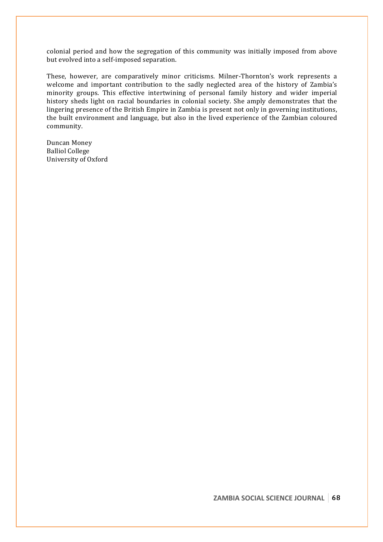colonial period and how the segregation of this community was initially imposed from above but evolved into a self-imposed separation.

These, however, are comparatively minor criticisms. Milner-Thornton's work represents a welcome and important contribution to the sadly neglected area of the history of Zambia's minority groups. This effective intertwining of personal family history and wider imperial history sheds light on racial boundaries in colonial society. She amply demonstrates that the lingering presence of the British Empire in Zambia is present not only in governing institutions, the built environment and language, but also in the lived experience of the Zambian coloured community.

Duncan Money Balliol College University of Oxford